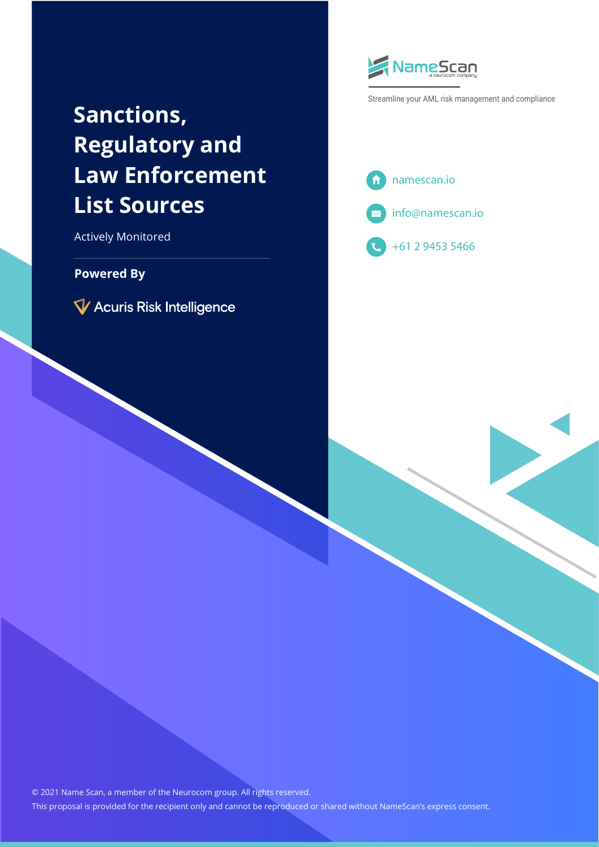# **Sanctions, Regulatory and Law Enforcement List Sources**

Actively Monitored

#### **Powered By**

V Acuris Risk Intelligence



Streamline your AML risk management and compliance







© 2021 Name Scan, a member of the Neurocom group. All rights reserved. This proposal is provided for the recipient only and cannot be reproduced or shared without NameScan's express consent.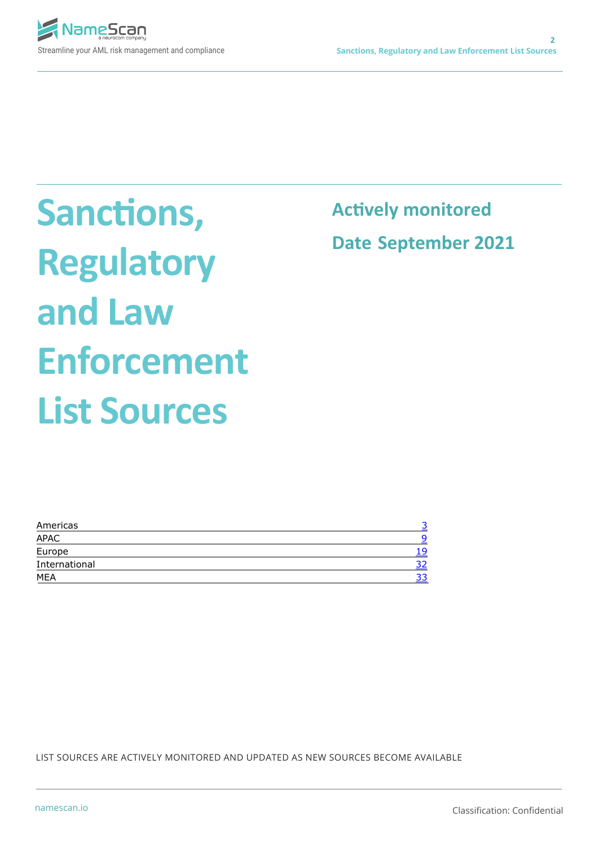

**Sanctions, Regulatory and Law Enforcement List Sources**

**Actively monitored Date September 2021**

| n   |
|-----|
| 1 Q |
|     |
| ر ر |
|     |

LIST SOURCES ARE ACTIVELY MONITORED AND UPDATED AS NEW SOURCES BECOME AVAILABLE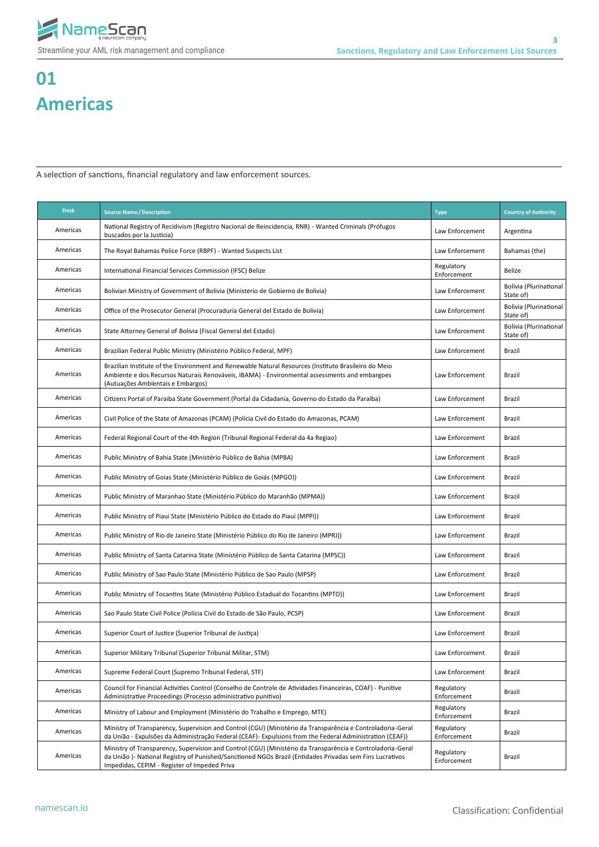

# **01 Americas**

A selection of sanctions, financial regulatory and law enforcement sources.

| <b>Desk</b> | <b>Source Name / Description</b>                                                                                                                                                                                                                                       | <b>Type</b>               | <b>Country of Authority</b>                |
|-------------|------------------------------------------------------------------------------------------------------------------------------------------------------------------------------------------------------------------------------------------------------------------------|---------------------------|--------------------------------------------|
| Americas    | National Registry of Recidivism (Registro Nacional de Reincidencia, RNR) - Wanted Criminals (Prófugos<br>buscados por la Justicia)                                                                                                                                     | Law Enforcement           | Argentina                                  |
| Americas    | The Royal Bahamas Police Force (RBPF) - Wanted Suspects List                                                                                                                                                                                                           | Law Enforcement           | Bahamas (the)                              |
| Americas    | International Financial Services Commission (IFSC) Belize                                                                                                                                                                                                              | Regulatory<br>Enforcement | Belize                                     |
| Americas    | Bolivian Ministry of Government of Bolivia (Ministerio de Gobierno de Bolivia)                                                                                                                                                                                         | Law Enforcement           | Bolivia (Plurinational<br>State of)        |
| Americas    | Office of the Prosecutor General (Procuraduría General del Estado de Bolivia)                                                                                                                                                                                          | Law Enforcement           | <b>Bolivia (Plurinational</b><br>State of) |
| Americas    | State Attorney General of Bolivia (Fiscal General del Estado)                                                                                                                                                                                                          | Law Enforcement           | Bolivia (Plurinational<br>State of)        |
| Americas    | Brazilian Federal Public Ministry (Ministério Público Federal, MPF)                                                                                                                                                                                                    | Law Enforcement           | <b>Brazil</b>                              |
| Americas    | Brazilian Institute of the Environment and Renewable Natural Resources (Instituto Brasileiro do Meio<br>Ambiente e dos Recursos Naturais Renováveis, IBAMA) - Environmental assessments and embargoes<br>(Autuações Ambientais e Embargos)                             | Law Enforcement           | Brazil                                     |
| Americas    | Citizens Portal of Paraiba State Government (Portal da Cidadania, Governo do Estado da Paraíba)                                                                                                                                                                        | Law Enforcement           | <b>Brazil</b>                              |
| Americas    | Civil Police of the State of Amazonas (PCAM) (Polícia Civil do Estado do Amazonas, PCAM)                                                                                                                                                                               | Law Enforcement           | Brazil                                     |
| Americas    | Federal Regional Court of the 4th Region (Tribunal Regional Federal da 4a Regiao)                                                                                                                                                                                      | Law Enforcement           | Brazil                                     |
| Americas    | Public Ministry of Bahia State (Ministério Público de Bahia (MPBA)                                                                                                                                                                                                     | Law Enforcement           | Brazil                                     |
| Americas    | Public Ministry of Goias State (Ministério Público de Goiás (MPGO))                                                                                                                                                                                                    | Law Enforcement           | Brazil                                     |
| Americas    | Public Ministry of Maranhao State (Ministério Público do Maranhão (MPMA))                                                                                                                                                                                              | Law Enforcement           | Brazil                                     |
| Americas    | Public Ministry of Piaui State (Ministério Público do Estado do Piauí (MPPI))                                                                                                                                                                                          | Law Enforcement           | Brazil                                     |
| Americas    | Public Ministry of Rio de Janeiro State (Ministério Público do Rio de Janeiro (MPRJ))                                                                                                                                                                                  | Law Enforcement           | Brazil                                     |
| Americas    | Public Ministry of Santa Catarina State (Ministério Público de Santa Catarina (MPSC))                                                                                                                                                                                  | Law Enforcement           | Brazil                                     |
| Americas    | Public Ministry of Sao Paulo State (Ministério Público de Sao Paulo (MPSP)                                                                                                                                                                                             | Law Enforcement           | Brazil                                     |
| Americas    | Public Ministry of Tocantins State (Ministério Público Estadual do Tocantins (MPTO))                                                                                                                                                                                   | Law Enforcement           | Brazil                                     |
| Americas    | Sao Paulo State Civil Police (Polícia Civil do Estado de São Paulo, PCSP)                                                                                                                                                                                              | Law Enforcement           | Brazil                                     |
| Americas    | Superior Court of Justice (Superior Tribunal de Justiça)                                                                                                                                                                                                               | Law Enforcement           | Brazil                                     |
| Americas    | Superior Military Tribunal (Superior Tribunal Militar, STM)                                                                                                                                                                                                            | Law Enforcement           | Brazil                                     |
| Americas    | Supreme Federal Court (Supremo Tribunal Federal, STF)                                                                                                                                                                                                                  | Law Enforcement           | Brazil                                     |
| Americas    | Council for Financial Activities Control (Conselho de Controle de Atividades Financeiras, COAF) - Punitive<br>Administrative Proceedings (Processo administrativo punitivo)                                                                                            | Regulatory<br>Enforcement | <b>Brazil</b>                              |
| Americas    | Ministry of Labour and Employment (Ministério do Trabalho e Emprego, MTE)                                                                                                                                                                                              | Regulatory<br>Enforcement | <b>Brazil</b>                              |
| Americas    | Ministry of Transparency, Supervision and Control (CGU) (Ministério da Transparência e Controladoria-Geral<br>da União - Expulsões da Administração Federal (CEAF) - Expulsions from the Federal Administration (CEAF))                                                | Regulatory<br>Enforcement | Brazil                                     |
| Americas    | Ministry of Transparency, Supervision and Control (CGU) (Ministério da Transparência e Controladoria-Geral<br>da União) - National Registry of Punished/Sanctioned NGOs Brazil (Entidades Privadas sem Fins Lucrativos<br>Impedidas, CEPIM - Register of Impeded Priva | Regulatory<br>Enforcement | <b>Brazil</b>                              |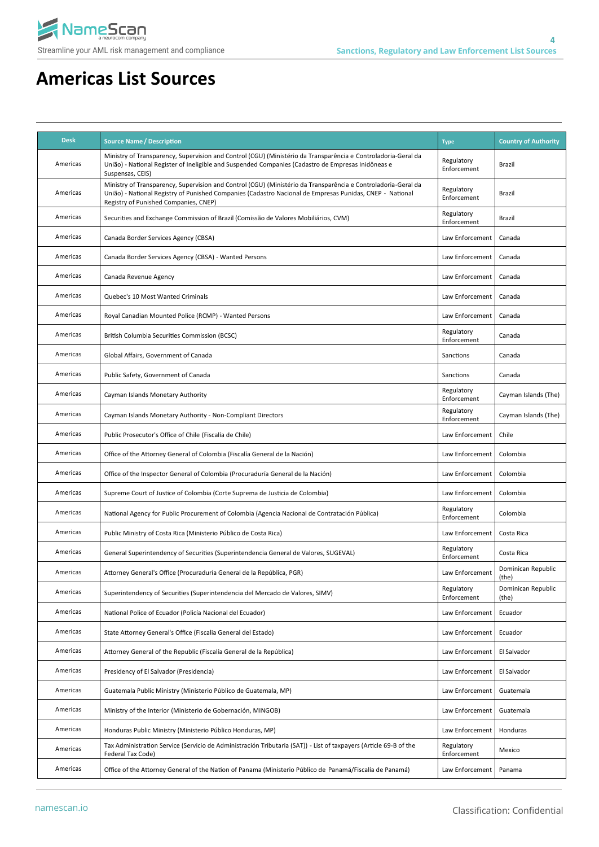

| <b>Desk</b> | <b>Source Name / Description</b>                                                                                                                                                                                                                                   | <b>Type</b>               | <b>Country of Authority</b> |
|-------------|--------------------------------------------------------------------------------------------------------------------------------------------------------------------------------------------------------------------------------------------------------------------|---------------------------|-----------------------------|
| Americas    | Ministry of Transparency, Supervision and Control (CGU) (Ministério da Transparência e Controladoria-Geral da<br>União) - National Register of Ineligible and Suspended Companies (Cadastro de Empresas Inidôneas e<br>Suspensas, CEIS)                            | Regulatory<br>Enforcement | Brazil                      |
| Americas    | Ministry of Transparency, Supervision and Control (CGU) (Ministério da Transparência e Controladoria-Geral da<br>União) - National Registry of Punished Companies (Cadastro Nacional de Empresas Punidas, CNEP - National<br>Registry of Punished Companies, CNEP) | Regulatory<br>Enforcement | Brazil                      |
| Americas    | Securities and Exchange Commission of Brazil (Comissão de Valores Mobiliários, CVM)                                                                                                                                                                                | Regulatory<br>Enforcement | Brazil                      |
| Americas    | Canada Border Services Agency (CBSA)                                                                                                                                                                                                                               | Law Enforcement           | Canada                      |
| Americas    | Canada Border Services Agency (CBSA) - Wanted Persons                                                                                                                                                                                                              | Law Enforcement           | Canada                      |
| Americas    | Canada Revenue Agency                                                                                                                                                                                                                                              | Law Enforcement           | Canada                      |
| Americas    | Quebec's 10 Most Wanted Criminals                                                                                                                                                                                                                                  | Law Enforcement           | Canada                      |
| Americas    | Royal Canadian Mounted Police (RCMP) - Wanted Persons                                                                                                                                                                                                              | Law Enforcement           | Canada                      |
| Americas    | British Columbia Securities Commission (BCSC)                                                                                                                                                                                                                      | Regulatory<br>Enforcement | Canada                      |
| Americas    | Global Affairs, Government of Canada                                                                                                                                                                                                                               | Sanctions                 | Canada                      |
| Americas    | Public Safety, Government of Canada                                                                                                                                                                                                                                | Sanctions                 | Canada                      |
| Americas    | Cayman Islands Monetary Authority                                                                                                                                                                                                                                  | Regulatory<br>Enforcement | Cayman Islands (The)        |
| Americas    | Cayman Islands Monetary Authority - Non-Compliant Directors                                                                                                                                                                                                        | Regulatory<br>Enforcement | Cayman Islands (The)        |
| Americas    | Public Prosecutor's Office of Chile (Fiscalía de Chile)                                                                                                                                                                                                            | Law Enforcement           | Chile                       |
| Americas    | Office of the Attorney General of Colombia (Fiscalía General de la Nación)                                                                                                                                                                                         | Law Enforcement           | Colombia                    |
| Americas    | Office of the Inspector General of Colombia (Procuraduría General de la Nación)                                                                                                                                                                                    | Law Enforcement           | Colombia                    |
| Americas    | Supreme Court of Justice of Colombia (Corte Suprema de Justicia de Colombia)                                                                                                                                                                                       | Law Enforcement           | Colombia                    |
| Americas    | National Agency for Public Procurement of Colombia (Agencia Nacional de Contratación Pública)                                                                                                                                                                      | Regulatory<br>Enforcement | Colombia                    |
| Americas    | Public Ministry of Costa Rica (Ministerio Público de Costa Rica)                                                                                                                                                                                                   | Law Enforcement           | Costa Rica                  |
| Americas    | General Superintendency of Securities (Superintendencia General de Valores, SUGEVAL)                                                                                                                                                                               | Regulatory<br>Enforcement | Costa Rica                  |
| Americas    | Attorney General's Office (Procuraduría General de la República, PGR)                                                                                                                                                                                              | Law Enforcement           | Dominican Republic<br>(the) |
| Americas    | Superintendency of Securities (Superintendencia del Mercado de Valores, SIMV)                                                                                                                                                                                      | Regulatory<br>Enforcement | Dominican Republic<br>(the) |
| Americas    | National Police of Ecuador (Policía Nacional del Ecuador)                                                                                                                                                                                                          | Law Enforcement           | Ecuador                     |
| Americas    | State Attorney General's Office (Fiscalia General del Estado)                                                                                                                                                                                                      | Law Enforcement           | Ecuador                     |
| Americas    | Attorney General of the Republic (Fiscalía General de la República)                                                                                                                                                                                                | Law Enforcement           | El Salvador                 |
| Americas    | Presidency of El Salvador (Presidencia)                                                                                                                                                                                                                            | Law Enforcement           | El Salvador                 |
| Americas    | Guatemala Public Ministry (Ministerio Público de Guatemala, MP)                                                                                                                                                                                                    | Law Enforcement           | Guatemala                   |
| Americas    | Ministry of the Interior (Ministerio de Gobernación, MINGOB)                                                                                                                                                                                                       | Law Enforcement           | Guatemala                   |
| Americas    | Honduras Public Ministry (Ministerio Público Honduras, MP)                                                                                                                                                                                                         | Law Enforcement           | Honduras                    |
| Americas    | Tax Administration Service (Servicio de Administración Tributaria (SAT)) - List of taxpayers (Article 69-B of the<br>Federal Tax Code)                                                                                                                             | Regulatory<br>Enforcement | Mexico                      |
| Americas    | Office of the Attorney General of the Nation of Panama (Ministerio Público de Panamá/Fiscalía de Panamá)                                                                                                                                                           | Law Enforcement           | Panama                      |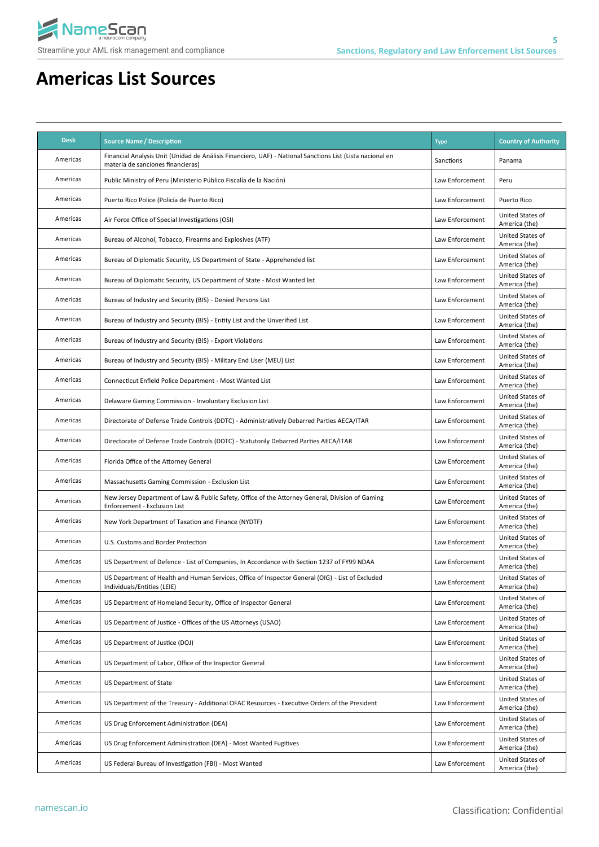

| <b>Desk</b> | <b>Source Name / Description</b>                                                                                                               | <b>Type</b>     | <b>Country of Authority</b>       |
|-------------|------------------------------------------------------------------------------------------------------------------------------------------------|-----------------|-----------------------------------|
| Americas    | Financial Analysis Unit (Unidad de Análisis Financiero, UAF) - National Sanctions List (Lista nacional en<br>materia de sanciones financieras) | Sanctions       | Panama                            |
| Americas    | Public Ministry of Peru (Ministerio Público Fiscalía de la Nación)                                                                             | Law Enforcement | Peru                              |
| Americas    | Puerto Rico Police (Policía de Puerto Rico)                                                                                                    | Law Enforcement | Puerto Rico                       |
| Americas    | Air Force Office of Special Investigations (OSI)                                                                                               | Law Enforcement | United States of<br>America (the) |
| Americas    | Bureau of Alcohol, Tobacco, Firearms and Explosives (ATF)                                                                                      | Law Enforcement | United States of<br>America (the) |
| Americas    | Bureau of Diplomatic Security, US Department of State - Apprehended list                                                                       | Law Enforcement | United States of<br>America (the) |
| Americas    | Bureau of Diplomatic Security, US Department of State - Most Wanted list                                                                       | Law Enforcement | United States of<br>America (the) |
| Americas    | Bureau of Industry and Security (BIS) - Denied Persons List                                                                                    | Law Enforcement | United States of<br>America (the) |
| Americas    | Bureau of Industry and Security (BIS) - Entity List and the Unverified List                                                                    | Law Enforcement | United States of<br>America (the) |
| Americas    | Bureau of Industry and Security (BIS) - Export Violations                                                                                      | Law Enforcement | United States of<br>America (the) |
| Americas    | Bureau of Industry and Security (BIS) - Military End User (MEU) List                                                                           | Law Enforcement | United States of<br>America (the) |
| Americas    | Connecticut Enfield Police Department - Most Wanted List                                                                                       | Law Enforcement | United States of<br>America (the) |
| Americas    | Delaware Gaming Commission - Involuntary Exclusion List                                                                                        | Law Enforcement | United States of<br>America (the) |
| Americas    | Directorate of Defense Trade Controls (DDTC) - Administratively Debarred Parties AECA/ITAR                                                     | Law Enforcement | United States of<br>America (the) |
| Americas    | Directorate of Defense Trade Controls (DDTC) - Statutorily Debarred Parties AECA/ITAR                                                          | Law Enforcement | United States of<br>America (the) |
| Americas    | Florida Office of the Attorney General                                                                                                         | Law Enforcement | United States of<br>America (the) |
| Americas    | Massachusetts Gaming Commission - Exclusion List                                                                                               | Law Enforcement | United States of<br>America (the) |
| Americas    | New Jersey Department of Law & Public Safety, Office of the Attorney General, Division of Gaming<br>Enforcement - Exclusion List               | Law Enforcement | United States of<br>America (the) |
| Americas    | New York Department of Taxation and Finance (NYDTF)                                                                                            | Law Enforcement | United States of<br>America (the) |
| Americas    | U.S. Customs and Border Protection                                                                                                             | Law Enforcement | United States of<br>America (the) |
| Americas    | US Department of Defence - List of Companies, In Accordance with Section 1237 of FY99 NDAA                                                     | Law Enforcement | United States of<br>America (the) |
| Americas    | US Department of Health and Human Services, Office of Inspector General (OIG) - List of Excluded<br>Individuals/Entities (LEIE)                | Law Enforcement | United States of<br>America (the) |
| Americas    | US Department of Homeland Security, Office of Inspector General                                                                                | Law Enforcement | United States of<br>America (the) |
| Americas    | US Department of Justice - Offices of the US Attorneys (USAO)                                                                                  | Law Enforcement | United States of<br>America (the) |
| Americas    | US Department of Justice (DOJ)                                                                                                                 | Law Enforcement | United States of<br>America (the) |
| Americas    | US Department of Labor, Office of the Inspector General                                                                                        | Law Enforcement | United States of<br>America (the) |
| Americas    | <b>US Department of State</b>                                                                                                                  | Law Enforcement | United States of<br>America (the) |
| Americas    | US Department of the Treasury - Additional OFAC Resources - Executive Orders of the President                                                  | Law Enforcement | United States of<br>America (the) |
| Americas    | US Drug Enforcement Administration (DEA)                                                                                                       | Law Enforcement | United States of<br>America (the) |
| Americas    | US Drug Enforcement Administration (DEA) - Most Wanted Fugitives                                                                               | Law Enforcement | United States of<br>America (the) |
| Americas    | US Federal Bureau of Investigation (FBI) - Most Wanted                                                                                         | Law Enforcement | United States of<br>America (the) |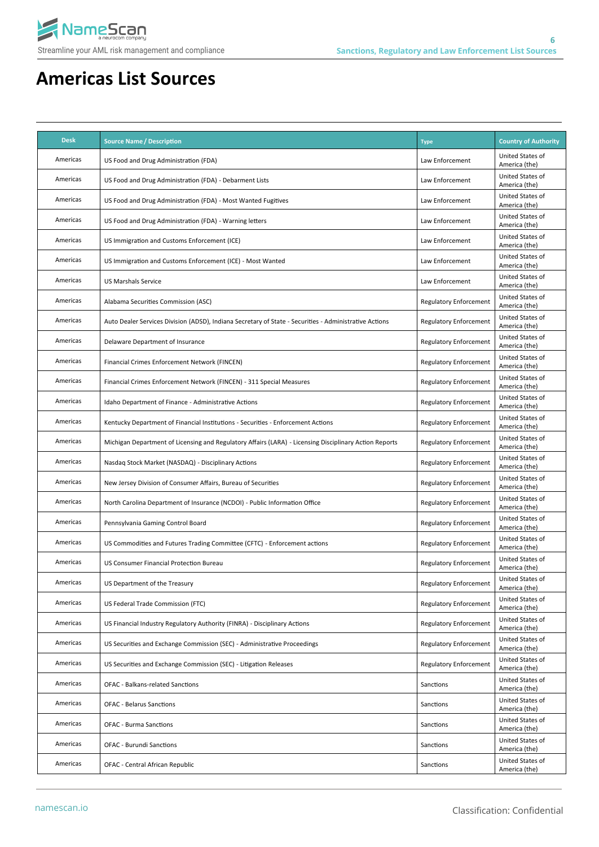

| <b>Desk</b> | <b>Source Name / Description</b>                                                                       | <b>Type</b>                   | <b>Country of Authority</b>       |
|-------------|--------------------------------------------------------------------------------------------------------|-------------------------------|-----------------------------------|
| Americas    | US Food and Drug Administration (FDA)                                                                  | Law Enforcement               | United States of<br>America (the) |
| Americas    | US Food and Drug Administration (FDA) - Debarment Lists                                                | Law Enforcement               | United States of<br>America (the) |
| Americas    | US Food and Drug Administration (FDA) - Most Wanted Fugitives                                          | Law Enforcement               | United States of<br>America (the) |
| Americas    | US Food and Drug Administration (FDA) - Warning letters                                                | Law Enforcement               | United States of<br>America (the) |
| Americas    | US Immigration and Customs Enforcement (ICE)                                                           | Law Enforcement               | United States of<br>America (the) |
| Americas    | US Immigration and Customs Enforcement (ICE) - Most Wanted                                             | Law Enforcement               | United States of<br>America (the) |
| Americas    | <b>US Marshals Service</b>                                                                             | Law Enforcement               | United States of<br>America (the) |
| Americas    | Alabama Securities Commission (ASC)                                                                    | <b>Regulatory Enforcement</b> | United States of<br>America (the) |
| Americas    | Auto Dealer Services Division (ADSD), Indiana Secretary of State - Securities - Administrative Actions | <b>Regulatory Enforcement</b> | United States of<br>America (the) |
| Americas    | Delaware Department of Insurance                                                                       | <b>Regulatory Enforcement</b> | United States of<br>America (the) |
| Americas    | Financial Crimes Enforcement Network (FINCEN)                                                          | <b>Regulatory Enforcement</b> | United States of<br>America (the) |
| Americas    | Financial Crimes Enforcement Network (FINCEN) - 311 Special Measures                                   | <b>Regulatory Enforcement</b> | United States of<br>America (the) |
| Americas    | Idaho Department of Finance - Administrative Actions                                                   | <b>Regulatory Enforcement</b> | United States of<br>America (the) |
| Americas    | Kentucky Department of Financial Institutions - Securities - Enforcement Actions                       | <b>Regulatory Enforcement</b> | United States of<br>America (the) |
| Americas    | Michigan Department of Licensing and Regulatory Affairs (LARA) - Licensing Disciplinary Action Reports | <b>Regulatory Enforcement</b> | United States of<br>America (the) |
| Americas    | Nasdaq Stock Market (NASDAQ) - Disciplinary Actions                                                    | <b>Regulatory Enforcement</b> | United States of<br>America (the) |
| Americas    | New Jersey Division of Consumer Affairs, Bureau of Securities                                          | <b>Regulatory Enforcement</b> | United States of<br>America (the) |
| Americas    | North Carolina Department of Insurance (NCDOI) - Public Information Office                             | <b>Regulatory Enforcement</b> | United States of<br>America (the) |
| Americas    | Pennsylvania Gaming Control Board                                                                      | <b>Regulatory Enforcement</b> | United States of<br>America (the) |
| Americas    | US Commodities and Futures Trading Committee (CFTC) - Enforcement actions                              | <b>Regulatory Enforcement</b> | United States of<br>America (the) |
| Americas    | US Consumer Financial Protection Bureau                                                                | <b>Regulatory Enforcement</b> | United States of<br>America (the) |
| Americas    | US Department of the Treasury                                                                          | <b>Regulatory Enforcement</b> | United States of<br>America (the) |
| Americas    | US Federal Trade Commission (FTC)                                                                      | <b>Regulatory Enforcement</b> | United States of<br>America (the) |
| Americas    | US Financial Industry Regulatory Authority (FINRA) - Disciplinary Actions                              | <b>Regulatory Enforcement</b> | United States of<br>America (the) |
| Americas    | US Securities and Exchange Commission (SEC) - Administrative Proceedings                               | <b>Regulatory Enforcement</b> | United States of<br>America (the) |
| Americas    | US Securities and Exchange Commission (SEC) - Litigation Releases                                      | <b>Regulatory Enforcement</b> | United States of<br>America (the) |
| Americas    | OFAC - Balkans-related Sanctions                                                                       | Sanctions                     | United States of<br>America (the) |
| Americas    | <b>OFAC - Belarus Sanctions</b>                                                                        | Sanctions                     | United States of<br>America (the) |
| Americas    | <b>OFAC - Burma Sanctions</b>                                                                          | Sanctions                     | United States of<br>America (the) |
| Americas    | <b>OFAC - Burundi Sanctions</b>                                                                        | Sanctions                     | United States of<br>America (the) |
| Americas    | OFAC - Central African Republic                                                                        | Sanctions                     | United States of<br>America (the) |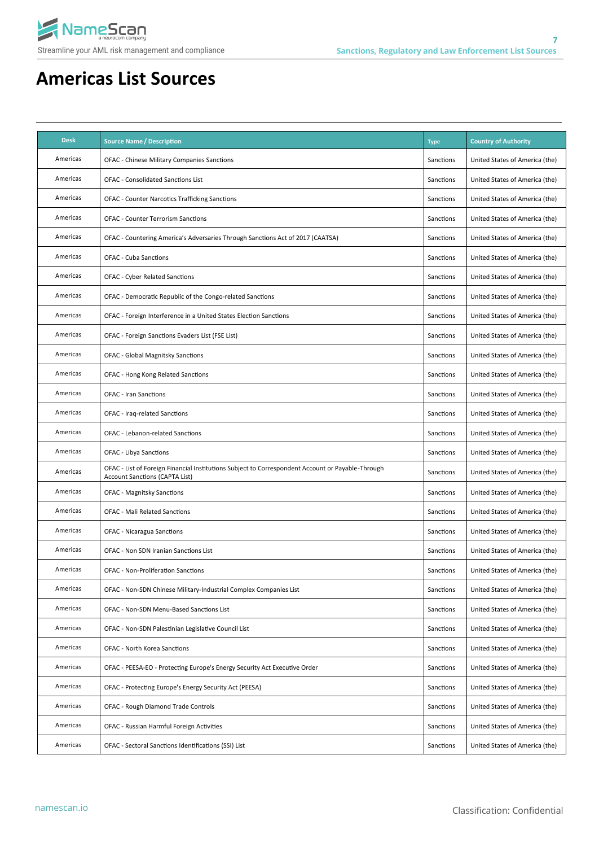

| <b>Desk</b> | <b>Source Name / Description</b>                                                                                                           | <b>Type</b> | <b>Country of Authority</b>    |
|-------------|--------------------------------------------------------------------------------------------------------------------------------------------|-------------|--------------------------------|
| Americas    | OFAC - Chinese Military Companies Sanctions                                                                                                | Sanctions   | United States of America (the) |
| Americas    | <b>OFAC - Consolidated Sanctions List</b>                                                                                                  | Sanctions   | United States of America (the) |
| Americas    | <b>OFAC - Counter Narcotics Trafficking Sanctions</b>                                                                                      | Sanctions   | United States of America (the) |
| Americas    | <b>OFAC - Counter Terrorism Sanctions</b>                                                                                                  | Sanctions   | United States of America (the) |
| Americas    | OFAC - Countering America's Adversaries Through Sanctions Act of 2017 (CAATSA)                                                             | Sanctions   | United States of America (the) |
| Americas    | <b>OFAC - Cuba Sanctions</b>                                                                                                               | Sanctions   | United States of America (the) |
| Americas    | <b>OFAC - Cyber Related Sanctions</b>                                                                                                      | Sanctions   | United States of America (the) |
| Americas    | OFAC - Democratic Republic of the Congo-related Sanctions                                                                                  | Sanctions   | United States of America (the) |
| Americas    | OFAC - Foreign Interference in a United States Election Sanctions                                                                          | Sanctions   | United States of America (the) |
| Americas    | OFAC - Foreign Sanctions Evaders List (FSE List)                                                                                           | Sanctions   | United States of America (the) |
| Americas    | OFAC - Global Magnitsky Sanctions                                                                                                          | Sanctions   | United States of America (the) |
| Americas    | OFAC - Hong Kong Related Sanctions                                                                                                         | Sanctions   | United States of America (the) |
| Americas    | <b>OFAC - Iran Sanctions</b>                                                                                                               | Sanctions   | United States of America (the) |
| Americas    | OFAC - Iraq-related Sanctions                                                                                                              | Sanctions   | United States of America (the) |
| Americas    | <b>OFAC - Lebanon-related Sanctions</b>                                                                                                    | Sanctions   | United States of America (the) |
| Americas    | <b>OFAC - Libya Sanctions</b>                                                                                                              | Sanctions   | United States of America (the) |
| Americas    | OFAC - List of Foreign Financial Institutions Subject to Correspondent Account or Payable-Through<br><b>Account Sanctions (CAPTA List)</b> | Sanctions   | United States of America (the) |
| Americas    | <b>OFAC - Magnitsky Sanctions</b>                                                                                                          | Sanctions   | United States of America (the) |
| Americas    | <b>OFAC - Mali Related Sanctions</b>                                                                                                       | Sanctions   | United States of America (the) |
| Americas    | <b>OFAC - Nicaragua Sanctions</b>                                                                                                          | Sanctions   | United States of America (the) |
| Americas    | OFAC - Non SDN Iranian Sanctions List                                                                                                      | Sanctions   | United States of America (the) |
| Americas    | <b>OFAC - Non-Proliferation Sanctions</b>                                                                                                  | Sanctions   | United States of America (the) |
| Americas    | OFAC - Non-SDN Chinese Military-Industrial Complex Companies List                                                                          | Sanctions   | United States of America (the) |
| Americas    | OFAC - Non-SDN Menu-Based Sanctions List                                                                                                   | Sanctions   | United States of America (the) |
| Americas    | OFAC - Non-SDN Palestinian Legislative Council List                                                                                        | Sanctions   | United States of America (the) |
| Americas    | OFAC - North Korea Sanctions                                                                                                               | Sanctions   | United States of America (the) |
| Americas    | OFAC - PEESA-EO - Protecting Europe's Energy Security Act Executive Order                                                                  | Sanctions   | United States of America (the) |
| Americas    | OFAC - Protecting Europe's Energy Security Act (PEESA)                                                                                     | Sanctions   | United States of America (the) |
| Americas    | OFAC - Rough Diamond Trade Controls                                                                                                        | Sanctions   | United States of America (the) |
| Americas    | OFAC - Russian Harmful Foreign Activities                                                                                                  | Sanctions   | United States of America (the) |
| Americas    | OFAC - Sectoral Sanctions Identifications (SSI) List                                                                                       | Sanctions   | United States of America (the) |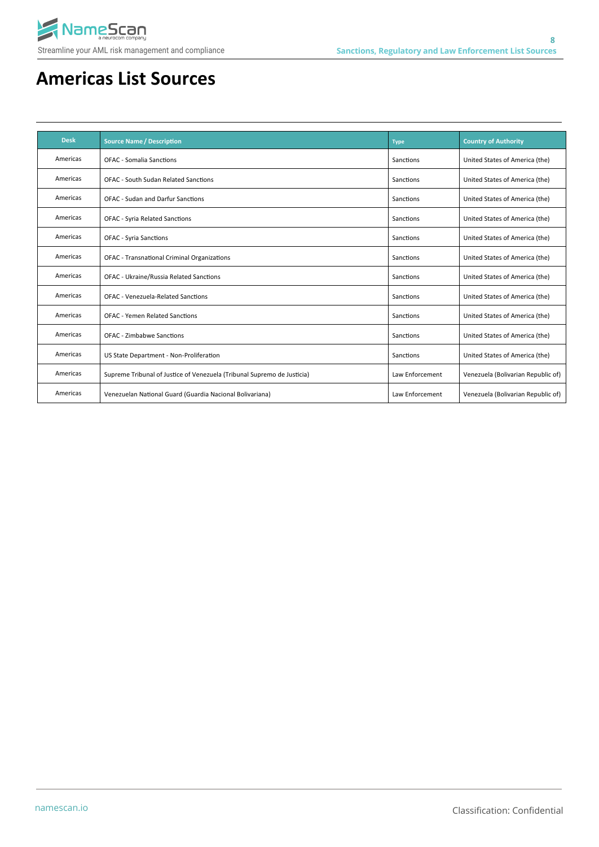

| <b>Desk</b> | <b>Source Name / Description</b>                                        | <b>Type</b>     | <b>Country of Authority</b>        |
|-------------|-------------------------------------------------------------------------|-----------------|------------------------------------|
| Americas    | <b>OFAC - Somalia Sanctions</b>                                         | Sanctions       | United States of America (the)     |
| Americas    | <b>OFAC - South Sudan Related Sanctions</b>                             | Sanctions       | United States of America (the)     |
| Americas    | <b>OFAC - Sudan and Darfur Sanctions</b>                                | Sanctions       | United States of America (the)     |
| Americas    | <b>OFAC - Syria Related Sanctions</b>                                   | Sanctions       | United States of America (the)     |
| Americas    | <b>OFAC - Syria Sanctions</b>                                           | Sanctions       | United States of America (the)     |
| Americas    | <b>OFAC - Transnational Criminal Organizations</b>                      | Sanctions       | United States of America (the)     |
| Americas    | OFAC - Ukraine/Russia Related Sanctions                                 | Sanctions       | United States of America (the)     |
| Americas    | <b>OFAC - Venezuela-Related Sanctions</b>                               | Sanctions       | United States of America (the)     |
| Americas    | <b>OFAC - Yemen Related Sanctions</b>                                   | Sanctions       | United States of America (the)     |
| Americas    | OFAC - Zimbabwe Sanctions                                               | Sanctions       | United States of America (the)     |
| Americas    | US State Department - Non-Proliferation                                 | Sanctions       | United States of America (the)     |
| Americas    | Supreme Tribunal of Justice of Venezuela (Tribunal Supremo de Justicia) | Law Enforcement | Venezuela (Bolivarian Republic of) |
| Americas    | Venezuelan National Guard (Guardia Nacional Bolivariana)                | Law Enforcement | Venezuela (Bolivarian Republic of) |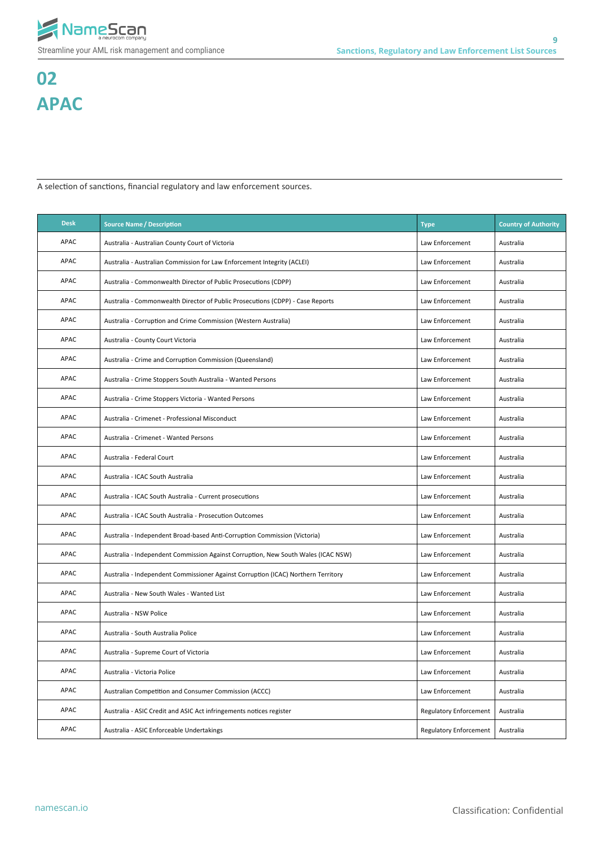

# **02 APAC**

A selection of sanctions, financial regulatory and law enforcement sources.

| <b>Desk</b> | <b>Source Name / Description</b>                                                  | <b>Type</b>                   | <b>Country of Authority</b> |
|-------------|-----------------------------------------------------------------------------------|-------------------------------|-----------------------------|
| <b>APAC</b> | Australia - Australian County Court of Victoria                                   | Law Enforcement               | Australia                   |
| <b>APAC</b> | Australia - Australian Commission for Law Enforcement Integrity (ACLEI)           | Law Enforcement               | Australia                   |
| APAC        | Australia - Commonwealth Director of Public Prosecutions (CDPP)                   | Law Enforcement               | Australia                   |
| <b>APAC</b> | Australia - Commonwealth Director of Public Prosecutions (CDPP) - Case Reports    | Law Enforcement               | Australia                   |
| <b>APAC</b> | Australia - Corruption and Crime Commission (Western Australia)                   | Law Enforcement               | Australia                   |
| <b>APAC</b> | Australia - County Court Victoria                                                 | Law Enforcement               | Australia                   |
| <b>APAC</b> | Australia - Crime and Corruption Commission (Queensland)                          | Law Enforcement               | Australia                   |
| <b>APAC</b> | Australia - Crime Stoppers South Australia - Wanted Persons                       | Law Enforcement               | Australia                   |
| <b>APAC</b> | Australia - Crime Stoppers Victoria - Wanted Persons                              | Law Enforcement               | Australia                   |
| <b>APAC</b> | Australia - Crimenet - Professional Misconduct                                    | Law Enforcement               | Australia                   |
| APAC        | Australia - Crimenet - Wanted Persons                                             | Law Enforcement               | Australia                   |
| <b>APAC</b> | Australia - Federal Court                                                         | Law Enforcement               | Australia                   |
| APAC        | Australia - ICAC South Australia                                                  | Law Enforcement               | Australia                   |
| <b>APAC</b> | Australia - ICAC South Australia - Current prosecutions                           | Law Enforcement               | Australia                   |
| APAC        | Australia - ICAC South Australia - Prosecution Outcomes                           | Law Enforcement               | Australia                   |
| APAC        | Australia - Independent Broad-based Anti-Corruption Commission (Victoria)         | Law Enforcement               | Australia                   |
| APAC        | Australia - Independent Commission Against Corruption, New South Wales (ICAC NSW) | Law Enforcement               | Australia                   |
| <b>APAC</b> | Australia - Independent Commissioner Against Corruption (ICAC) Northern Territory | Law Enforcement               | Australia                   |
| <b>APAC</b> | Australia - New South Wales - Wanted List                                         | Law Enforcement               | Australia                   |
| APAC        | Australia - NSW Police                                                            | Law Enforcement               | Australia                   |
| APAC        | Australia - South Australia Police                                                | Law Enforcement               | Australia                   |
| APAC        | Australia - Supreme Court of Victoria                                             | Law Enforcement               | Australia                   |
| APAC        | Australia - Victoria Police                                                       | Law Enforcement               | Australia                   |
| APAC        | Australian Competition and Consumer Commission (ACCC)                             | Law Enforcement               | Australia                   |
| APAC        | Australia - ASIC Credit and ASIC Act infringements notices register               | <b>Regulatory Enforcement</b> | Australia                   |
| APAC        | Australia - ASIC Enforceable Undertakings                                         | <b>Regulatory Enforcement</b> | Australia                   |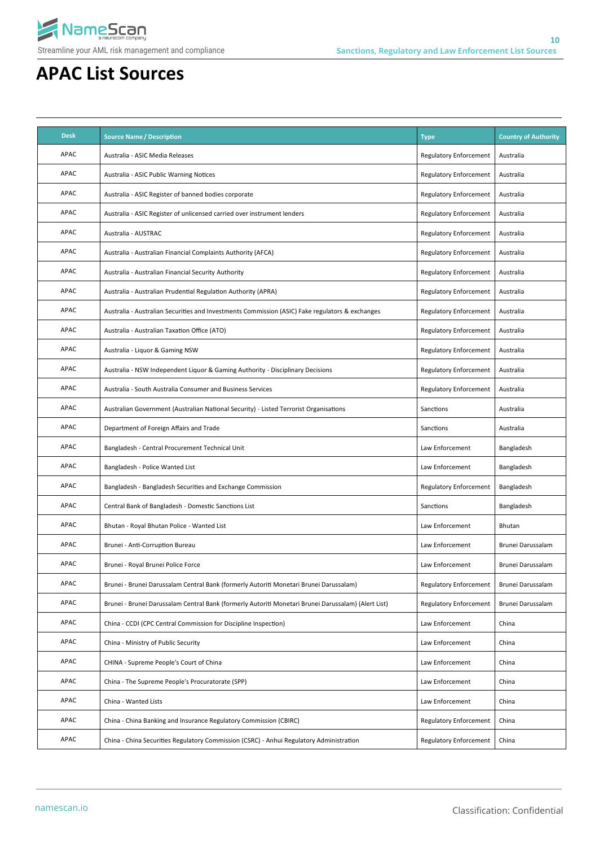

| <b>Desk</b> | <b>Source Name / Description</b>                                                                    | <b>Type</b>                   | <b>Country of Authority</b> |
|-------------|-----------------------------------------------------------------------------------------------------|-------------------------------|-----------------------------|
| <b>APAC</b> | Australia - ASIC Media Releases                                                                     | <b>Regulatory Enforcement</b> | Australia                   |
| APAC        | Australia - ASIC Public Warning Notices                                                             | <b>Regulatory Enforcement</b> | Australia                   |
| <b>APAC</b> | Australia - ASIC Register of banned bodies corporate                                                | <b>Regulatory Enforcement</b> | Australia                   |
| <b>APAC</b> | Australia - ASIC Register of unlicensed carried over instrument lenders                             | <b>Regulatory Enforcement</b> | Australia                   |
| APAC        | Australia - AUSTRAC                                                                                 | <b>Regulatory Enforcement</b> | Australia                   |
| APAC        | Australia - Australian Financial Complaints Authority (AFCA)                                        | <b>Regulatory Enforcement</b> | Australia                   |
| APAC        | Australia - Australian Financial Security Authority                                                 | <b>Regulatory Enforcement</b> | Australia                   |
| APAC        | Australia - Australian Prudential Regulation Authority (APRA)                                       | <b>Regulatory Enforcement</b> | Australia                   |
| <b>APAC</b> | Australia - Australian Securities and Investments Commission (ASIC) Fake regulators & exchanges     | <b>Regulatory Enforcement</b> | Australia                   |
| <b>APAC</b> | Australia - Australian Taxation Office (ATO)                                                        | <b>Regulatory Enforcement</b> | Australia                   |
| <b>APAC</b> | Australia - Liquor & Gaming NSW                                                                     | <b>Regulatory Enforcement</b> | Australia                   |
| <b>APAC</b> | Australia - NSW Independent Liquor & Gaming Authority - Disciplinary Decisions                      | <b>Regulatory Enforcement</b> | Australia                   |
| APAC        | Australia - South Australia Consumer and Business Services                                          | <b>Regulatory Enforcement</b> | Australia                   |
| APAC        | Australian Government (Australian National Security) - Listed Terrorist Organisations               | Sanctions                     | Australia                   |
| APAC        | Department of Foreign Affairs and Trade                                                             | Sanctions                     | Australia                   |
| <b>APAC</b> | Bangladesh - Central Procurement Technical Unit                                                     | Law Enforcement               | Bangladesh                  |
| <b>APAC</b> | Bangladesh - Police Wanted List                                                                     | Law Enforcement               | Bangladesh                  |
| APAC        | Bangladesh - Bangladesh Securities and Exchange Commission                                          | <b>Regulatory Enforcement</b> | Bangladesh                  |
| APAC        | Central Bank of Bangladesh - Domestic Sanctions List                                                | Sanctions                     | Bangladesh                  |
| <b>APAC</b> | Bhutan - Royal Bhutan Police - Wanted List                                                          | Law Enforcement               | Bhutan                      |
| APAC        | Brunei - Anti-Corruption Bureau                                                                     | Law Enforcement               | Brunei Darussalam           |
| APAC        | Brunei - Royal Brunei Police Force                                                                  | Law Enforcement               | Brunei Darussalam           |
| APAC        | Brunei - Brunei Darussalam Central Bank (formerly Autoriti Monetari Brunei Darussalam)              | <b>Regulatory Enforcement</b> | Brunei Darussalam           |
| APAC        | Brunei - Brunei Darussalam Central Bank (formerly Autoriti Monetari Brunei Darussalam) (Alert List) | <b>Regulatory Enforcement</b> | Brunei Darussalam           |
| APAC        | China - CCDI (CPC Central Commission for Discipline Inspection)                                     | Law Enforcement               | China                       |
| APAC        | China - Ministry of Public Security                                                                 | Law Enforcement               | China                       |
| APAC        | CHINA - Supreme People's Court of China                                                             | Law Enforcement               | China                       |
| APAC        | China - The Supreme People's Procuratorate (SPP)                                                    | Law Enforcement               | China                       |
| APAC        | China - Wanted Lists                                                                                | Law Enforcement               | China                       |
| APAC        | China - China Banking and Insurance Regulatory Commission (CBIRC)                                   | <b>Regulatory Enforcement</b> | China                       |
| APAC        | China - China Securities Regulatory Commission (CSRC) - Anhui Regulatory Administration             | <b>Regulatory Enforcement</b> | China                       |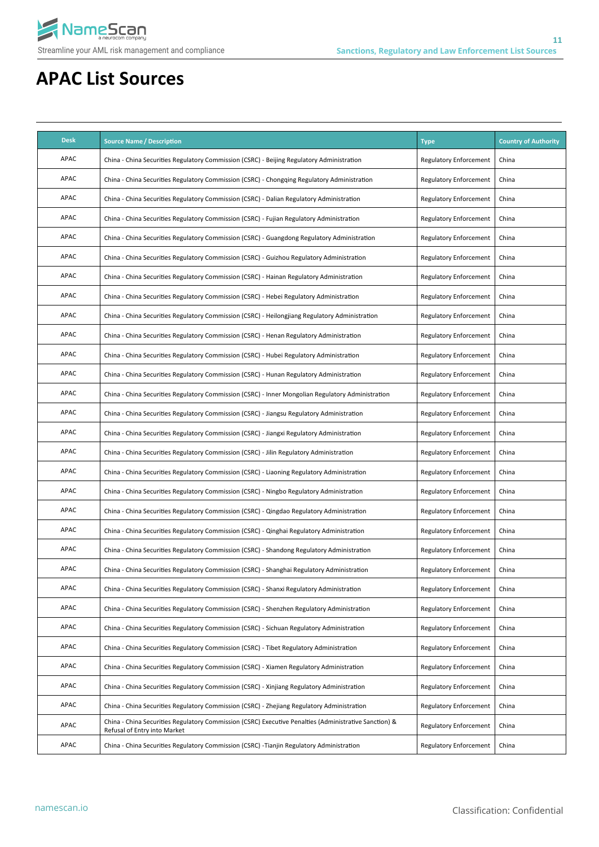

| <b>Desk</b> | <b>Source Name / Description</b>                                                                                                      | <b>Type</b>                   | <b>Country of Authority</b> |
|-------------|---------------------------------------------------------------------------------------------------------------------------------------|-------------------------------|-----------------------------|
| APAC        | China - China Securities Regulatory Commission (CSRC) - Beijing Regulatory Administration                                             | <b>Regulatory Enforcement</b> | China                       |
| APAC        | China - China Securities Regulatory Commission (CSRC) - Chongqing Regulatory Administration                                           | <b>Regulatory Enforcement</b> | China                       |
| APAC        | China - China Securities Regulatory Commission (CSRC) - Dalian Regulatory Administration                                              | <b>Regulatory Enforcement</b> | China                       |
| APAC        | China - China Securities Regulatory Commission (CSRC) - Fujian Regulatory Administration                                              | <b>Regulatory Enforcement</b> | China                       |
| APAC        | China - China Securities Regulatory Commission (CSRC) - Guangdong Regulatory Administration                                           | <b>Regulatory Enforcement</b> | China                       |
| APAC        | China - China Securities Regulatory Commission (CSRC) - Guizhou Regulatory Administration                                             | <b>Regulatory Enforcement</b> | China                       |
| APAC        | China - China Securities Regulatory Commission (CSRC) - Hainan Regulatory Administration                                              | <b>Regulatory Enforcement</b> | China                       |
| APAC        | China - China Securities Regulatory Commission (CSRC) - Hebei Regulatory Administration                                               | <b>Regulatory Enforcement</b> | China                       |
| APAC        | China - China Securities Regulatory Commission (CSRC) - Heilongjiang Regulatory Administration                                        | <b>Regulatory Enforcement</b> | China                       |
| <b>APAC</b> | China - China Securities Regulatory Commission (CSRC) - Henan Regulatory Administration                                               | <b>Regulatory Enforcement</b> | China                       |
| APAC        | China - China Securities Regulatory Commission (CSRC) - Hubei Regulatory Administration                                               | <b>Regulatory Enforcement</b> | China                       |
| <b>APAC</b> | China - China Securities Regulatory Commission (CSRC) - Hunan Regulatory Administration                                               | <b>Regulatory Enforcement</b> | China                       |
| APAC        | China - China Securities Regulatory Commission (CSRC) - Inner Mongolian Regulatory Administration                                     | <b>Regulatory Enforcement</b> | China                       |
| <b>APAC</b> | China - China Securities Regulatory Commission (CSRC) - Jiangsu Regulatory Administration                                             | <b>Regulatory Enforcement</b> | China                       |
| <b>APAC</b> | China - China Securities Regulatory Commission (CSRC) - Jiangxi Regulatory Administration                                             | <b>Regulatory Enforcement</b> | China                       |
| APAC        | China - China Securities Regulatory Commission (CSRC) - Jilin Regulatory Administration                                               | <b>Regulatory Enforcement</b> | China                       |
| APAC        | China - China Securities Regulatory Commission (CSRC) - Liaoning Regulatory Administration                                            | <b>Regulatory Enforcement</b> | China                       |
| APAC        | China - China Securities Regulatory Commission (CSRC) - Ningbo Regulatory Administration                                              | <b>Regulatory Enforcement</b> | China                       |
| APAC        | China - China Securities Regulatory Commission (CSRC) - Qingdao Regulatory Administration                                             | <b>Regulatory Enforcement</b> | China                       |
| APAC        | China - China Securities Regulatory Commission (CSRC) - Qinghai Regulatory Administration                                             | <b>Regulatory Enforcement</b> | China                       |
| APAC        | China - China Securities Regulatory Commission (CSRC) - Shandong Regulatory Administration                                            | <b>Regulatory Enforcement</b> | China                       |
| APAC        | China - China Securities Regulatory Commission (CSRC) - Shanghai Regulatory Administration                                            | <b>Regulatory Enforcement</b> | China                       |
| APAC        | China - China Securities Regulatory Commission (CSRC) - Shanxi Regulatory Administration                                              | <b>Regulatory Enforcement</b> | China                       |
| APAC        | China - China Securities Regulatory Commission (CSRC) - Shenzhen Regulatory Administration                                            | <b>Regulatory Enforcement</b> | China                       |
| APAC        | China - China Securities Regulatory Commission (CSRC) - Sichuan Regulatory Administration                                             | <b>Regulatory Enforcement</b> | China                       |
| APAC        | China - China Securities Regulatory Commission (CSRC) - Tibet Regulatory Administration                                               | <b>Regulatory Enforcement</b> | China                       |
| APAC        | China - China Securities Regulatory Commission (CSRC) - Xiamen Regulatory Administration                                              | <b>Regulatory Enforcement</b> | China                       |
| APAC        | China - China Securities Regulatory Commission (CSRC) - Xinjiang Regulatory Administration                                            | <b>Regulatory Enforcement</b> | China                       |
| APAC        | China - China Securities Regulatory Commission (CSRC) - Zhejiang Regulatory Administration                                            | <b>Regulatory Enforcement</b> | China                       |
| APAC        | China - China Securities Regulatory Commission (CSRC) Executive Penalties (Administrative Sanction) &<br>Refusal of Entry into Market | <b>Regulatory Enforcement</b> | China                       |
| APAC        | China - China Securities Regulatory Commission (CSRC) -Tianjin Regulatory Administration                                              | <b>Regulatory Enforcement</b> | China                       |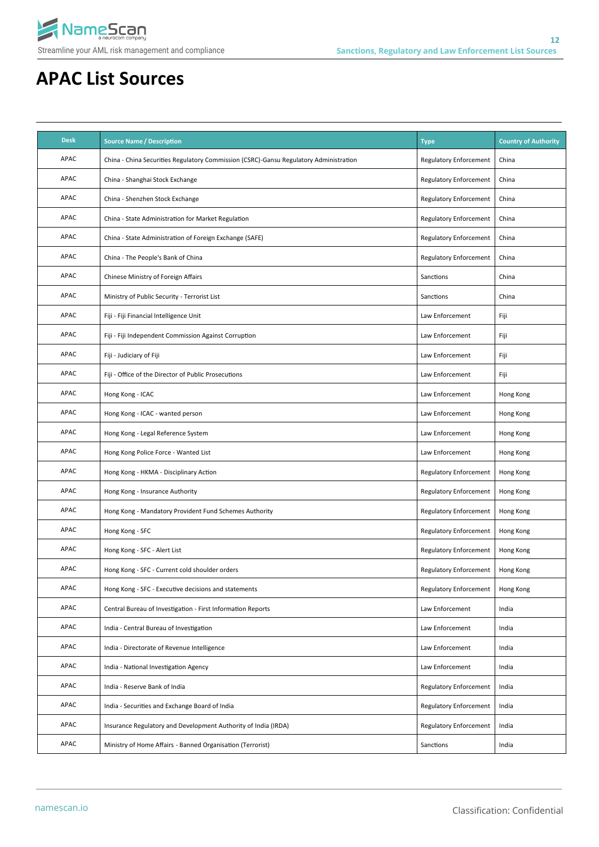

| <b>Desk</b> | <b>Source Name / Description</b>                                                      | <b>Type</b>                   | <b>Country of Authority</b> |
|-------------|---------------------------------------------------------------------------------------|-------------------------------|-----------------------------|
| APAC        | China - China Securities Regulatory Commission (CSRC)-Gansu Regulatory Administration | <b>Regulatory Enforcement</b> | China                       |
| APAC        | China - Shanghai Stock Exchange                                                       | <b>Regulatory Enforcement</b> | China                       |
| APAC        | China - Shenzhen Stock Exchange                                                       | <b>Regulatory Enforcement</b> | China                       |
| APAC        | China - State Administration for Market Regulation                                    | <b>Regulatory Enforcement</b> | China                       |
| APAC        | China - State Administration of Foreign Exchange (SAFE)                               | <b>Regulatory Enforcement</b> | China                       |
| APAC        | China - The People's Bank of China                                                    | <b>Regulatory Enforcement</b> | China                       |
| APAC        | Chinese Ministry of Foreign Affairs                                                   | Sanctions                     | China                       |
| APAC        | Ministry of Public Security - Terrorist List                                          | Sanctions                     | China                       |
| APAC        | Fiji - Fiji Financial Intelligence Unit                                               | Law Enforcement               | Fiji                        |
| APAC        | Fiji - Fiji Independent Commission Against Corruption                                 | Law Enforcement               | Fiji                        |
| APAC        | Fiji - Judiciary of Fiji                                                              | Law Enforcement               | Fiji                        |
| APAC        | Fiji - Office of the Director of Public Prosecutions                                  | Law Enforcement               | Fiji                        |
| APAC        | Hong Kong - ICAC                                                                      | Law Enforcement               | Hong Kong                   |
| APAC        | Hong Kong - ICAC - wanted person                                                      | Law Enforcement               | Hong Kong                   |
| APAC        | Hong Kong - Legal Reference System                                                    | Law Enforcement               | Hong Kong                   |
| APAC        | Hong Kong Police Force - Wanted List                                                  | Law Enforcement               | Hong Kong                   |
| APAC        | Hong Kong - HKMA - Disciplinary Action                                                | <b>Regulatory Enforcement</b> | Hong Kong                   |
| APAC        | Hong Kong - Insurance Authority                                                       | <b>Regulatory Enforcement</b> | Hong Kong                   |
| APAC        | Hong Kong - Mandatory Provident Fund Schemes Authority                                | <b>Regulatory Enforcement</b> | Hong Kong                   |
| APAC        | Hong Kong - SFC                                                                       | <b>Regulatory Enforcement</b> | Hong Kong                   |
| APAC        | Hong Kong - SFC - Alert List                                                          | <b>Regulatory Enforcement</b> | Hong Kong                   |
| APAC        | Hong Kong - SFC - Current cold shoulder orders                                        | <b>Regulatory Enforcement</b> | Hong Kong                   |
| APAC        | Hong Kong - SFC - Executive decisions and statements                                  | <b>Regulatory Enforcement</b> | Hong Kong                   |
| APAC        | Central Bureau of Investigation - First Information Reports                           | Law Enforcement               | India                       |
| APAC        | India - Central Bureau of Investigation                                               | Law Enforcement               | India                       |
| APAC        | India - Directorate of Revenue Intelligence                                           | Law Enforcement               | India                       |
| APAC        | India - National Investigation Agency                                                 | Law Enforcement               | India                       |
| APAC        | India - Reserve Bank of India                                                         | <b>Regulatory Enforcement</b> | India                       |
| APAC        | India - Securities and Exchange Board of India                                        | Regulatory Enforcement        | India                       |
| APAC        | Insurance Regulatory and Development Authority of India (IRDA)                        | <b>Regulatory Enforcement</b> | India                       |
| APAC        | Ministry of Home Affairs - Banned Organisation (Terrorist)                            | Sanctions                     | India                       |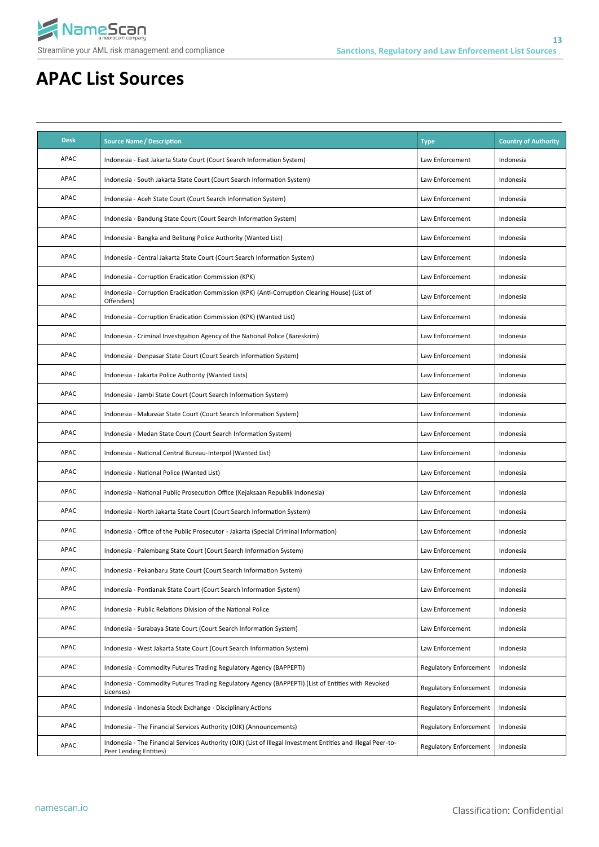

| <b>Desk</b> | <b>Source Name / Description</b>                                                                                                       | <b>Type</b>                   | <b>Country of Authority</b> |
|-------------|----------------------------------------------------------------------------------------------------------------------------------------|-------------------------------|-----------------------------|
| <b>APAC</b> | Indonesia - East Jakarta State Court (Court Search Information System)                                                                 | Law Enforcement               | Indonesia                   |
| APAC        | Indonesia - South Jakarta State Court (Court Search Information System)                                                                | Law Enforcement               | Indonesia                   |
| APAC        | Indonesia - Aceh State Court (Court Search Information System)                                                                         | Law Enforcement               | Indonesia                   |
| <b>APAC</b> | Indonesia - Bandung State Court (Court Search Information System)                                                                      | Law Enforcement               | Indonesia                   |
| <b>APAC</b> | Indonesia - Bangka and Belitung Police Authority (Wanted List)                                                                         | Law Enforcement               | Indonesia                   |
| <b>APAC</b> | Indonesia - Central Jakarta State Court (Court Search Information System)                                                              | Law Enforcement               | Indonesia                   |
| <b>APAC</b> | Indonesia - Corruption Eradication Commission (KPK)                                                                                    | Law Enforcement               | Indonesia                   |
| APAC        | Indonesia - Corruption Eradication Commission (KPK) (Anti-Corruption Clearing House) (List of<br>Offenders)                            | Law Enforcement               | Indonesia                   |
| <b>APAC</b> | Indonesia - Corruption Eradication Commission (KPK) (Wanted List)                                                                      | Law Enforcement               | Indonesia                   |
| <b>APAC</b> | Indonesia - Criminal Investigation Agency of the National Police (Bareskrim)                                                           | Law Enforcement               | Indonesia                   |
| <b>APAC</b> | Indonesia - Denpasar State Court (Court Search Information System)                                                                     | Law Enforcement               | Indonesia                   |
| <b>APAC</b> | Indonesia - Jakarta Police Authority (Wanted Lists)                                                                                    | Law Enforcement               | Indonesia                   |
| <b>APAC</b> | Indonesia - Jambi State Court (Court Search Information System)                                                                        | Law Enforcement               | Indonesia                   |
| <b>APAC</b> | Indonesia - Makassar State Court (Court Search Information System)                                                                     | Law Enforcement               | Indonesia                   |
| <b>APAC</b> | Indonesia - Medan State Court (Court Search Information System)                                                                        | Law Enforcement               | Indonesia                   |
| APAC        | Indonesia - National Central Bureau-Interpol (Wanted List)                                                                             | Law Enforcement               | Indonesia                   |
| APAC        | Indonesia - National Police (Wanted List)                                                                                              | Law Enforcement               | Indonesia                   |
| <b>APAC</b> | Indonesia - National Public Prosecution Office (Kejaksaan Republik Indonesia)                                                          | Law Enforcement               | Indonesia                   |
| APAC        | Indonesia - North Jakarta State Court (Court Search Information System)                                                                | Law Enforcement               | Indonesia                   |
| <b>APAC</b> | Indonesia - Office of the Public Prosecutor - Jakarta (Special Criminal Information)                                                   | Law Enforcement               | Indonesia                   |
| APAC        | Indonesia - Palembang State Court (Court Search Information System)                                                                    | Law Enforcement               | Indonesia                   |
| APAC        | Indonesia - Pekanbaru State Court (Court Search Information System)                                                                    | Law Enforcement               | Indonesia                   |
| APAC        | Indonesia - Pontianak State Court (Court Search Information System)                                                                    | Law Enforcement               | Indonesia                   |
| APAC        | Indonesia - Public Relations Division of the National Police                                                                           | Law Enforcement               | Indonesia                   |
| APAC        | Indonesia - Surabaya State Court (Court Search Information System)                                                                     | Law Enforcement               | Indonesia                   |
| APAC        | Indonesia - West Jakarta State Court (Court Search Information System)                                                                 | Law Enforcement               | Indonesia                   |
| APAC        | Indonesia - Commodity Futures Trading Regulatory Agency (BAPPEPTI)                                                                     | <b>Regulatory Enforcement</b> | Indonesia                   |
| APAC        | Indonesia - Commodity Futures Trading Regulatory Agency (BAPPEPTI) (List of Entities with Revoked<br>Licenses)                         | <b>Regulatory Enforcement</b> | Indonesia                   |
| APAC        | Indonesia - Indonesia Stock Exchange - Disciplinary Actions                                                                            | <b>Regulatory Enforcement</b> | Indonesia                   |
| APAC        | Indonesia - The Financial Services Authority (OJK) (Announcements)                                                                     | <b>Regulatory Enforcement</b> | Indonesia                   |
| APAC        | Indonesia - The Financial Services Authority (OJK) (List of Illegal Investment Entities and Illegal Peer-to-<br>Peer Lending Entities) | <b>Regulatory Enforcement</b> | Indonesia                   |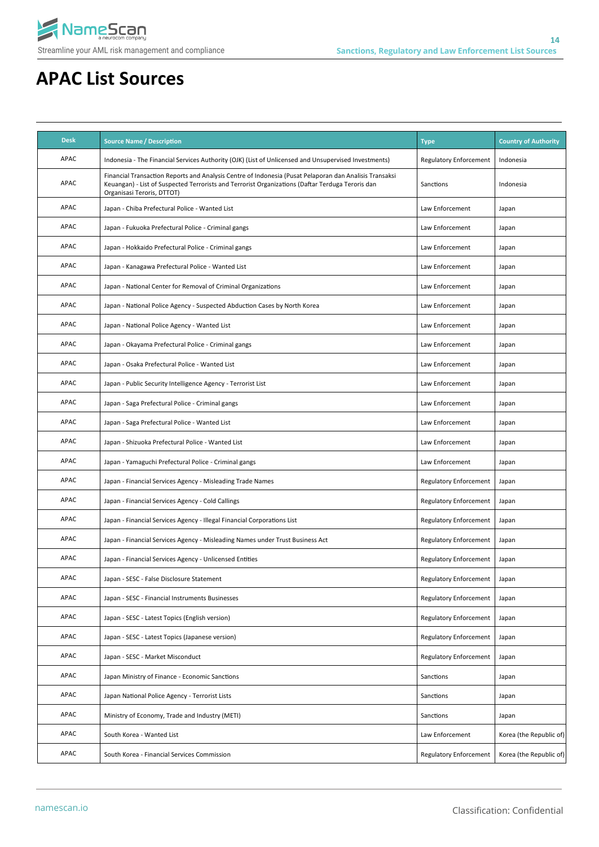

| <b>Desk</b> | <b>Source Name / Description</b>                                                                                                                                                                                                         | <b>Type</b>                   | <b>Country of Authority</b> |
|-------------|------------------------------------------------------------------------------------------------------------------------------------------------------------------------------------------------------------------------------------------|-------------------------------|-----------------------------|
| <b>APAC</b> | Indonesia - The Financial Services Authority (OJK) (List of Unlicensed and Unsupervised Investments)                                                                                                                                     | <b>Regulatory Enforcement</b> | Indonesia                   |
| APAC        | Financial Transaction Reports and Analysis Centre of Indonesia (Pusat Pelaporan dan Analisis Transaksi<br>Keuangan) - List of Suspected Terrorists and Terrorist Organizations (Daftar Terduga Teroris dan<br>Organisasi Teroris, DTTOT) | Sanctions                     | Indonesia                   |
| APAC        | Japan - Chiba Prefectural Police - Wanted List                                                                                                                                                                                           | Law Enforcement               | Japan                       |
| APAC        | Japan - Fukuoka Prefectural Police - Criminal gangs                                                                                                                                                                                      | Law Enforcement               | Japan                       |
| APAC        | Japan - Hokkaido Prefectural Police - Criminal gangs                                                                                                                                                                                     | Law Enforcement               | Japan                       |
| <b>APAC</b> | Japan - Kanagawa Prefectural Police - Wanted List                                                                                                                                                                                        | Law Enforcement               | Japan                       |
| APAC        | Japan - National Center for Removal of Criminal Organizations                                                                                                                                                                            | Law Enforcement               | Japan                       |
| <b>APAC</b> | Japan - National Police Agency - Suspected Abduction Cases by North Korea                                                                                                                                                                | Law Enforcement               | Japan                       |
| APAC        | Japan - National Police Agency - Wanted List                                                                                                                                                                                             | Law Enforcement               | Japan                       |
| APAC        | Japan - Okayama Prefectural Police - Criminal gangs                                                                                                                                                                                      | Law Enforcement               | Japan                       |
| APAC        | Japan - Osaka Prefectural Police - Wanted List                                                                                                                                                                                           | Law Enforcement               | Japan                       |
| <b>APAC</b> | Japan - Public Security Intelligence Agency - Terrorist List                                                                                                                                                                             | Law Enforcement               | Japan                       |
| APAC        | Japan - Saga Prefectural Police - Criminal gangs                                                                                                                                                                                         | Law Enforcement               | Japan                       |
| APAC        | Japan - Saga Prefectural Police - Wanted List                                                                                                                                                                                            | Law Enforcement               | Japan                       |
| APAC        | Japan - Shizuoka Prefectural Police - Wanted List                                                                                                                                                                                        | Law Enforcement               | Japan                       |
| APAC        | Japan - Yamaguchi Prefectural Police - Criminal gangs                                                                                                                                                                                    | Law Enforcement               | Japan                       |
| APAC        | Japan - Financial Services Agency - Misleading Trade Names                                                                                                                                                                               | <b>Regulatory Enforcement</b> | Japan                       |
| APAC        | Japan - Financial Services Agency - Cold Callings                                                                                                                                                                                        | <b>Regulatory Enforcement</b> | Japan                       |
| APAC        | Japan - Financial Services Agency - Illegal Financial Corporations List                                                                                                                                                                  | <b>Regulatory Enforcement</b> | Japan                       |
| APAC        | Japan - Financial Services Agency - Misleading Names under Trust Business Act                                                                                                                                                            | <b>Regulatory Enforcement</b> | Japan                       |
| <b>APAC</b> | Japan - Financial Services Agency - Unlicensed Entities                                                                                                                                                                                  | <b>Regulatory Enforcement</b> | Japan                       |
| APAC        | Japan - SESC - False Disclosure Statement                                                                                                                                                                                                | <b>Regulatory Enforcement</b> | Japan                       |
| APAC        | Japan - SESC - Financial Instruments Businesses                                                                                                                                                                                          | <b>Regulatory Enforcement</b> | Japan                       |
| APAC        | Japan - SESC - Latest Topics (English version)                                                                                                                                                                                           | <b>Regulatory Enforcement</b> | Japan                       |
| APAC        | Japan - SESC - Latest Topics (Japanese version)                                                                                                                                                                                          | <b>Regulatory Enforcement</b> | Japan                       |
| APAC        | Japan - SESC - Market Misconduct                                                                                                                                                                                                         | <b>Regulatory Enforcement</b> | Japan                       |
| APAC        | Japan Ministry of Finance - Economic Sanctions                                                                                                                                                                                           | Sanctions                     | Japan                       |
| APAC        | Japan National Police Agency - Terrorist Lists                                                                                                                                                                                           | Sanctions                     | Japan                       |
| APAC        | Ministry of Economy, Trade and Industry (METI)                                                                                                                                                                                           | Sanctions                     | Japan                       |
| APAC        | South Korea - Wanted List                                                                                                                                                                                                                | Law Enforcement               | Korea (the Republic of)     |
| APAC        | South Korea - Financial Services Commission                                                                                                                                                                                              | <b>Regulatory Enforcement</b> | Korea (the Republic of)     |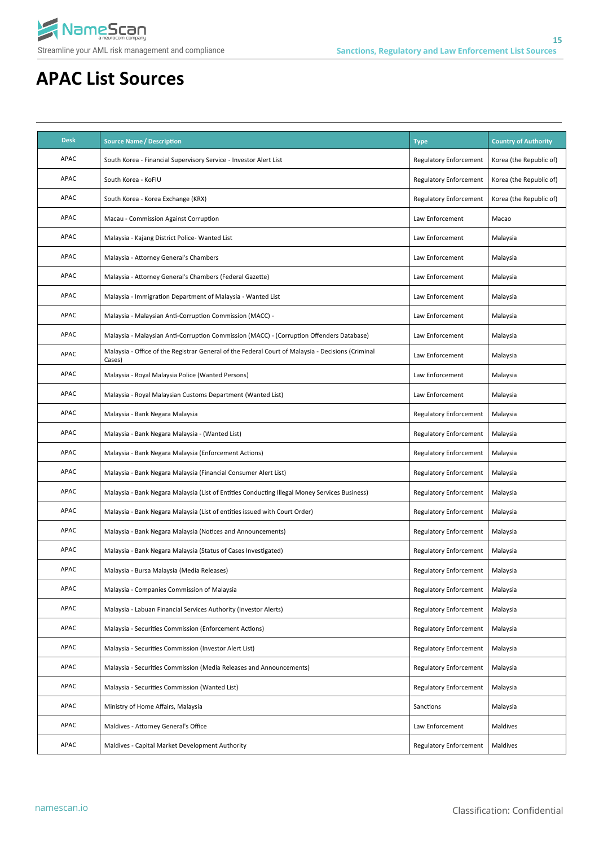

| <b>Desk</b> | <b>Source Name / Description</b>                                                                            | <b>Type</b>                   | <b>Country of Authority</b> |
|-------------|-------------------------------------------------------------------------------------------------------------|-------------------------------|-----------------------------|
| APAC        | South Korea - Financial Supervisory Service - Investor Alert List                                           | <b>Regulatory Enforcement</b> | Korea (the Republic of)     |
| APAC        | South Korea - KoFIU                                                                                         | <b>Regulatory Enforcement</b> | Korea (the Republic of)     |
| APAC        | South Korea - Korea Exchange (KRX)                                                                          | <b>Regulatory Enforcement</b> | Korea (the Republic of)     |
| APAC        | Macau - Commission Against Corruption                                                                       | Law Enforcement               | Macao                       |
| APAC        | Malaysia - Kajang District Police- Wanted List                                                              | Law Enforcement               | Malaysia                    |
| APAC        | Malaysia - Attorney General's Chambers                                                                      | Law Enforcement               | Malaysia                    |
| APAC        | Malaysia - Attorney General's Chambers (Federal Gazette)                                                    | Law Enforcement               | Malaysia                    |
| APAC        | Malaysia - Immigration Department of Malaysia - Wanted List                                                 | Law Enforcement               | Malaysia                    |
| APAC        | Malaysia - Malaysian Anti-Corruption Commission (MACC) -                                                    | Law Enforcement               | Malaysia                    |
| APAC        | Malaysia - Malaysian Anti-Corruption Commission (MACC) - (Corruption Offenders Database)                    | Law Enforcement               | Malaysia                    |
| APAC        | Malaysia - Office of the Registrar General of the Federal Court of Malaysia - Decisions (Criminal<br>Cases) | Law Enforcement               | Malaysia                    |
| APAC        | Malaysia - Royal Malaysia Police (Wanted Persons)                                                           | Law Enforcement               | Malaysia                    |
| APAC        | Malaysia - Royal Malaysian Customs Department (Wanted List)                                                 | Law Enforcement               | Malaysia                    |
| APAC        | Malaysia - Bank Negara Malaysia                                                                             | <b>Regulatory Enforcement</b> | Malaysia                    |
| APAC        | Malaysia - Bank Negara Malaysia - (Wanted List)                                                             | <b>Regulatory Enforcement</b> | Malaysia                    |
| APAC        | Malaysia - Bank Negara Malaysia (Enforcement Actions)                                                       | <b>Regulatory Enforcement</b> | Malaysia                    |
| APAC        | Malaysia - Bank Negara Malaysia (Financial Consumer Alert List)                                             | <b>Regulatory Enforcement</b> | Malaysia                    |
| APAC        | Malaysia - Bank Negara Malaysia (List of Entities Conducting Illegal Money Services Business)               | <b>Regulatory Enforcement</b> | Malaysia                    |
| APAC        | Malaysia - Bank Negara Malaysia (List of entities issued with Court Order)                                  | <b>Regulatory Enforcement</b> | Malaysia                    |
| APAC        | Malaysia - Bank Negara Malaysia (Notices and Announcements)                                                 | <b>Regulatory Enforcement</b> | Malaysia                    |
| APAC        | Malaysia - Bank Negara Malaysia (Status of Cases Investigated)                                              | <b>Regulatory Enforcement</b> | Malaysia                    |
| APAC        | Malaysia - Bursa Malaysia (Media Releases)                                                                  | <b>Regulatory Enforcement</b> | Malaysia                    |
| APAC        | Malaysia - Companies Commission of Malaysia                                                                 | <b>Regulatory Enforcement</b> | Malaysia                    |
| APAC        | Malaysia - Labuan Financial Services Authority (Investor Alerts)                                            | <b>Regulatory Enforcement</b> | Malaysia                    |
| APAC        | Malaysia - Securities Commission (Enforcement Actions)                                                      | <b>Regulatory Enforcement</b> | Malaysia                    |
| APAC        | Malaysia - Securities Commission (Investor Alert List)                                                      | <b>Regulatory Enforcement</b> | Malaysia                    |
| APAC        | Malaysia - Securities Commission (Media Releases and Announcements)                                         | <b>Regulatory Enforcement</b> | Malaysia                    |
| APAC        | Malaysia - Securities Commission (Wanted List)                                                              | <b>Regulatory Enforcement</b> | Malaysia                    |
| APAC        | Ministry of Home Affairs, Malaysia                                                                          | Sanctions                     | Malaysia                    |
| APAC        | Maldives - Attorney General's Office                                                                        | Law Enforcement               | Maldives                    |
| APAC        | Maldives - Capital Market Development Authority                                                             | <b>Regulatory Enforcement</b> | Maldives                    |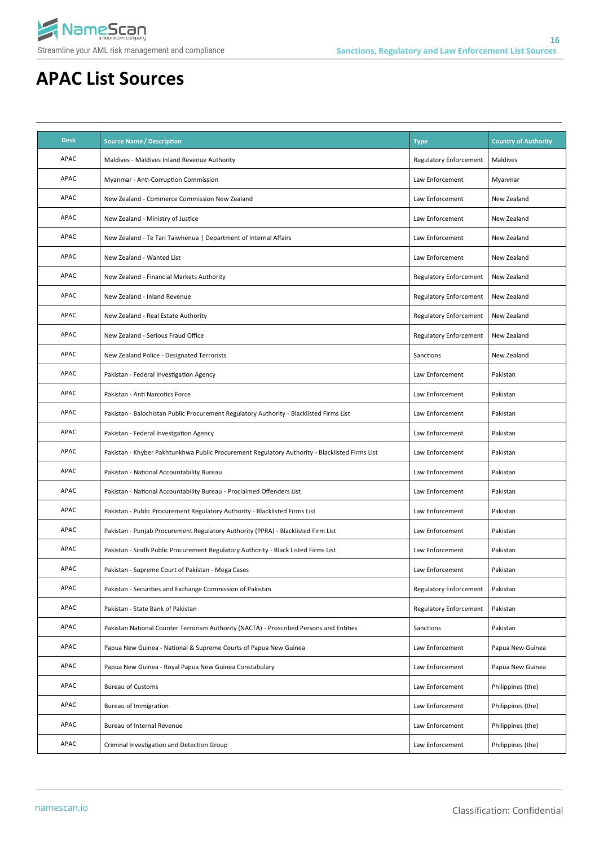

| <b>Desk</b> | <b>Source Name / Description</b>                                                               | <b>Type</b>                   | <b>Country of Authority</b> |
|-------------|------------------------------------------------------------------------------------------------|-------------------------------|-----------------------------|
| APAC        | Maldives - Maldives Inland Revenue Authority                                                   | <b>Regulatory Enforcement</b> | Maldives                    |
| APAC        | Myanmar - Anti-Corruption Commission                                                           | Law Enforcement               | Myanmar                     |
| APAC        | New Zealand - Commerce Commission New Zealand                                                  | Law Enforcement               | New Zealand                 |
| APAC        | New Zealand - Ministry of Justice                                                              | Law Enforcement               | New Zealand                 |
| APAC        | New Zealand - Te Tari Taiwhenua   Department of Internal Affairs                               | Law Enforcement               | New Zealand                 |
| APAC        | New Zealand - Wanted List                                                                      | Law Enforcement               | New Zealand                 |
| APAC        | New Zealand - Financial Markets Authority                                                      | <b>Regulatory Enforcement</b> | New Zealand                 |
| APAC        | New Zealand - Inland Revenue                                                                   | Regulatory Enforcement        | New Zealand                 |
| APAC        | New Zealand - Real Estate Authority                                                            | <b>Regulatory Enforcement</b> | New Zealand                 |
| APAC        | New Zealand - Serious Fraud Office                                                             | <b>Regulatory Enforcement</b> | New Zealand                 |
| APAC        | New Zealand Police - Designated Terrorists                                                     | Sanctions                     | New Zealand                 |
| APAC        | Pakistan - Federal Investigation Agency                                                        | Law Enforcement               | Pakistan                    |
| APAC        | Pakistan - Anti Narcotics Force                                                                | Law Enforcement               | Pakistan                    |
| APAC        | Pakistan - Balochistan Public Procurement Regulatory Authority - Blacklisted Firms List        | Law Enforcement               | Pakistan                    |
| APAC        | Pakistan - Federal Investgation Agency                                                         | Law Enforcement               | Pakistan                    |
| APAC        | Pakistan - Khyber Pakhtunkhwa Public Procurement Regulatory Authority - Blacklisted Firms List | Law Enforcement               | Pakistan                    |
| APAC        | Pakistan - National Accountability Bureau                                                      | Law Enforcement               | Pakistan                    |
| APAC        | Pakistan - National Accountability Bureau - Proclaimed Offenders List                          | Law Enforcement               | Pakistan                    |
| APAC        | Pakistan - Public Procurement Regulatory Authority - Blacklisted Firms List                    | Law Enforcement               | Pakistan                    |
| APAC        | Pakistan - Punjab Procurement Regulatory Authority (PPRA) - Blacklisted Firm List              | Law Enforcement               | Pakistan                    |
| APAC        | Pakistan - Sindh Public Procurement Regulatory Authority - Black Listed Firms List             | Law Enforcement               | Pakistan                    |
| APAC        | Pakistan - Supreme Court of Pakistan - Mega Cases                                              | Law Enforcement               | Pakistan                    |
| APAC        | Pakistan - Securities and Exchange Commission of Pakistan                                      | <b>Regulatory Enforcement</b> | Pakistan                    |
| APAC        | Pakistan - State Bank of Pakistan                                                              | <b>Regulatory Enforcement</b> | Pakistan                    |
| APAC        | Pakistan National Counter Terrorism Authority (NACTA) - Proscribed Persons and Entities        | Sanctions                     | Pakistan                    |
| APAC        | Papua New Guinea - National & Supreme Courts of Papua New Guinea                               | Law Enforcement               | Papua New Guinea            |
| APAC        | Papua New Guinea - Royal Papua New Guinea Constabulary                                         | Law Enforcement               | Papua New Guinea            |
| APAC        | <b>Bureau of Customs</b>                                                                       | Law Enforcement               | Philippines (the)           |
| APAC        | Bureau of Immigration                                                                          | Law Enforcement               | Philippines (the)           |
| APAC        | Bureau of Internal Revenue                                                                     | Law Enforcement               | Philippines (the)           |
| APAC        | Criminal Investigation and Detection Group                                                     | Law Enforcement               | Philippines (the)           |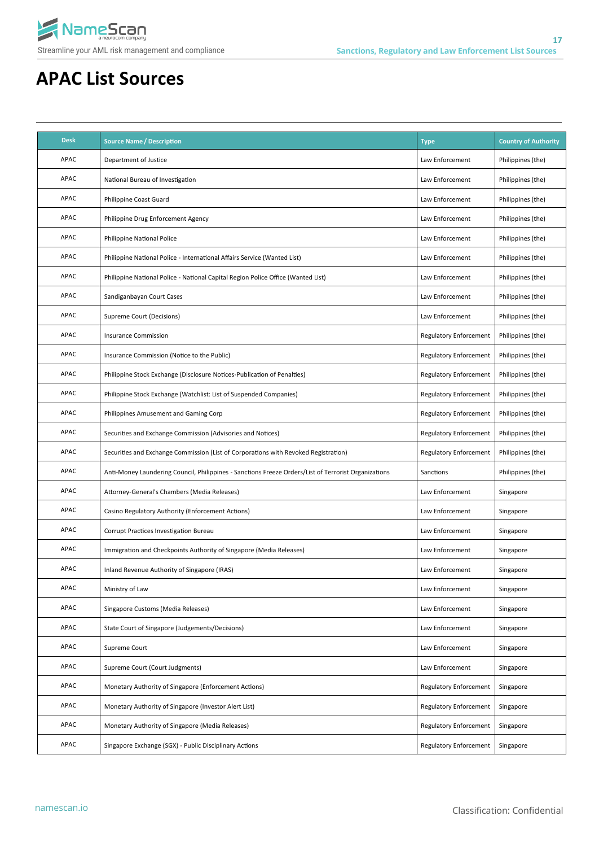

| <b>Desk</b> | <b>Source Name / Description</b>                                                                     | <b>Type</b>                   | <b>Country of Authority</b> |
|-------------|------------------------------------------------------------------------------------------------------|-------------------------------|-----------------------------|
| <b>APAC</b> | Department of Justice                                                                                | Law Enforcement               | Philippines (the)           |
| <b>APAC</b> | National Bureau of Investigation                                                                     | Law Enforcement               | Philippines (the)           |
| <b>APAC</b> | <b>Philippine Coast Guard</b>                                                                        | Law Enforcement               | Philippines (the)           |
| <b>APAC</b> | Philippine Drug Enforcement Agency                                                                   | Law Enforcement               | Philippines (the)           |
| APAC        | Philippine National Police                                                                           | Law Enforcement               | Philippines (the)           |
| <b>APAC</b> | Philippine National Police - International Affairs Service (Wanted List)                             | Law Enforcement               | Philippines (the)           |
| APAC        | Philippine National Police - National Capital Region Police Office (Wanted List)                     | Law Enforcement               | Philippines (the)           |
| APAC        | Sandiganbayan Court Cases                                                                            | Law Enforcement               | Philippines (the)           |
| APAC        | Supreme Court (Decisions)                                                                            | Law Enforcement               | Philippines (the)           |
| APAC        | <b>Insurance Commission</b>                                                                          | <b>Regulatory Enforcement</b> | Philippines (the)           |
| APAC        | Insurance Commission (Notice to the Public)                                                          | <b>Regulatory Enforcement</b> | Philippines (the)           |
| APAC        | Philippine Stock Exchange (Disclosure Notices-Publication of Penalties)                              | <b>Regulatory Enforcement</b> | Philippines (the)           |
| APAC        | Philippine Stock Exchange (Watchlist: List of Suspended Companies)                                   | <b>Regulatory Enforcement</b> | Philippines (the)           |
| APAC        | Philippines Amusement and Gaming Corp                                                                | <b>Regulatory Enforcement</b> | Philippines (the)           |
| APAC        | Securities and Exchange Commission (Advisories and Notices)                                          | <b>Regulatory Enforcement</b> | Philippines (the)           |
| APAC        | Securities and Exchange Commission (List of Corporations with Revoked Registration)                  | <b>Regulatory Enforcement</b> | Philippines (the)           |
| APAC        | Anti-Money Laundering Council, Philippines - Sanctions Freeze Orders/List of Terrorist Organizations | Sanctions                     | Philippines (the)           |
| <b>APAC</b> | Attorney-General's Chambers (Media Releases)                                                         | Law Enforcement               | Singapore                   |
| APAC        | Casino Regulatory Authority (Enforcement Actions)                                                    | Law Enforcement               | Singapore                   |
| <b>APAC</b> | Corrupt Practices Investigation Bureau                                                               | Law Enforcement               | Singapore                   |
| APAC        | Immigration and Checkpoints Authority of Singapore (Media Releases)                                  | Law Enforcement               | Singapore                   |
| APAC        | Inland Revenue Authority of Singapore (IRAS)                                                         | Law Enforcement               | Singapore                   |
| APAC        | Ministry of Law                                                                                      | Law Enforcement               | Singapore                   |
| APAC        | Singapore Customs (Media Releases)                                                                   | Law Enforcement               | Singapore                   |
| APAC        | State Court of Singapore (Judgements/Decisions)                                                      | Law Enforcement               | Singapore                   |
| APAC        | Supreme Court                                                                                        | Law Enforcement               | Singapore                   |
| APAC        | Supreme Court (Court Judgments)                                                                      | Law Enforcement               | Singapore                   |
| APAC        | Monetary Authority of Singapore (Enforcement Actions)                                                | <b>Regulatory Enforcement</b> | Singapore                   |
| APAC        | Monetary Authority of Singapore (Investor Alert List)                                                | <b>Regulatory Enforcement</b> | Singapore                   |
| APAC        | Monetary Authority of Singapore (Media Releases)                                                     | <b>Regulatory Enforcement</b> | Singapore                   |
| APAC        | Singapore Exchange (SGX) - Public Disciplinary Actions                                               | <b>Regulatory Enforcement</b> | Singapore                   |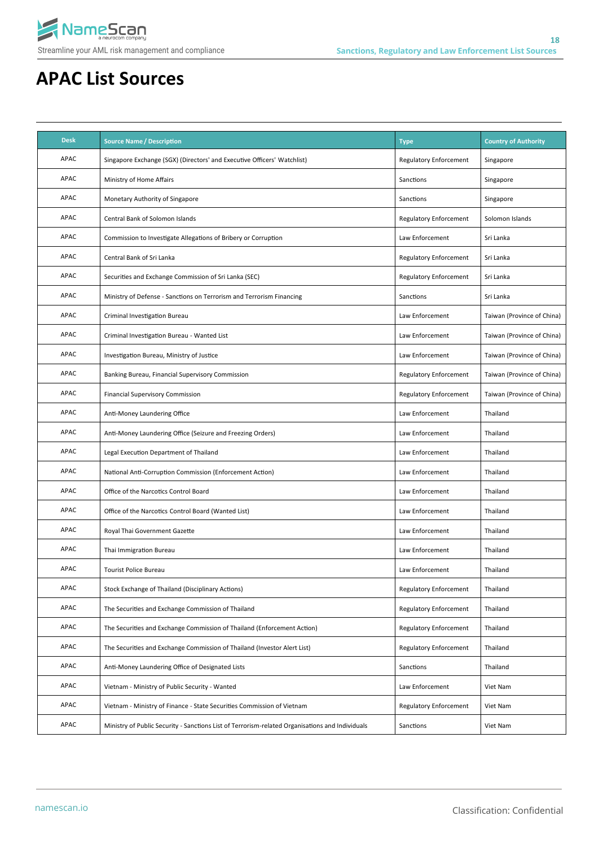

| <b>Desk</b> | <b>Source Name / Description</b>                                                                | <b>Type</b>                   | <b>Country of Authority</b> |
|-------------|-------------------------------------------------------------------------------------------------|-------------------------------|-----------------------------|
| APAC        | Singapore Exchange (SGX) (Directors' and Executive Officers' Watchlist)                         | Regulatory Enforcement        | Singapore                   |
| APAC        | Ministry of Home Affairs                                                                        | Sanctions                     | Singapore                   |
| APAC        | Monetary Authority of Singapore                                                                 | Sanctions                     | Singapore                   |
| APAC        | Central Bank of Solomon Islands                                                                 | Regulatory Enforcement        | Solomon Islands             |
| APAC        | Commission to Investigate Allegations of Bribery or Corruption                                  | Law Enforcement               | Sri Lanka                   |
| APAC        | Central Bank of Sri Lanka                                                                       | Regulatory Enforcement        | Sri Lanka                   |
| APAC        | Securities and Exchange Commission of Sri Lanka (SEC)                                           | Regulatory Enforcement        | Sri Lanka                   |
| APAC        | Ministry of Defense - Sanctions on Terrorism and Terrorism Financing                            | Sanctions                     | Sri Lanka                   |
| APAC        | Criminal Investigation Bureau                                                                   | Law Enforcement               | Taiwan (Province of China)  |
| APAC        | Criminal Investigation Bureau - Wanted List                                                     | Law Enforcement               | Taiwan (Province of China)  |
| APAC        | Investigation Bureau, Ministry of Justice                                                       | Law Enforcement               | Taiwan (Province of China)  |
| APAC        | Banking Bureau, Financial Supervisory Commission                                                | <b>Regulatory Enforcement</b> | Taiwan (Province of China)  |
| APAC        | <b>Financial Supervisory Commission</b>                                                         | <b>Regulatory Enforcement</b> | Taiwan (Province of China)  |
| <b>APAC</b> | Anti-Money Laundering Office                                                                    | Law Enforcement               | Thailand                    |
| <b>APAC</b> | Anti-Money Laundering Office (Seizure and Freezing Orders)                                      | Law Enforcement               | Thailand                    |
| APAC        | Legal Execution Department of Thailand                                                          | Law Enforcement               | Thailand                    |
| APAC        | National Anti-Corruption Commission (Enforcement Action)                                        | Law Enforcement               | Thailand                    |
| APAC        | Office of the Narcotics Control Board                                                           | Law Enforcement               | Thailand                    |
| APAC        | Office of the Narcotics Control Board (Wanted List)                                             | Law Enforcement               | Thailand                    |
| APAC        | Royal Thai Government Gazette                                                                   | Law Enforcement               | Thailand                    |
| APAC        | Thai Immigration Bureau                                                                         | Law Enforcement               | Thailand                    |
| APAC        | <b>Tourist Police Bureau</b>                                                                    | Law Enforcement               | Thailand                    |
| APAC        | Stock Exchange of Thailand (Disciplinary Actions)                                               | Regulatory Enforcement        | Thailand                    |
| APAC        | The Securities and Exchange Commission of Thailand                                              | <b>Regulatory Enforcement</b> | Thailand                    |
| APAC        | The Securities and Exchange Commission of Thailand (Enforcement Action)                         | Regulatory Enforcement        | Thailand                    |
| APAC        | The Securities and Exchange Commission of Thailand (Investor Alert List)                        | Regulatory Enforcement        | Thailand                    |
| APAC        | Anti-Money Laundering Office of Designated Lists                                                | Sanctions                     | Thailand                    |
| APAC        | Vietnam - Ministry of Public Security - Wanted                                                  | Law Enforcement               | Viet Nam                    |
| APAC        | Vietnam - Ministry of Finance - State Securities Commission of Vietnam                          | Regulatory Enforcement        | Viet Nam                    |
| APAC        | Ministry of Public Security - Sanctions List of Terrorism-related Organisations and Individuals | Sanctions                     | Viet Nam                    |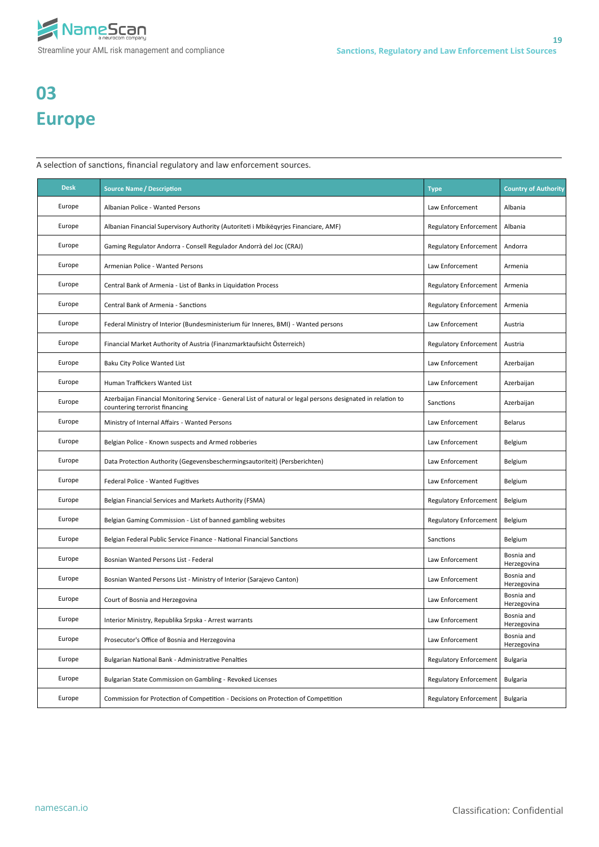

# **03 Europe**

A selection of sanctions, financial regulatory and law enforcement sources.

| <b>Desk</b> | <b>Source Name / Description</b>                                                                                                               | <b>Type</b>                   | <b>Country of Authority</b> |
|-------------|------------------------------------------------------------------------------------------------------------------------------------------------|-------------------------------|-----------------------------|
| Europe      | Albanian Police - Wanted Persons                                                                                                               | Law Enforcement               | Albania                     |
| Europe      | Albanian Financial Supervisory Authority (Autoriteti i Mbikëqyrjes Financiare, AMF)                                                            | <b>Regulatory Enforcement</b> | Albania                     |
| Europe      | Gaming Regulator Andorra - Consell Regulador Andorrà del Joc (CRAJ)                                                                            | Regulatory Enforcement        | Andorra                     |
| Europe      | Armenian Police - Wanted Persons                                                                                                               | Law Enforcement               | Armenia                     |
| Europe      | Central Bank of Armenia - List of Banks in Liquidation Process                                                                                 | <b>Regulatory Enforcement</b> | Armenia                     |
| Europe      | Central Bank of Armenia - Sanctions                                                                                                            | Regulatory Enforcement        | Armenia                     |
| Europe      | Federal Ministry of Interior (Bundesministerium für Inneres, BMI) - Wanted persons                                                             | Law Enforcement               | Austria                     |
| Europe      | Financial Market Authority of Austria (Finanzmarktaufsicht Österreich)                                                                         | Regulatory Enforcement        | Austria                     |
| Europe      | Baku City Police Wanted List                                                                                                                   | Law Enforcement               | Azerbaijan                  |
| Europe      | Human Traffickers Wanted List                                                                                                                  | Law Enforcement               | Azerbaijan                  |
| Europe      | Azerbaijan Financial Monitoring Service - General List of natural or legal persons designated in relation to<br>countering terrorist financing | Sanctions                     | Azerbaijan                  |
| Europe      | Ministry of Internal Affairs - Wanted Persons                                                                                                  | Law Enforcement               | Belarus                     |
| Europe      | Belgian Police - Known suspects and Armed robberies                                                                                            | Law Enforcement               | Belgium                     |
| Europe      | Data Protection Authority (Gegevensbeschermingsautoriteit) (Persberichten)                                                                     | Law Enforcement               | Belgium                     |
| Europe      | Federal Police - Wanted Fugitives                                                                                                              | Law Enforcement               | Belgium                     |
| Europe      | Belgian Financial Services and Markets Authority (FSMA)                                                                                        | Regulatory Enforcement        | Belgium                     |
| Europe      | Belgian Gaming Commission - List of banned gambling websites                                                                                   | <b>Regulatory Enforcement</b> | Belgium                     |
| Europe      | Belgian Federal Public Service Finance - National Financial Sanctions                                                                          | Sanctions                     | Belgium                     |
| Europe      | Bosnian Wanted Persons List - Federal                                                                                                          | Law Enforcement               | Bosnia and<br>Herzegovina   |
| Europe      | Bosnian Wanted Persons List - Ministry of Interior (Sarajevo Canton)                                                                           | Law Enforcement               | Bosnia and<br>Herzegovina   |
| Europe      | Court of Bosnia and Herzegovina                                                                                                                | Law Enforcement               | Bosnia and<br>Herzegovina   |
| Europe      | Interior Ministry, Republika Srpska - Arrest warrants                                                                                          | Law Enforcement               | Bosnia and<br>Herzegovina   |
| Europe      | Prosecutor's Office of Bosnia and Herzegovina                                                                                                  | Law Enforcement               | Bosnia and<br>Herzegovina   |
| Europe      | Bulgarian National Bank - Administrative Penalties                                                                                             | Regulatory Enforcement        | Bulgaria                    |
| Europe      | Bulgarian State Commission on Gambling - Revoked Licenses                                                                                      | Regulatory Enforcement        | Bulgaria                    |
| Europe      | Commission for Protection of Competition - Decisions on Protection of Competition                                                              | Regulatory Enforcement        | Bulgaria                    |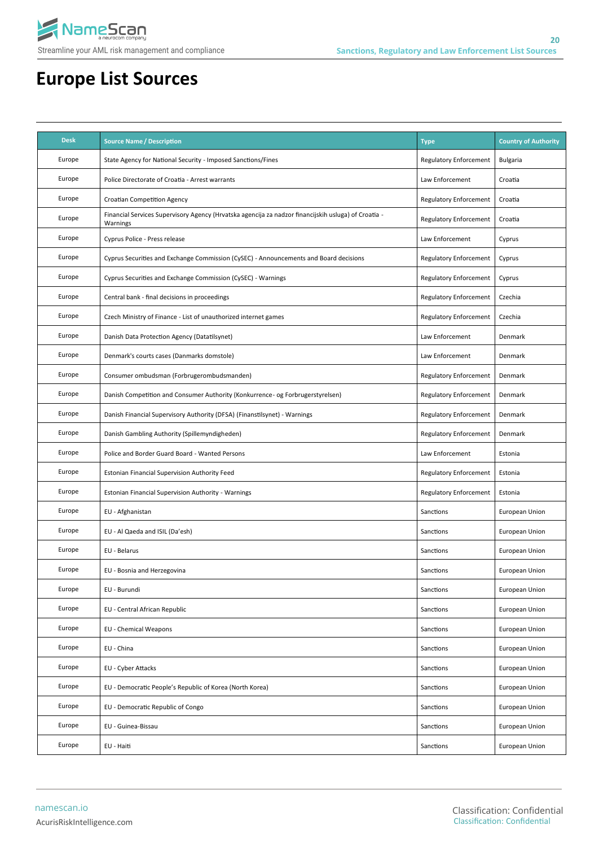

| <b>Desk</b> | <b>Source Name / Description</b>                                                                                 | <b>Type</b>                   | <b>Country of Authority</b> |
|-------------|------------------------------------------------------------------------------------------------------------------|-------------------------------|-----------------------------|
| Europe      | State Agency for National Security - Imposed Sanctions/Fines                                                     | <b>Regulatory Enforcement</b> | <b>Bulgaria</b>             |
| Europe      | Police Directorate of Croatia - Arrest warrants                                                                  | Law Enforcement               | Croatia                     |
| Europe      | Croatian Competition Agency                                                                                      | <b>Regulatory Enforcement</b> | Croatia                     |
| Europe      | Financial Services Supervisory Agency (Hrvatska agencija za nadzor financijskih usluga) of Croatia -<br>Warnings | <b>Regulatory Enforcement</b> | Croatia                     |
| Europe      | Cyprus Police - Press release                                                                                    | Law Enforcement               | Cyprus                      |
| Europe      | Cyprus Securities and Exchange Commission (CySEC) - Announcements and Board decisions                            | <b>Regulatory Enforcement</b> | Cyprus                      |
| Europe      | Cyprus Securities and Exchange Commission (CySEC) - Warnings                                                     | <b>Regulatory Enforcement</b> | Cyprus                      |
| Europe      | Central bank - final decisions in proceedings                                                                    | <b>Regulatory Enforcement</b> | Czechia                     |
| Europe      | Czech Ministry of Finance - List of unauthorized internet games                                                  | <b>Regulatory Enforcement</b> | Czechia                     |
| Europe      | Danish Data Protection Agency (Datatilsynet)                                                                     | Law Enforcement               | Denmark                     |
| Europe      | Denmark's courts cases (Danmarks domstole)                                                                       | Law Enforcement               | Denmark                     |
| Europe      | Consumer ombudsman (Forbrugerombudsmanden)                                                                       | <b>Regulatory Enforcement</b> | Denmark                     |
| Europe      | Danish Competition and Consumer Authority (Konkurrence- og Forbrugerstyrelsen)                                   | <b>Regulatory Enforcement</b> | Denmark                     |
| Europe      | Danish Financial Supervisory Authority (DFSA) (Finanstilsynet) - Warnings                                        | <b>Regulatory Enforcement</b> | Denmark                     |
| Europe      | Danish Gambling Authority (Spillemyndigheden)                                                                    | <b>Regulatory Enforcement</b> | Denmark                     |
| Europe      | Police and Border Guard Board - Wanted Persons                                                                   | Law Enforcement               | Estonia                     |
| Europe      | Estonian Financial Supervision Authority Feed                                                                    | <b>Regulatory Enforcement</b> | Estonia                     |
| Europe      | Estonian Financial Supervision Authority - Warnings                                                              | <b>Regulatory Enforcement</b> | Estonia                     |
| Europe      | EU - Afghanistan                                                                                                 | Sanctions                     | European Union              |
| Europe      | EU - Al Qaeda and ISIL (Da'esh)                                                                                  | Sanctions                     | European Union              |
| Europe      | EU - Belarus                                                                                                     | Sanctions                     | European Union              |
| Europe      | EU - Bosnia and Herzegovina                                                                                      | Sanctions                     | European Union              |
| Europe      | EU - Burundi                                                                                                     | Sanctions                     | European Union              |
| Europe      | EU - Central African Republic                                                                                    | Sanctions                     | European Union              |
| Europe      | <b>EU - Chemical Weapons</b>                                                                                     | Sanctions                     | European Union              |
| Europe      | EU - China                                                                                                       | Sanctions                     | European Union              |
| Europe      | EU - Cyber Attacks                                                                                               | Sanctions                     | European Union              |
| Europe      | EU - Democratic People's Republic of Korea (North Korea)                                                         | Sanctions                     | European Union              |
| Europe      | EU - Democratic Republic of Congo                                                                                | Sanctions                     | European Union              |
| Europe      | EU - Guinea-Bissau                                                                                               | Sanctions                     | European Union              |
| Europe      | EU - Haiti                                                                                                       | Sanctions                     | European Union              |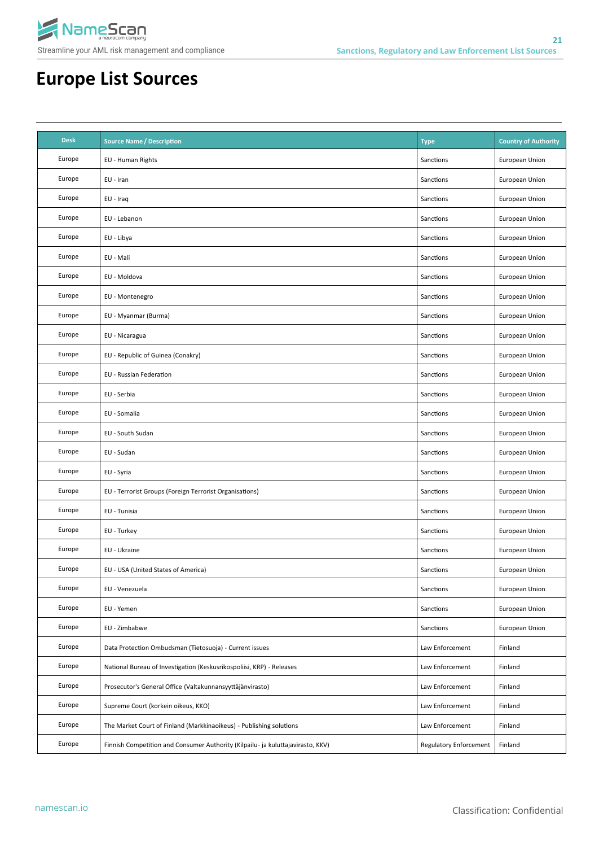

| <b>Desk</b> | <b>Source Name / Description</b>                                                | <b>Type</b>            | <b>Country of Authority</b> |
|-------------|---------------------------------------------------------------------------------|------------------------|-----------------------------|
| Europe      | EU - Human Rights                                                               | Sanctions              | European Union              |
| Europe      | EU - Iran                                                                       | Sanctions              | European Union              |
| Europe      | EU - Iraq                                                                       | Sanctions              | European Union              |
| Europe      | EU - Lebanon                                                                    | Sanctions              | European Union              |
| Europe      | EU - Libya                                                                      | Sanctions              | European Union              |
| Europe      | EU - Mali                                                                       | Sanctions              | European Union              |
| Europe      | EU - Moldova                                                                    | Sanctions              | European Union              |
| Europe      | EU - Montenegro                                                                 | Sanctions              | European Union              |
| Europe      | EU - Myanmar (Burma)                                                            | Sanctions              | European Union              |
| Europe      | EU - Nicaragua                                                                  | Sanctions              | European Union              |
| Europe      | EU - Republic of Guinea (Conakry)                                               | Sanctions              | European Union              |
| Europe      | EU - Russian Federation                                                         | Sanctions              | European Union              |
| Europe      | EU - Serbia                                                                     | Sanctions              | European Union              |
| Europe      | EU - Somalia                                                                    | Sanctions              | European Union              |
| Europe      | EU - South Sudan                                                                | Sanctions              | European Union              |
| Europe      | EU - Sudan                                                                      | Sanctions              | European Union              |
| Europe      | EU - Syria                                                                      | Sanctions              | European Union              |
| Europe      | EU - Terrorist Groups (Foreign Terrorist Organisations)                         | Sanctions              | European Union              |
| Europe      | EU - Tunisia                                                                    | Sanctions              | European Union              |
| Europe      | EU - Turkey                                                                     | Sanctions              | European Union              |
| Europe      | EU - Ukraine                                                                    | Sanctions              | European Union              |
| Europe      | EU - USA (United States of America)                                             | Sanctions              | European Union              |
| Europe      | EU - Venezuela                                                                  | Sanctions              | European Union              |
| Europe      | EU - Yemen                                                                      | Sanctions              | European Union              |
| Europe      | EU - Zimbabwe                                                                   | Sanctions              | European Union              |
| Europe      | Data Protection Ombudsman (Tietosuoja) - Current issues                         | Law Enforcement        | Finland                     |
| Europe      | National Bureau of Investigation (Keskusrikospoliisi, KRP) - Releases           | Law Enforcement        | Finland                     |
| Europe      | Prosecutor's General Office (Valtakunnansyyttäjänvirasto)                       | Law Enforcement        | Finland                     |
| Europe      | Supreme Court (korkein oikeus, KKO)                                             | Law Enforcement        | Finland                     |
| Europe      | The Market Court of Finland (Markkinaoikeus) - Publishing solutions             | Law Enforcement        | Finland                     |
| Europe      | Finnish Competition and Consumer Authority (Kilpailu- ja kuluttajavirasto, KKV) | Regulatory Enforcement | Finland                     |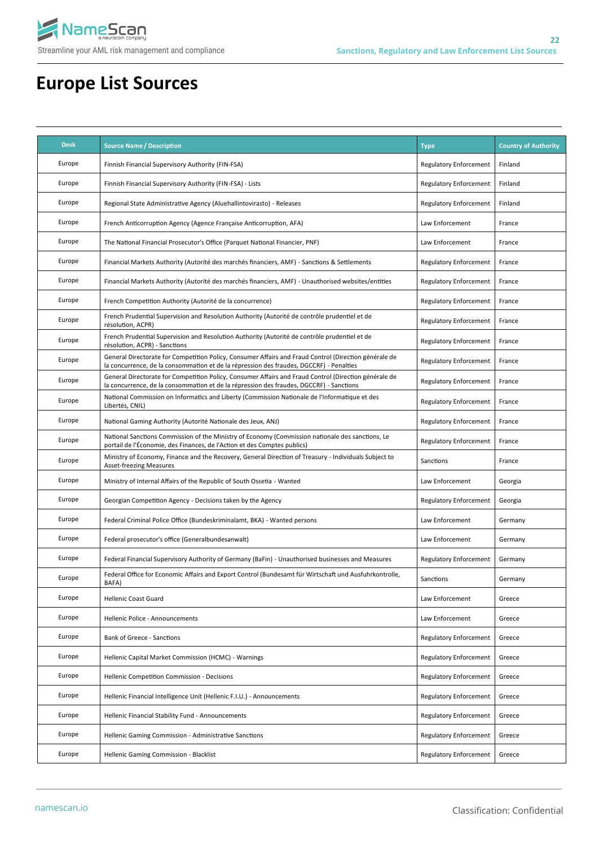

| <b>Desk</b> | <b>Source Name / Description</b>                                                                                                                                                                 | <b>Type</b>                   | <b>Country of Authority</b> |
|-------------|--------------------------------------------------------------------------------------------------------------------------------------------------------------------------------------------------|-------------------------------|-----------------------------|
| Europe      | Finnish Financial Supervisory Authority (FIN-FSA)                                                                                                                                                | <b>Regulatory Enforcement</b> | Finland                     |
| Europe      | Finnish Financial Supervisory Authority (FIN-FSA) - Lists                                                                                                                                        | <b>Regulatory Enforcement</b> | Finland                     |
| Europe      | Regional State Administrative Agency (Aluehallintovirasto) - Releases                                                                                                                            | <b>Regulatory Enforcement</b> | Finland                     |
| Europe      | French Anticorruption Agency (Agence Française Anticorruption, AFA)                                                                                                                              | Law Enforcement               | France                      |
| Europe      | The National Financial Prosecutor's Office (Parquet National Financier, PNF)                                                                                                                     | Law Enforcement               | France                      |
| Europe      | Financial Markets Authority (Autorité des marchés financiers, AMF) - Sanctions & Settlements                                                                                                     | <b>Regulatory Enforcement</b> | France                      |
| Europe      | Financial Markets Authority (Autorité des marchés financiers, AMF) - Unauthorised websites/entities                                                                                              | <b>Regulatory Enforcement</b> | France                      |
| Europe      | French Competition Authority (Autorité de la concurrence)                                                                                                                                        | <b>Regulatory Enforcement</b> | France                      |
| Europe      | French Prudential Supervision and Resolution Authority (Autorité de contrôle prudentiel et de<br>résolution, ACPR)                                                                               | <b>Regulatory Enforcement</b> | France                      |
| Europe      | French Prudential Supervision and Resolution Authority (Autorité de contrôle prudentiel et de<br>résolution, ACPR) - Sanctions                                                                   | <b>Regulatory Enforcement</b> | France                      |
| Europe      | General Directorate for Competition Policy, Consumer Affairs and Fraud Control (Direction générale de<br>la concurrence, de la consommation et de la répression des fraudes, DGCCRF) - Penalties | <b>Regulatory Enforcement</b> | France                      |
| Europe      | General Directorate for Competition Policy, Consumer Affairs and Fraud Control (Direction générale de<br>la concurrence, de la consommation et de la répression des fraudes, DGCCRF) - Sanctions | <b>Regulatory Enforcement</b> | France                      |
| Europe      | National Commission on Informatics and Liberty (Commission Nationale de l'Informatique et des<br>Libertés, CNIL)                                                                                 | <b>Regulatory Enforcement</b> | France                      |
| Europe      | National Gaming Authority (Autorité Nationale des Jeux, ANJ)                                                                                                                                     | <b>Regulatory Enforcement</b> | France                      |
| Europe      | National Sanctions Commission of the Ministry of Economy (Commission nationale des sanctions, Le<br>portail de l'Économie, des Finances, de l'Action et des Comptes publics)                     | <b>Regulatory Enforcement</b> | France                      |
| Europe      | Ministry of Economy, Finance and the Recovery, General Direction of Treasury - Individuals Subject to<br><b>Asset-freezing Measures</b>                                                          | Sanctions                     | France                      |
| Europe      | Ministry of Internal Affairs of the Republic of South Ossetia - Wanted                                                                                                                           | Law Enforcement               | Georgia                     |
| Europe      | Georgian Competition Agency - Decisions taken by the Agency                                                                                                                                      | <b>Regulatory Enforcement</b> | Georgia                     |
| Europe      | Federal Criminal Police Office (Bundeskriminalamt, BKA) - Wanted persons                                                                                                                         | Law Enforcement               | Germany                     |
| Europe      | Federal prosecutor's office (Generalbundesanwalt)                                                                                                                                                | Law Enforcement               | Germany                     |
| Europe      | Federal Financial Supervisory Authority of Germany (BaFin) - Unauthorised businesses and Measures                                                                                                | <b>Regulatory Enforcement</b> | Germany                     |
| Europe      | Federal Office for Economic Affairs and Export Control (Bundesamt für Wirtschaft und Ausfuhrkontrolle,<br>BAFA)                                                                                  | Sanctions                     | Germany                     |
| Europe      | <b>Hellenic Coast Guard</b>                                                                                                                                                                      | Law Enforcement               | Greece                      |
| Europe      | Hellenic Police - Announcements                                                                                                                                                                  | Law Enforcement               | Greece                      |
| Europe      | Bank of Greece - Sanctions                                                                                                                                                                       | <b>Regulatory Enforcement</b> | Greece                      |
| Europe      | Hellenic Capital Market Commission (HCMC) - Warnings                                                                                                                                             | <b>Regulatory Enforcement</b> | Greece                      |
| Europe      | Hellenic Competition Commission - Decisions                                                                                                                                                      | <b>Regulatory Enforcement</b> | Greece                      |
| Europe      | Hellenic Financial Intelligence Unit (Hellenic F.I.U.) - Announcements                                                                                                                           | <b>Regulatory Enforcement</b> | Greece                      |
| Europe      | Hellenic Financial Stability Fund - Announcements                                                                                                                                                | <b>Regulatory Enforcement</b> | Greece                      |
| Europe      | Hellenic Gaming Commission - Administrative Sanctions                                                                                                                                            | Regulatory Enforcement        | Greece                      |
| Europe      | Hellenic Gaming Commission - Blacklist                                                                                                                                                           | <b>Regulatory Enforcement</b> | Greece                      |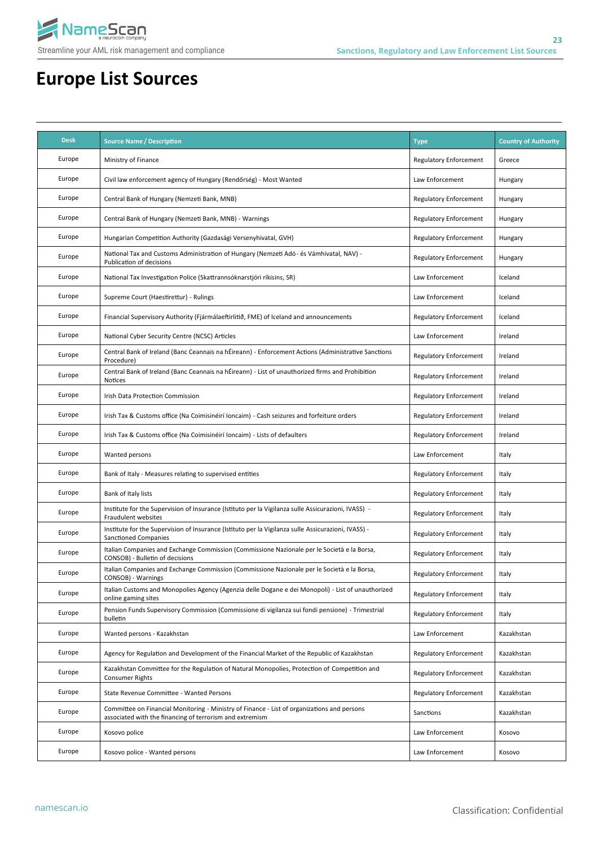

| <b>Desk</b> | <b>Source Name / Description</b>                                                                                                                        | <b>Type</b>                   | <b>Country of Authority</b> |
|-------------|---------------------------------------------------------------------------------------------------------------------------------------------------------|-------------------------------|-----------------------------|
| Europe      | Ministry of Finance                                                                                                                                     | Regulatory Enforcement        | Greece                      |
| Europe      | Civil law enforcement agency of Hungary (Rendőrség) - Most Wanted                                                                                       | Law Enforcement               | Hungary                     |
| Europe      | Central Bank of Hungary (Nemzeti Bank, MNB)                                                                                                             | Regulatory Enforcement        | Hungary                     |
| Europe      | Central Bank of Hungary (Nemzeti Bank, MNB) - Warnings                                                                                                  | Regulatory Enforcement        | Hungary                     |
| Europe      | Hungarian Competition Authority (Gazdasági Versenyhivatal, GVH)                                                                                         | <b>Regulatory Enforcement</b> | Hungary                     |
| Europe      | National Tax and Customs Administration of Hungary (Nemzeti Adó- és Vámhivatal, NAV) -<br>Publication of decisions                                      | Regulatory Enforcement        | Hungary                     |
| Europe      | National Tax Investigation Police (Skattrannsóknarstjóri ríkisins, SR)                                                                                  | Law Enforcement               | Iceland                     |
| Europe      | Supreme Court (Haestirettur) - Rulings                                                                                                                  | Law Enforcement               | Iceland                     |
| Europe      | Financial Supervisory Authority (Fjármálaeftirlitið, FME) of Iceland and announcements                                                                  | <b>Regulatory Enforcement</b> | Iceland                     |
| Europe      | National Cyber Security Centre (NCSC) Articles                                                                                                          | Law Enforcement               | Ireland                     |
| Europe      | Central Bank of Ireland (Banc Ceannais na hÉireann) - Enforcement Actions (Administrative Sanctions<br>Procedure)                                       | Regulatory Enforcement        | Ireland                     |
| Europe      | Central Bank of Ireland (Banc Ceannais na hÉireann) - List of unauthorized firms and Prohibition<br>Notices                                             | <b>Regulatory Enforcement</b> | Ireland                     |
| Europe      | Irish Data Protection Commission                                                                                                                        | Regulatory Enforcement        | Ireland                     |
| Europe      | Irish Tax & Customs office (Na Coimisinéirí Ioncaim) - Cash seizures and forfeiture orders                                                              | <b>Regulatory Enforcement</b> | Ireland                     |
| Europe      | Irish Tax & Customs office (Na Coimisinéirí Ioncaim) - Lists of defaulters                                                                              | Regulatory Enforcement        | Ireland                     |
| Europe      | Wanted persons                                                                                                                                          | Law Enforcement               | Italy                       |
| Europe      | Bank of Italy - Measures relating to supervised entities                                                                                                | Regulatory Enforcement        | Italy                       |
| Europe      | Bank of Italy lists                                                                                                                                     | Regulatory Enforcement        | Italy                       |
| Europe      | Institute for the Supervision of Insurance (Istituto per la Vigilanza sulle Assicurazioni, IVASS) -<br>Fraudulent websites                              | <b>Regulatory Enforcement</b> | Italy                       |
| Europe      | Institute for the Supervision of Insurance (Istituto per la Vigilanza sulle Assicurazioni, IVASS) -<br>Sanctioned Companies                             | Regulatory Enforcement        | Italy                       |
| Europe      | Italian Companies and Exchange Commission (Commissione Nazionale per le Società e la Borsa,<br>CONSOB) - Bulletin of decisions                          | <b>Regulatory Enforcement</b> | Italy                       |
| Europe      | Italian Companies and Exchange Commission (Commissione Nazionale per le Società e la Borsa,<br>CONSOB) - Warnings                                       | Regulatory Enforcement        | Italy                       |
| Europe      | Italian Customs and Monopolies Agency (Agenzia delle Dogane e dei Monopoli) - List of unauthorized<br>online gaming sites                               | <b>Regulatory Enforcement</b> | Italy                       |
| Europe      | Pension Funds Supervisory Commission (Commissione di vigilanza sui fondi pensione) - Trimestrial<br>bulletin                                            | Regulatory Enforcement        | Italy                       |
| Europe      | Wanted persons - Kazakhstan                                                                                                                             | Law Enforcement               | Kazakhstan                  |
| Europe      | Agency for Regulation and Development of the Financial Market of the Republic of Kazakhstan                                                             | Regulatory Enforcement        | Kazakhstan                  |
| Europe      | Kazakhstan Committee for the Regulation of Natural Monopolies, Protection of Competition and<br><b>Consumer Rights</b>                                  | <b>Regulatory Enforcement</b> | Kazakhstan                  |
| Europe      | State Revenue Committee - Wanted Persons                                                                                                                | <b>Regulatory Enforcement</b> | Kazakhstan                  |
| Europe      | Committee on Financial Monitoring - Ministry of Finance - List of organizations and persons<br>associated with the financing of terrorism and extremism | Sanctions                     | Kazakhstan                  |
| Europe      | Kosovo police                                                                                                                                           | Law Enforcement               | Kosovo                      |
| Europe      | Kosovo police - Wanted persons                                                                                                                          | Law Enforcement               | Kosovo                      |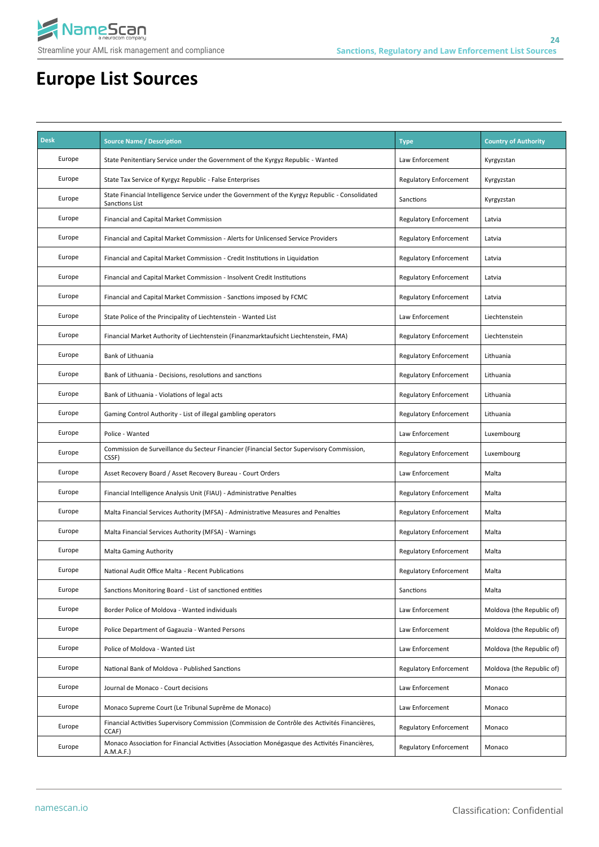

| <b>Desk</b> | <b>Source Name / Description</b>                                                                                  | <b>Type</b>                   | <b>Country of Authority</b> |
|-------------|-------------------------------------------------------------------------------------------------------------------|-------------------------------|-----------------------------|
| Europe      | State Penitentiary Service under the Government of the Kyrgyz Republic - Wanted                                   | Law Enforcement               | Kyrgyzstan                  |
| Europe      | State Tax Service of Kyrgyz Republic - False Enterprises                                                          | <b>Regulatory Enforcement</b> | Kyrgyzstan                  |
| Europe      | State Financial Intelligence Service under the Government of the Kyrgyz Republic - Consolidated<br>Sanctions List | Sanctions                     | Kyrgyzstan                  |
| Europe      | Financial and Capital Market Commission                                                                           | <b>Regulatory Enforcement</b> | Latvia                      |
| Europe      | Financial and Capital Market Commission - Alerts for Unlicensed Service Providers                                 | Regulatory Enforcement        | Latvia                      |
| Europe      | Financial and Capital Market Commission - Credit Institutions in Liquidation                                      | <b>Regulatory Enforcement</b> | Latvia                      |
| Europe      | Financial and Capital Market Commission - Insolvent Credit Institutions                                           | <b>Regulatory Enforcement</b> | Latvia                      |
| Europe      | Financial and Capital Market Commission - Sanctions imposed by FCMC                                               | <b>Regulatory Enforcement</b> | Latvia                      |
| Europe      | State Police of the Principality of Liechtenstein - Wanted List                                                   | Law Enforcement               | Liechtenstein               |
| Europe      | Financial Market Authority of Liechtenstein (Finanzmarktaufsicht Liechtenstein, FMA)                              | Regulatory Enforcement        | Liechtenstein               |
| Europe      | Bank of Lithuania                                                                                                 | <b>Regulatory Enforcement</b> | Lithuania                   |
| Europe      | Bank of Lithuania - Decisions, resolutions and sanctions                                                          | <b>Regulatory Enforcement</b> | Lithuania                   |
| Europe      | Bank of Lithuania - Violations of legal acts                                                                      | <b>Regulatory Enforcement</b> | Lithuania                   |
| Europe      | Gaming Control Authority - List of illegal gambling operators                                                     | Regulatory Enforcement        | Lithuania                   |
| Europe      | Police - Wanted                                                                                                   | Law Enforcement               | Luxembourg                  |
| Europe      | Commission de Surveillance du Secteur Financier (Financial Sector Supervisory Commission,<br>CSSF)                | <b>Regulatory Enforcement</b> | Luxembourg                  |
| Europe      | Asset Recovery Board / Asset Recovery Bureau - Court Orders                                                       | Law Enforcement               | Malta                       |
| Europe      | Financial Intelligence Analysis Unit (FIAU) - Administrative Penalties                                            | Regulatory Enforcement        | Malta                       |
| Europe      | Malta Financial Services Authority (MFSA) - Administrative Measures and Penalties                                 | Regulatory Enforcement        | Malta                       |
| Europe      | Malta Financial Services Authority (MFSA) - Warnings                                                              | Regulatory Enforcement        | Malta                       |
| Europe      | <b>Malta Gaming Authority</b>                                                                                     | <b>Regulatory Enforcement</b> | Malta                       |
| Europe      | National Audit Office Malta - Recent Publications                                                                 | <b>Regulatory Enforcement</b> | Malta                       |
| Europe      | Sanctions Monitoring Board - List of sanctioned entities                                                          | Sanctions                     | Malta                       |
| Europe      | Border Police of Moldova - Wanted individuals                                                                     | Law Enforcement               | Moldova (the Republic of)   |
| Europe      | Police Department of Gagauzia - Wanted Persons                                                                    | Law Enforcement               | Moldova (the Republic of)   |
| Europe      | Police of Moldova - Wanted List                                                                                   | Law Enforcement               | Moldova (the Republic of)   |
| Europe      | National Bank of Moldova - Published Sanctions                                                                    | <b>Regulatory Enforcement</b> | Moldova (the Republic of)   |
| Europe      | Journal de Monaco - Court decisions                                                                               | Law Enforcement               | Monaco                      |
| Europe      | Monaco Supreme Court (Le Tribunal Suprême de Monaco)                                                              | Law Enforcement               | Monaco                      |
| Europe      | Financial Activities Supervisory Commission (Commission de Contrôle des Activités Financières,<br>CCAF)           | Regulatory Enforcement        | Monaco                      |
| Europe      | Monaco Association for Financial Activities (Association Monégasque des Activités Financières,<br>A.M.A.F.)       | <b>Regulatory Enforcement</b> | Monaco                      |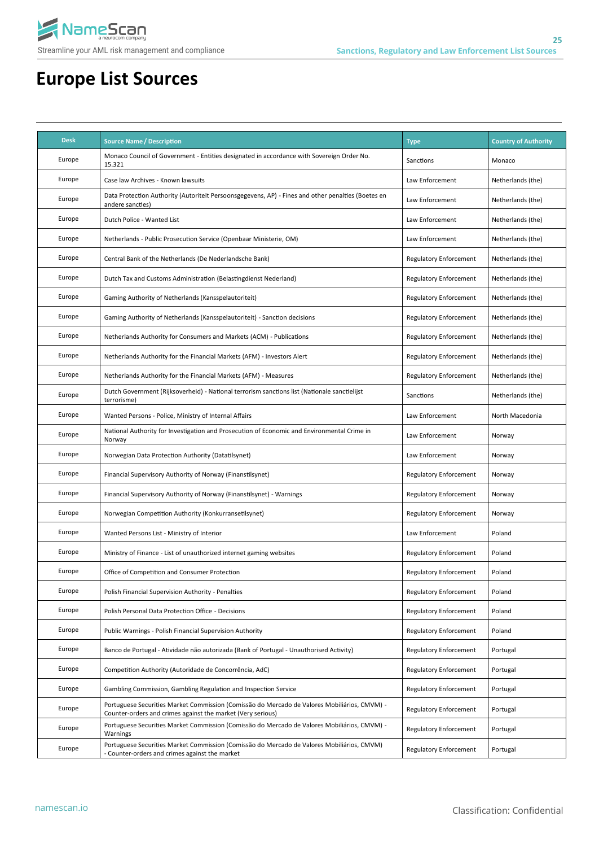

| <b>Desk</b> | <b>Source Name / Description</b>                                                                                                                            | <b>Type</b>                   | <b>Country of Authority</b> |
|-------------|-------------------------------------------------------------------------------------------------------------------------------------------------------------|-------------------------------|-----------------------------|
| Europe      | Monaco Council of Government - Entities designated in accordance with Sovereign Order No.<br>15.321                                                         | Sanctions                     | Monaco                      |
| Europe      | Case law Archives - Known lawsuits                                                                                                                          | Law Enforcement               | Netherlands (the)           |
| Europe      | Data Protection Authority (Autoriteit Persoonsgegevens, AP) - Fines and other penalties (Boetes en<br>andere sancties)                                      | Law Enforcement               | Netherlands (the)           |
| Europe      | Dutch Police - Wanted List                                                                                                                                  | Law Enforcement               | Netherlands (the)           |
| Europe      | Netherlands - Public Prosecution Service (Openbaar Ministerie, OM)                                                                                          | Law Enforcement               | Netherlands (the)           |
| Europe      | Central Bank of the Netherlands (De Nederlandsche Bank)                                                                                                     | Regulatory Enforcement        | Netherlands (the)           |
| Europe      | Dutch Tax and Customs Administration (Belastingdienst Nederland)                                                                                            | Regulatory Enforcement        | Netherlands (the)           |
| Europe      | Gaming Authority of Netherlands (Kansspelautoriteit)                                                                                                        | <b>Regulatory Enforcement</b> | Netherlands (the)           |
| Europe      | Gaming Authority of Netherlands (Kansspelautoriteit) - Sanction decisions                                                                                   | Regulatory Enforcement        | Netherlands (the)           |
| Europe      | Netherlands Authority for Consumers and Markets (ACM) - Publications                                                                                        | Regulatory Enforcement        | Netherlands (the)           |
| Europe      | Netherlands Authority for the Financial Markets (AFM) - Investors Alert                                                                                     | Regulatory Enforcement        | Netherlands (the)           |
| Europe      | Netherlands Authority for the Financial Markets (AFM) - Measures                                                                                            | Regulatory Enforcement        | Netherlands (the)           |
| Europe      | Dutch Government (Rijksoverheid) - National terrorism sanctions list (Nationale sanctielijst<br>terrorisme)                                                 | Sanctions                     | Netherlands (the)           |
| Europe      | Wanted Persons - Police, Ministry of Internal Affairs                                                                                                       | Law Enforcement               | North Macedonia             |
| Europe      | National Authority for Investigation and Prosecution of Economic and Environmental Crime in<br>Norway                                                       | Law Enforcement               | Norway                      |
| Europe      | Norwegian Data Protection Authority (Datatilsynet)                                                                                                          | Law Enforcement               | Norway                      |
| Europe      | Financial Supervisory Authority of Norway (Finanstilsynet)                                                                                                  | Regulatory Enforcement        | Norway                      |
| Europe      | Financial Supervisory Authority of Norway (Finanstilsynet) - Warnings                                                                                       | Regulatory Enforcement        | Norway                      |
| Europe      | Norwegian Competition Authority (Konkurransetilsynet)                                                                                                       | Regulatory Enforcement        | Norway                      |
| Europe      | Wanted Persons List - Ministry of Interior                                                                                                                  | Law Enforcement               | Poland                      |
| Europe      | Ministry of Finance - List of unauthorized internet gaming websites                                                                                         | Regulatory Enforcement        | Poland                      |
| Europe      | Office of Competition and Consumer Protection                                                                                                               | <b>Regulatory Enforcement</b> | Poland                      |
| Europe      | Polish Financial Supervision Authority - Penalties                                                                                                          | <b>Regulatory Enforcement</b> | Poland                      |
| Europe      | Polish Personal Data Protection Office - Decisions                                                                                                          | Regulatory Enforcement        | Poland                      |
| Europe      | Public Warnings - Polish Financial Supervision Authority                                                                                                    | Regulatory Enforcement        | Poland                      |
| Europe      | Banco de Portugal - Atividade não autorizada (Bank of Portugal - Unauthorised Activity)                                                                     | Regulatory Enforcement        | Portugal                    |
| Europe      | Competition Authority (Autoridade de Concorrência, AdC)                                                                                                     | <b>Regulatory Enforcement</b> | Portugal                    |
| Europe      | Gambling Commission, Gambling Regulation and Inspection Service                                                                                             | <b>Regulatory Enforcement</b> | Portugal                    |
| Europe      | Portuguese Securities Market Commission (Comissão do Mercado de Valores Mobiliários, CMVM) -<br>Counter-orders and crimes against the market (Very serious) | <b>Regulatory Enforcement</b> | Portugal                    |
| Europe      | Portuguese Securities Market Commission (Comissão do Mercado de Valores Mobiliários, CMVM) -<br>Warnings                                                    | Regulatory Enforcement        | Portugal                    |
| Europe      | Portuguese Securities Market Commission (Comissão do Mercado de Valores Mobiliários, CMVM)<br>- Counter-orders and crimes against the market                | Regulatory Enforcement        | Portugal                    |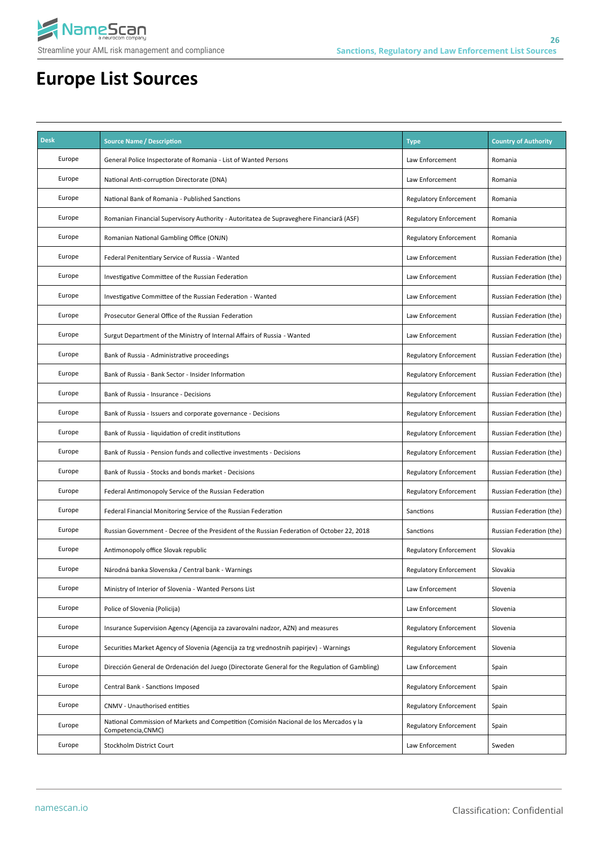

| <b>Desk</b> | <b>Source Name / Description</b>                                                                             | <b>Type</b>                   | <b>Country of Authority</b> |
|-------------|--------------------------------------------------------------------------------------------------------------|-------------------------------|-----------------------------|
| Europe      | General Police Inspectorate of Romania - List of Wanted Persons                                              | Law Enforcement               | Romania                     |
| Europe      | National Anti-corruption Directorate (DNA)                                                                   | Law Enforcement               | Romania                     |
| Europe      | National Bank of Romania - Published Sanctions                                                               | Regulatory Enforcement        | Romania                     |
| Europe      | Romanian Financial Supervisory Authority - Autoritatea de Supraveghere Financiară (ASF)                      | Regulatory Enforcement        | Romania                     |
| Europe      | Romanian National Gambling Office (ONJN)                                                                     | Regulatory Enforcement        | Romania                     |
| Europe      | Federal Penitentiary Service of Russia - Wanted                                                              | Law Enforcement               | Russian Federation (the)    |
| Europe      | Investigative Committee of the Russian Federation                                                            | Law Enforcement               | Russian Federation (the)    |
| Europe      | Investigative Committee of the Russian Federation - Wanted                                                   | Law Enforcement               | Russian Federation (the)    |
| Europe      | Prosecutor General Office of the Russian Federation                                                          | Law Enforcement               | Russian Federation (the)    |
| Europe      | Surgut Department of the Ministry of Internal Affairs of Russia - Wanted                                     | Law Enforcement               | Russian Federation (the)    |
| Europe      | Bank of Russia - Administrative proceedings                                                                  | Regulatory Enforcement        | Russian Federation (the)    |
| Europe      | Bank of Russia - Bank Sector - Insider Information                                                           | Regulatory Enforcement        | Russian Federation (the)    |
| Europe      | Bank of Russia - Insurance - Decisions                                                                       | <b>Regulatory Enforcement</b> | Russian Federation (the)    |
| Europe      | Bank of Russia - Issuers and corporate governance - Decisions                                                | <b>Regulatory Enforcement</b> | Russian Federation (the)    |
| Europe      | Bank of Russia - liquidation of credit institutions                                                          | Regulatory Enforcement        | Russian Federation (the)    |
| Europe      | Bank of Russia - Pension funds and collective investments - Decisions                                        | Regulatory Enforcement        | Russian Federation (the)    |
| Europe      | Bank of Russia - Stocks and bonds market - Decisions                                                         | Regulatory Enforcement        | Russian Federation (the)    |
| Europe      | Federal Antimonopoly Service of the Russian Federation                                                       | Regulatory Enforcement        | Russian Federation (the)    |
| Europe      | Federal Financial Monitoring Service of the Russian Federation                                               | Sanctions                     | Russian Federation (the)    |
| Europe      | Russian Government - Decree of the President of the Russian Federation of October 22, 2018                   | Sanctions                     | Russian Federation (the)    |
| Europe      | Antimonopoly office Slovak republic                                                                          | Regulatory Enforcement        | Slovakia                    |
| Europe      | Národná banka Slovenska / Central bank - Warnings                                                            | Regulatory Enforcement        | Slovakia                    |
| Europe      | Ministry of Interior of Slovenia - Wanted Persons List                                                       | Law Enforcement               | Slovenia                    |
| Europe      | Police of Slovenia (Policija)                                                                                | Law Enforcement               | Slovenia                    |
| Europe      | Insurance Supervision Agency (Agencija za zavarovalni nadzor, AZN) and measures                              | <b>Regulatory Enforcement</b> | Slovenia                    |
| Europe      | Securities Market Agency of Slovenia (Agencija za trg vrednostnih papirjev) - Warnings                       | <b>Regulatory Enforcement</b> | Slovenia                    |
| Europe      | Dirección General de Ordenación del Juego (Directorate General for the Regulation of Gambling)               | Law Enforcement               | Spain                       |
| Europe      | Central Bank - Sanctions Imposed                                                                             | <b>Regulatory Enforcement</b> | Spain                       |
| Europe      | CNMV - Unauthorised entities                                                                                 | <b>Regulatory Enforcement</b> | Spain                       |
| Europe      | National Commission of Markets and Competition (Comisión Nacional de los Mercados y la<br>Competencia, CNMC) | <b>Regulatory Enforcement</b> | Spain                       |
| Europe      | Stockholm District Court                                                                                     | Law Enforcement               | Sweden                      |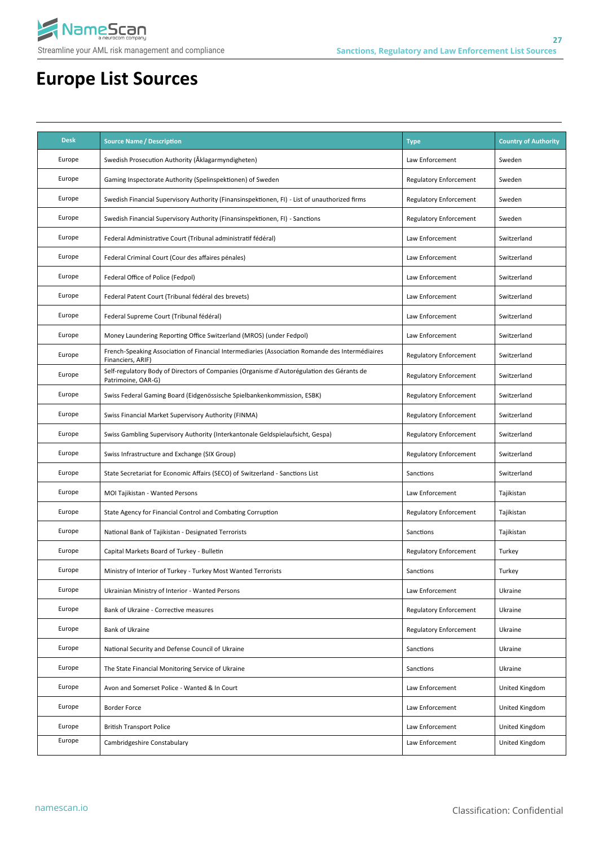

| <b>Desk</b> | <b>Source Name / Description</b>                                                                                     | <b>Type</b>                   | <b>Country of Authority</b> |
|-------------|----------------------------------------------------------------------------------------------------------------------|-------------------------------|-----------------------------|
| Europe      | Swedish Prosecution Authority (Åklagarmyndigheten)                                                                   | Law Enforcement               | Sweden                      |
| Europe      | Gaming Inspectorate Authority (Spelinspektionen) of Sweden                                                           | Regulatory Enforcement        | Sweden                      |
| Europe      | Swedish Financial Supervisory Authority (Finansinspektionen, FI) - List of unauthorized firms                        | Regulatory Enforcement        | Sweden                      |
| Europe      | Swedish Financial Supervisory Authority (Finansinspektionen, FI) - Sanctions                                         | Regulatory Enforcement        | Sweden                      |
| Europe      | Federal Administrative Court (Tribunal administratif fédéral)                                                        | Law Enforcement               | Switzerland                 |
| Europe      | Federal Criminal Court (Cour des affaires pénales)                                                                   | Law Enforcement               | Switzerland                 |
| Europe      | Federal Office of Police (Fedpol)                                                                                    | Law Enforcement               | Switzerland                 |
| Europe      | Federal Patent Court (Tribunal fédéral des brevets)                                                                  | Law Enforcement               | Switzerland                 |
| Europe      | Federal Supreme Court (Tribunal fédéral)                                                                             | Law Enforcement               | Switzerland                 |
| Europe      | Money Laundering Reporting Office Switzerland (MROS) (under Fedpol)                                                  | Law Enforcement               | Switzerland                 |
| Europe      | French-Speaking Association of Financial Intermediaries (Association Romande des Intermédiaires<br>Financiers, ARIF) | Regulatory Enforcement        | Switzerland                 |
| Europe      | Self-regulatory Body of Directors of Companies (Organisme d'Autorégulation des Gérants de<br>Patrimoine, OAR-G)      | <b>Regulatory Enforcement</b> | Switzerland                 |
| Europe      | Swiss Federal Gaming Board (Eidgenössische Spielbankenkommission, ESBK)                                              | Regulatory Enforcement        | Switzerland                 |
| Europe      | Swiss Financial Market Supervisory Authority (FINMA)                                                                 | Regulatory Enforcement        | Switzerland                 |
| Europe      | Swiss Gambling Supervisory Authority (Interkantonale Geldspielaufsicht, Gespa)                                       | Regulatory Enforcement        | Switzerland                 |
| Europe      | Swiss Infrastructure and Exchange (SIX Group)                                                                        | Regulatory Enforcement        | Switzerland                 |
| Europe      | State Secretariat for Economic Affairs (SECO) of Switzerland - Sanctions List                                        | Sanctions                     | Switzerland                 |
| Europe      | MOI Tajikistan - Wanted Persons                                                                                      | Law Enforcement               | Tajikistan                  |
| Europe      | State Agency for Financial Control and Combating Corruption                                                          | Regulatory Enforcement        | Tajikistan                  |
| Europe      | National Bank of Tajikistan - Designated Terrorists                                                                  | Sanctions                     | Tajikistan                  |
| Europe      | Capital Markets Board of Turkey - Bulletin                                                                           | Regulatory Enforcement        | Turkey                      |
| Europe      | Ministry of Interior of Turkey - Turkey Most Wanted Terrorists                                                       | Sanctions                     | Turkey                      |
| Europe      | Ukrainian Ministry of Interior - Wanted Persons                                                                      | Law Enforcement               | Ukraine                     |
| Europe      | Bank of Ukraine - Corrective measures                                                                                | <b>Regulatory Enforcement</b> | Ukraine                     |
| Europe      | <b>Bank of Ukraine</b>                                                                                               | <b>Regulatory Enforcement</b> | Ukraine                     |
| Europe      | National Security and Defense Council of Ukraine                                                                     | Sanctions                     | Ukraine                     |
| Europe      | The State Financial Monitoring Service of Ukraine                                                                    | Sanctions                     | Ukraine                     |
| Europe      | Avon and Somerset Police - Wanted & In Court                                                                         | Law Enforcement               | United Kingdom              |
| Europe      | <b>Border Force</b>                                                                                                  | Law Enforcement               | United Kingdom              |
| Europe      | <b>British Transport Police</b>                                                                                      | Law Enforcement               | United Kingdom              |
| Europe      | Cambridgeshire Constabulary                                                                                          | Law Enforcement               | United Kingdom              |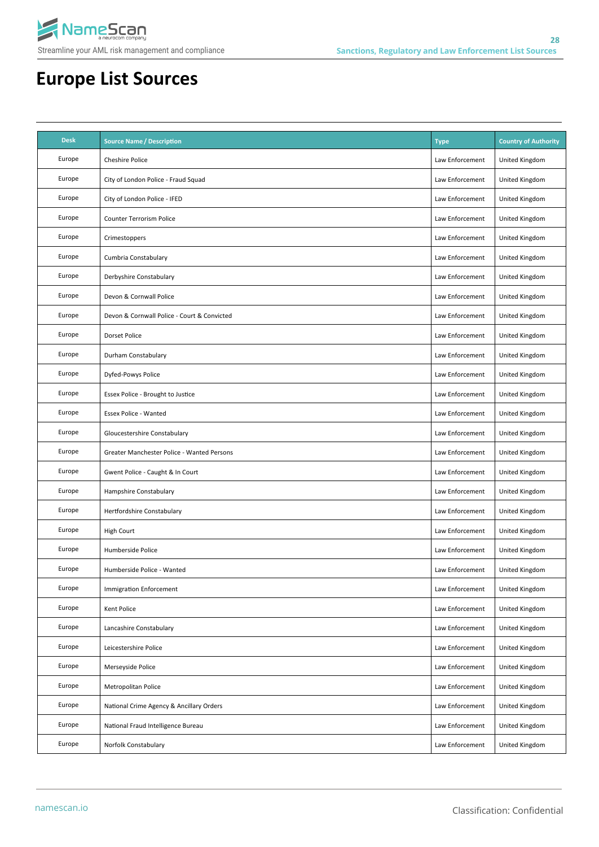

| <b>Desk</b> | <b>Source Name / Description</b>            | <b>Type</b>     | <b>Country of Authority</b> |
|-------------|---------------------------------------------|-----------------|-----------------------------|
| Europe      | <b>Cheshire Police</b>                      | Law Enforcement | United Kingdom              |
| Europe      | City of London Police - Fraud Squad         | Law Enforcement | United Kingdom              |
| Europe      | City of London Police - IFED                | Law Enforcement | United Kingdom              |
| Europe      | Counter Terrorism Police                    | Law Enforcement | United Kingdom              |
| Europe      | Crimestoppers                               | Law Enforcement | United Kingdom              |
| Europe      | Cumbria Constabulary                        | Law Enforcement | United Kingdom              |
| Europe      | Derbyshire Constabulary                     | Law Enforcement | United Kingdom              |
| Europe      | Devon & Cornwall Police                     | Law Enforcement | United Kingdom              |
| Europe      | Devon & Cornwall Police - Court & Convicted | Law Enforcement | United Kingdom              |
| Europe      | <b>Dorset Police</b>                        | Law Enforcement | United Kingdom              |
| Europe      | Durham Constabulary                         | Law Enforcement | United Kingdom              |
| Europe      | Dyfed-Powys Police                          | Law Enforcement | United Kingdom              |
| Europe      | Essex Police - Brought to Justice           | Law Enforcement | United Kingdom              |
| Europe      | <b>Essex Police - Wanted</b>                | Law Enforcement | United Kingdom              |
| Europe      | Gloucestershire Constabulary                | Law Enforcement | United Kingdom              |
| Europe      | Greater Manchester Police - Wanted Persons  | Law Enforcement | United Kingdom              |
| Europe      | Gwent Police - Caught & In Court            | Law Enforcement | United Kingdom              |
| Europe      | Hampshire Constabulary                      | Law Enforcement | United Kingdom              |
| Europe      | Hertfordshire Constabulary                  | Law Enforcement | United Kingdom              |
| Europe      | High Court                                  | Law Enforcement | United Kingdom              |
| Europe      | Humberside Police                           | Law Enforcement | United Kingdom              |
| Europe      | Humberside Police - Wanted                  | Law Enforcement | United Kingdom              |
| Europe      | Immigration Enforcement                     | Law Enforcement | United Kingdom              |
| Europe      | Kent Police                                 | Law Enforcement | United Kingdom              |
| Europe      | Lancashire Constabulary                     | Law Enforcement | United Kingdom              |
| Europe      | Leicestershire Police                       | Law Enforcement | United Kingdom              |
| Europe      | Merseyside Police                           | Law Enforcement | United Kingdom              |
| Europe      | Metropolitan Police                         | Law Enforcement | United Kingdom              |
| Europe      | National Crime Agency & Ancillary Orders    | Law Enforcement | United Kingdom              |
| Europe      | National Fraud Intelligence Bureau          | Law Enforcement | United Kingdom              |
| Europe      | Norfolk Constabulary                        | Law Enforcement | United Kingdom              |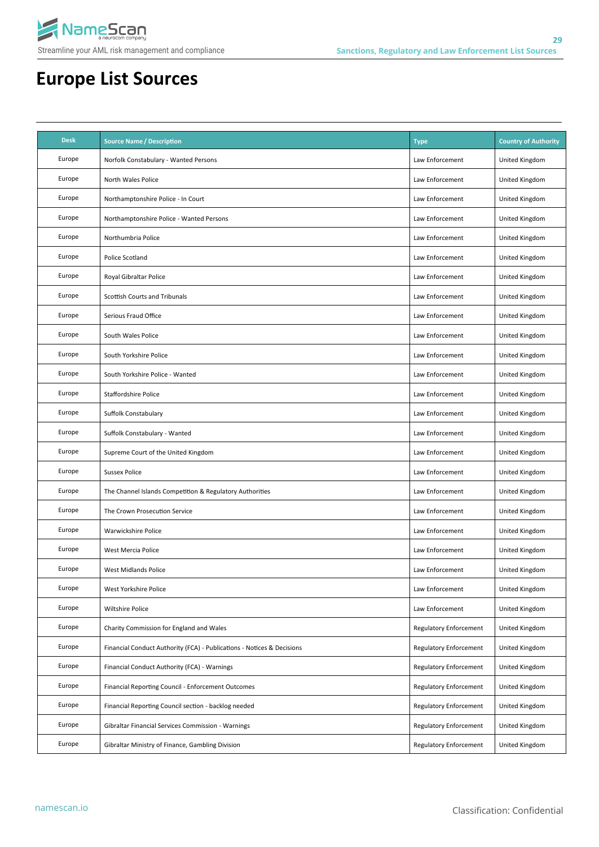

| <b>Desk</b> | <b>Source Name / Description</b>                                       | <b>Type</b>                   | <b>Country of Authority</b> |
|-------------|------------------------------------------------------------------------|-------------------------------|-----------------------------|
| Europe      | Norfolk Constabulary - Wanted Persons                                  | Law Enforcement               | United Kingdom              |
| Europe      | North Wales Police                                                     | Law Enforcement               | United Kingdom              |
| Europe      | Northamptonshire Police - In Court                                     | Law Enforcement               | United Kingdom              |
| Europe      | Northamptonshire Police - Wanted Persons                               | Law Enforcement               | United Kingdom              |
| Europe      | Northumbria Police                                                     | Law Enforcement               | United Kingdom              |
| Europe      | Police Scotland                                                        | Law Enforcement               | United Kingdom              |
| Europe      | Royal Gibraltar Police                                                 | Law Enforcement               | United Kingdom              |
| Europe      | Scottish Courts and Tribunals                                          | Law Enforcement               | United Kingdom              |
| Europe      | Serious Fraud Office                                                   | Law Enforcement               | United Kingdom              |
| Europe      | South Wales Police                                                     | Law Enforcement               | United Kingdom              |
| Europe      | South Yorkshire Police                                                 | Law Enforcement               | United Kingdom              |
| Europe      | South Yorkshire Police - Wanted                                        | Law Enforcement               | United Kingdom              |
| Europe      | <b>Staffordshire Police</b>                                            | Law Enforcement               | United Kingdom              |
| Europe      | Suffolk Constabulary                                                   | Law Enforcement               | United Kingdom              |
| Europe      | Suffolk Constabulary - Wanted                                          | Law Enforcement               | United Kingdom              |
| Europe      | Supreme Court of the United Kingdom                                    | Law Enforcement               | United Kingdom              |
| Europe      | <b>Sussex Police</b>                                                   | Law Enforcement               | United Kingdom              |
| Europe      | The Channel Islands Competition & Regulatory Authorities               | Law Enforcement               | United Kingdom              |
| Europe      | The Crown Prosecution Service                                          | Law Enforcement               | United Kingdom              |
| Europe      | Warwickshire Police                                                    | Law Enforcement               | United Kingdom              |
| Europe      | West Mercia Police                                                     | Law Enforcement               | United Kingdom              |
| Europe      | <b>West Midlands Police</b>                                            | Law Enforcement               | United Kingdom              |
| Europe      | West Yorkshire Police                                                  | Law Enforcement               | United Kingdom              |
| Europe      | Wiltshire Police                                                       | Law Enforcement               | United Kingdom              |
| Europe      | Charity Commission for England and Wales                               | <b>Regulatory Enforcement</b> | United Kingdom              |
| Europe      | Financial Conduct Authority (FCA) - Publications - Notices & Decisions | <b>Regulatory Enforcement</b> | United Kingdom              |
| Europe      | Financial Conduct Authority (FCA) - Warnings                           | Regulatory Enforcement        | United Kingdom              |
| Europe      | Financial Reporting Council - Enforcement Outcomes                     | <b>Regulatory Enforcement</b> | United Kingdom              |
| Europe      | Financial Reporting Council section - backlog needed                   | <b>Regulatory Enforcement</b> | United Kingdom              |
| Europe      | Gibraltar Financial Services Commission - Warnings                     | <b>Regulatory Enforcement</b> | United Kingdom              |
| Europe      | Gibraltar Ministry of Finance, Gambling Division                       | <b>Regulatory Enforcement</b> | United Kingdom              |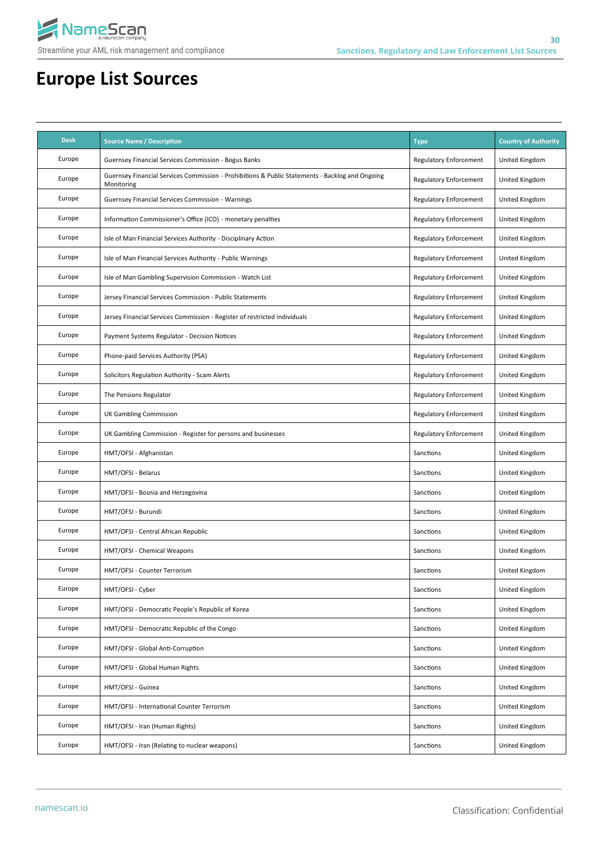

| <b>Desk</b> | <b>Source Name / Description</b>                                                                              | <b>Type</b>                   | <b>Country of Authority</b> |
|-------------|---------------------------------------------------------------------------------------------------------------|-------------------------------|-----------------------------|
| Europe      | Guernsey Financial Services Commission - Bogus Banks                                                          | <b>Regulatory Enforcement</b> | United Kingdom              |
| Europe      | Guernsey Financial Services Commission - Prohibitions & Public Statements - Backlog and Ongoing<br>Monitoring | Regulatory Enforcement        | United Kingdom              |
| Europe      | <b>Guernsey Financial Services Commission - Warnings</b>                                                      | <b>Regulatory Enforcement</b> | United Kingdom              |
| Europe      | Information Commissioner's Office (ICO) - monetary penalties                                                  | Regulatory Enforcement        | United Kingdom              |
| Europe      | Isle of Man Financial Services Authority - Disciplinary Action                                                | <b>Regulatory Enforcement</b> | United Kingdom              |
| Europe      | Isle of Man Financial Services Authority - Public Warnings                                                    | Regulatory Enforcement        | United Kingdom              |
| Europe      | Isle of Man Gambling Supervision Commission - Watch List                                                      | Regulatory Enforcement        | United Kingdom              |
| Europe      | Jersey Financial Services Commission - Public Statements                                                      | Regulatory Enforcement        | United Kingdom              |
| Europe      | Jersey Financial Services Commission - Register of restricted individuals                                     | Regulatory Enforcement        | United Kingdom              |
| Europe      | Payment Systems Regulator - Decision Notices                                                                  | Regulatory Enforcement        | United Kingdom              |
| Europe      | Phone-paid Services Authority (PSA)                                                                           | Regulatory Enforcement        | United Kingdom              |
| Europe      | Solicitors Regulation Authority - Scam Alerts                                                                 | <b>Regulatory Enforcement</b> | United Kingdom              |
| Europe      | The Pensions Regulator                                                                                        | <b>Regulatory Enforcement</b> | United Kingdom              |
| Europe      | <b>UK Gambling Commission</b>                                                                                 | <b>Regulatory Enforcement</b> | United Kingdom              |
| Europe      | UK Gambling Commission - Register for persons and businesses                                                  | <b>Regulatory Enforcement</b> | United Kingdom              |
| Europe      | HMT/OFSI - Afghanistan                                                                                        | Sanctions                     | United Kingdom              |
| Europe      | HMT/OFSI - Belarus                                                                                            | Sanctions                     | United Kingdom              |
| Europe      | HMT/OFSI - Bosnia and Herzegovina                                                                             | Sanctions                     | United Kingdom              |
| Europe      | HMT/OFSI - Burundi                                                                                            | Sanctions                     | United Kingdom              |
| Europe      | HMT/OFSI - Central African Republic                                                                           | Sanctions                     | United Kingdom              |
| Europe      | HMT/OFSI - Chemical Weapons                                                                                   | Sanctions                     | United Kingdom              |
| Europe      | HMT/OFSI - Counter Terrorism                                                                                  | Sanctions                     | United Kingdom              |
| Europe      | HMT/OFSI - Cyber                                                                                              | Sanctions                     | United Kingdom              |
| Europe      | HMT/OFSI - Democratic People's Republic of Korea                                                              | Sanctions                     | United Kingdom              |
| Europe      | HMT/OFSI - Democratic Republic of the Congo                                                                   | Sanctions                     | United Kingdom              |
| Europe      | HMT/OFSI - Global Anti-Corruption                                                                             | Sanctions                     | United Kingdom              |
| Europe      | HMT/OFSI - Global Human Rights                                                                                | Sanctions                     | United Kingdom              |
| Europe      | HMT/OFSI - Guinea                                                                                             | Sanctions                     | United Kingdom              |
| Europe      | HMT/OFSI - International Counter Terrorism                                                                    | Sanctions                     | United Kingdom              |
| Europe      | HMT/OFSI - Iran (Human Rights)                                                                                | Sanctions                     | United Kingdom              |
| Europe      | HMT/OFSI - Iran (Relating to nuclear weapons)                                                                 | Sanctions                     | United Kingdom              |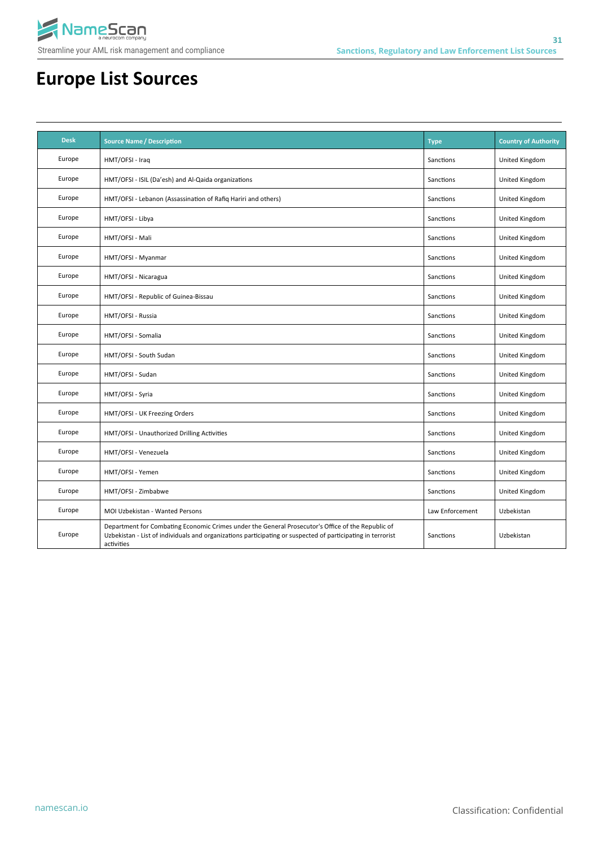

| <b>Desk</b> | <b>Source Name / Description</b>                                                                                                                                                                                               | <b>Type</b>     | <b>Country of Authority</b> |
|-------------|--------------------------------------------------------------------------------------------------------------------------------------------------------------------------------------------------------------------------------|-----------------|-----------------------------|
| Europe      | HMT/OFSI - Iraq                                                                                                                                                                                                                | Sanctions       | United Kingdom              |
| Europe      | HMT/OFSI - ISIL (Da'esh) and Al-Qaida organizations                                                                                                                                                                            | Sanctions       | United Kingdom              |
| Europe      | HMT/OFSI - Lebanon (Assassination of Rafiq Hariri and others)                                                                                                                                                                  | Sanctions       | United Kingdom              |
| Europe      | HMT/OFSI - Libya                                                                                                                                                                                                               | Sanctions       | United Kingdom              |
| Europe      | HMT/OFSI - Mali                                                                                                                                                                                                                | Sanctions       | United Kingdom              |
| Europe      | HMT/OFSI - Myanmar                                                                                                                                                                                                             | Sanctions       | United Kingdom              |
| Europe      | HMT/OFSI - Nicaragua                                                                                                                                                                                                           | Sanctions       | United Kingdom              |
| Europe      | HMT/OFSI - Republic of Guinea-Bissau                                                                                                                                                                                           | Sanctions       | United Kingdom              |
| Europe      | HMT/OFSI - Russia                                                                                                                                                                                                              | Sanctions       | United Kingdom              |
| Europe      | HMT/OFSI - Somalia                                                                                                                                                                                                             | Sanctions       | United Kingdom              |
| Europe      | HMT/OFSI - South Sudan                                                                                                                                                                                                         | Sanctions       | United Kingdom              |
| Europe      | HMT/OFSI - Sudan                                                                                                                                                                                                               | Sanctions       | United Kingdom              |
| Europe      | HMT/OFSI - Syria                                                                                                                                                                                                               | Sanctions       | United Kingdom              |
| Europe      | HMT/OFSI - UK Freezing Orders                                                                                                                                                                                                  | Sanctions       | United Kingdom              |
| Europe      | HMT/OFSI - Unauthorized Drilling Activities                                                                                                                                                                                    | Sanctions       | United Kingdom              |
| Europe      | HMT/OFSI - Venezuela                                                                                                                                                                                                           | Sanctions       | United Kingdom              |
| Europe      | HMT/OFSI - Yemen                                                                                                                                                                                                               | Sanctions       | United Kingdom              |
| Europe      | HMT/OFSI - Zimbabwe                                                                                                                                                                                                            | Sanctions       | United Kingdom              |
| Europe      | MOI Uzbekistan - Wanted Persons                                                                                                                                                                                                | Law Enforcement | Uzbekistan                  |
| Europe      | Department for Combating Economic Crimes under the General Prosecutor's Office of the Republic of<br>Uzbekistan - List of individuals and organizations participating or suspected of participating in terrorist<br>activities | Sanctions       | Uzbekistan                  |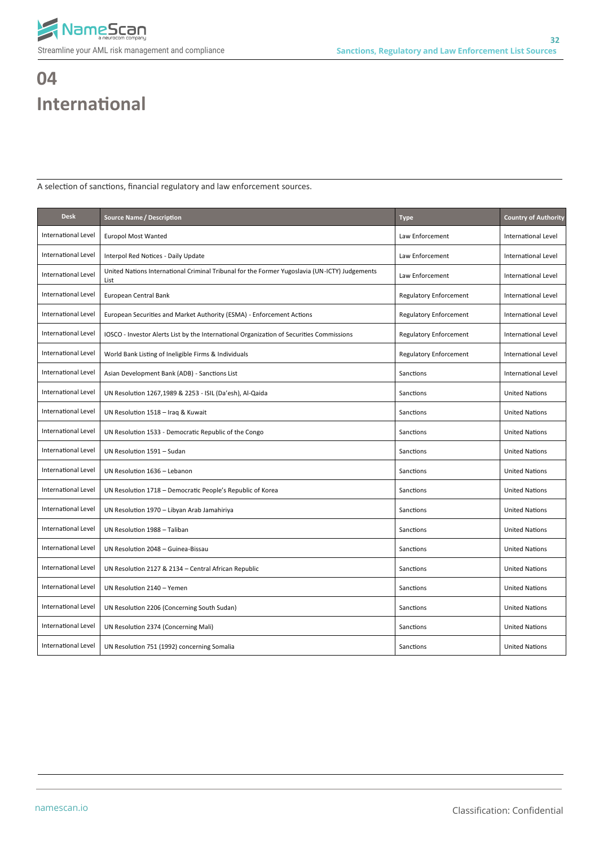

# **04 International**

A selection of sanctions, financial regulatory and law enforcement sources.

| <b>Desk</b>                | <b>Source Name / Description</b>                                                                      | <b>Type</b>                   | <b>Country of Authority</b> |
|----------------------------|-------------------------------------------------------------------------------------------------------|-------------------------------|-----------------------------|
| International Level        | <b>Europol Most Wanted</b>                                                                            | Law Enforcement               | International Level         |
| International Level        | Interpol Red Notices - Daily Update                                                                   | Law Enforcement               | International Level         |
| International Level        | United Nations International Criminal Tribunal for the Former Yugoslavia (UN-ICTY) Judgements<br>List | Law Enforcement               | International Level         |
| International Level        | European Central Bank                                                                                 | Regulatory Enforcement        | International Level         |
| International Level        | European Securities and Market Authority (ESMA) - Enforcement Actions                                 | <b>Regulatory Enforcement</b> | International Level         |
| International Level        | IOSCO - Investor Alerts List by the International Organization of Securities Commissions              | <b>Regulatory Enforcement</b> | International Level         |
| International Level        | World Bank Listing of Ineligible Firms & Individuals                                                  | <b>Regulatory Enforcement</b> | International Level         |
| International Level        | Asian Development Bank (ADB) - Sanctions List                                                         | Sanctions                     | International Level         |
| International Level        | UN Resolution 1267,1989 & 2253 - ISIL (Da'esh), Al-Qaida                                              | Sanctions                     | <b>United Nations</b>       |
| International Level        | UN Resolution 1518 - Iraq & Kuwait                                                                    | Sanctions                     | <b>United Nations</b>       |
| International Level        | UN Resolution 1533 - Democratic Republic of the Congo                                                 | Sanctions                     | <b>United Nations</b>       |
| International Level        | UN Resolution 1591 - Sudan                                                                            | Sanctions                     | <b>United Nations</b>       |
| International Level        | UN Resolution 1636 - Lebanon                                                                          | Sanctions                     | <b>United Nations</b>       |
| International Level        | UN Resolution 1718 - Democratic People's Republic of Korea                                            | Sanctions                     | <b>United Nations</b>       |
| International Level        | UN Resolution 1970 - Libyan Arab Jamahiriya                                                           | Sanctions                     | <b>United Nations</b>       |
| International Level        | UN Resolution 1988 - Taliban                                                                          | Sanctions                     | <b>United Nations</b>       |
| International Level        | UN Resolution 2048 - Guinea-Bissau                                                                    | Sanctions                     | <b>United Nations</b>       |
| International Level        | UN Resolution 2127 & 2134 - Central African Republic                                                  | Sanctions                     | <b>United Nations</b>       |
| <b>International Level</b> | UN Resolution 2140 - Yemen                                                                            | Sanctions                     | <b>United Nations</b>       |
| International Level        | UN Resolution 2206 (Concerning South Sudan)                                                           | Sanctions                     | <b>United Nations</b>       |
| International Level        | UN Resolution 2374 (Concerning Mali)                                                                  | Sanctions                     | <b>United Nations</b>       |
| International Level        | UN Resolution 751 (1992) concerning Somalia                                                           | Sanctions                     | <b>United Nations</b>       |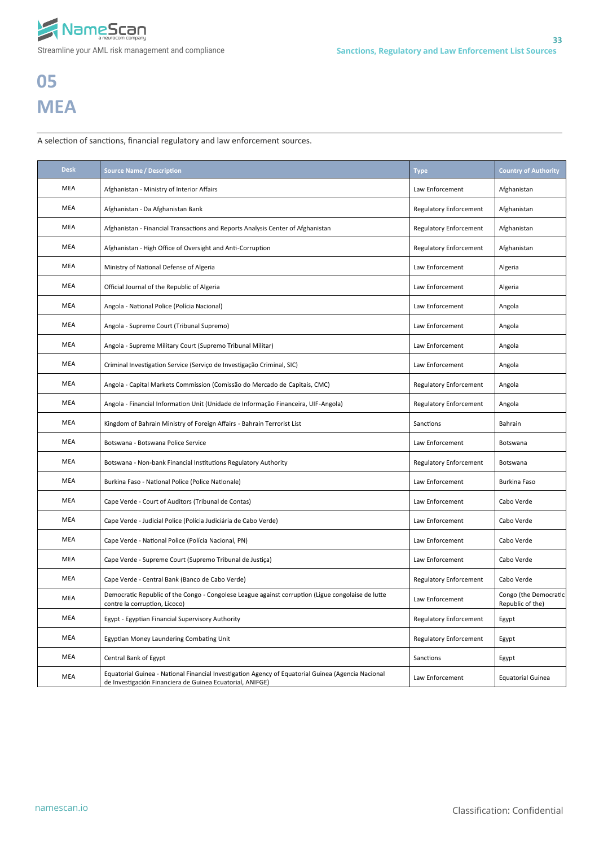

# **05 MEA**

A selection of sanctions, financial regulatory and law enforcement sources.

| <b>Desk</b> | <b>Source Name / Description</b>                                                                                                                                | <b>Type</b>                   | <b>Country of Authority</b>               |
|-------------|-----------------------------------------------------------------------------------------------------------------------------------------------------------------|-------------------------------|-------------------------------------------|
| MEA         | Afghanistan - Ministry of Interior Affairs                                                                                                                      | Law Enforcement               | Afghanistan                               |
| MEA         | Afghanistan - Da Afghanistan Bank                                                                                                                               | <b>Regulatory Enforcement</b> | Afghanistan                               |
| MEA         | Afghanistan - Financial Transactions and Reports Analysis Center of Afghanistan                                                                                 | <b>Regulatory Enforcement</b> | Afghanistan                               |
| MEA         | Afghanistan - High Office of Oversight and Anti-Corruption                                                                                                      | <b>Regulatory Enforcement</b> | Afghanistan                               |
| MEA         | Ministry of National Defense of Algeria                                                                                                                         | Law Enforcement               | Algeria                                   |
| MEA         | Official Journal of the Republic of Algeria                                                                                                                     | Law Enforcement               | Algeria                                   |
| MEA         | Angola - National Police (Polícia Nacional)                                                                                                                     | Law Enforcement               | Angola                                    |
| MEA         | Angola - Supreme Court (Tribunal Supremo)                                                                                                                       | Law Enforcement               | Angola                                    |
| MEA         | Angola - Supreme Military Court (Supremo Tribunal Militar)                                                                                                      | Law Enforcement               | Angola                                    |
| MEA         | Criminal Investigation Service (Serviço de Investigação Criminal, SIC)                                                                                          | Law Enforcement               | Angola                                    |
| MEA         | Angola - Capital Markets Commission (Comissão do Mercado de Capitais, CMC)                                                                                      | <b>Regulatory Enforcement</b> | Angola                                    |
| MEA         | Angola - Financial Information Unit (Unidade de Informação Financeira, UIF-Angola)                                                                              | <b>Regulatory Enforcement</b> | Angola                                    |
| MEA         | Kingdom of Bahrain Ministry of Foreign Affairs - Bahrain Terrorist List                                                                                         | Sanctions                     | Bahrain                                   |
| MEA         | Botswana - Botswana Police Service                                                                                                                              | Law Enforcement               | Botswana                                  |
| MEA         | Botswana - Non-bank Financial Institutions Regulatory Authority                                                                                                 | <b>Regulatory Enforcement</b> | Botswana                                  |
| MEA         | Burkina Faso - National Police (Police Nationale)                                                                                                               | Law Enforcement               | Burkina Faso                              |
| MEA         | Cape Verde - Court of Auditors (Tribunal de Contas)                                                                                                             | Law Enforcement               | Cabo Verde                                |
| MEA         | Cape Verde - Judicial Police (Polícia Judiciária de Cabo Verde)                                                                                                 | Law Enforcement               | Cabo Verde                                |
| MEA         | Cape Verde - National Police (Polícia Nacional, PN)                                                                                                             | Law Enforcement               | Cabo Verde                                |
| MEA         | Cape Verde - Supreme Court (Supremo Tribunal de Justiça)                                                                                                        | Law Enforcement               | Cabo Verde                                |
| MEA         | Cape Verde - Central Bank (Banco de Cabo Verde)                                                                                                                 | Regulatory Enforcement        | Cabo Verde                                |
| MEA         | Democratic Republic of the Congo - Congolese League against corruption (Ligue congolaise de lutte<br>contre la corruption, Licoco)                              | Law Enforcement               | Congo (the Democratic<br>Republic of the) |
| MEA         | Egypt - Egyptian Financial Supervisory Authority                                                                                                                | Regulatory Enforcement        | Egypt                                     |
| MEA         | Egyptian Money Laundering Combating Unit                                                                                                                        | <b>Regulatory Enforcement</b> | Egypt                                     |
| MEA         | Central Bank of Egypt                                                                                                                                           | Sanctions                     | Egypt                                     |
| MEA         | Equatorial Guinea - National Financial Investigation Agency of Equatorial Guinea (Agencia Nacional<br>de Investigación Financiera de Guinea Ecuatorial, ANIFGE) | Law Enforcement               | <b>Equatorial Guinea</b>                  |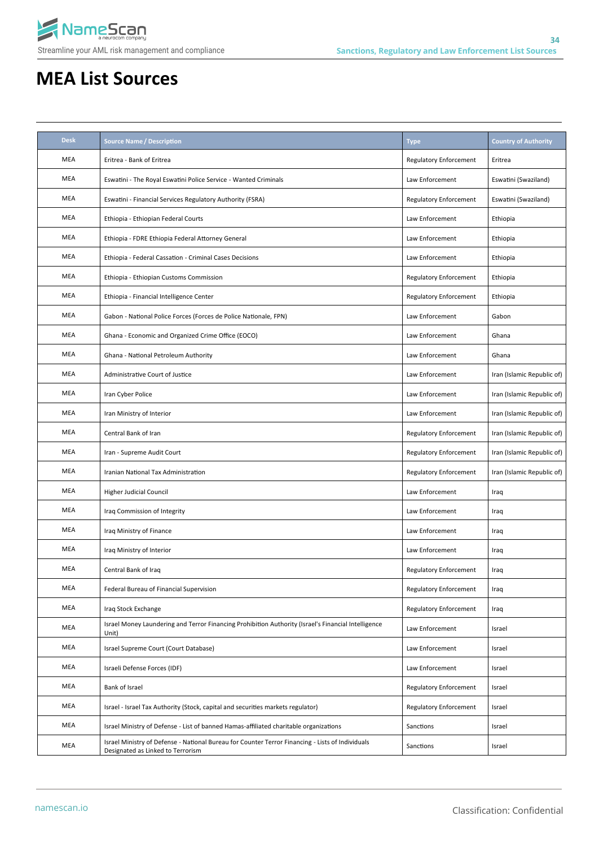

| <b>Desk</b> | <b>Source Name / Description</b>                                                                                                      | <b>Type</b>                   | <b>Country of Authority</b> |
|-------------|---------------------------------------------------------------------------------------------------------------------------------------|-------------------------------|-----------------------------|
| MEA         | Eritrea - Bank of Eritrea                                                                                                             | <b>Regulatory Enforcement</b> | Eritrea                     |
| MEA         | Eswatini - The Royal Eswatini Police Service - Wanted Criminals                                                                       | Law Enforcement               | Eswatini (Swaziland)        |
| MEA         | Eswatini - Financial Services Regulatory Authority (FSRA)                                                                             | Regulatory Enforcement        | Eswatini (Swaziland)        |
| MEA         | Ethiopia - Ethiopian Federal Courts                                                                                                   | Law Enforcement               | Ethiopia                    |
| MEA         | Ethiopia - FDRE Ethiopia Federal Attorney General                                                                                     | Law Enforcement               | Ethiopia                    |
| MEA         | Ethiopia - Federal Cassation - Criminal Cases Decisions                                                                               | Law Enforcement               | Ethiopia                    |
| MEA         | Ethiopia - Ethiopian Customs Commission                                                                                               | Regulatory Enforcement        | Ethiopia                    |
| MEA         | Ethiopia - Financial Intelligence Center                                                                                              | Regulatory Enforcement        | Ethiopia                    |
| <b>MEA</b>  | Gabon - National Police Forces (Forces de Police Nationale, FPN)                                                                      | Law Enforcement               | Gabon                       |
| <b>MEA</b>  | Ghana - Economic and Organized Crime Office (EOCO)                                                                                    | Law Enforcement               | Ghana                       |
| <b>MEA</b>  | Ghana - National Petroleum Authority                                                                                                  | Law Enforcement               | Ghana                       |
| MEA         | Administrative Court of Justice                                                                                                       | Law Enforcement               | Iran (Islamic Republic of)  |
| MEA         | Iran Cyber Police                                                                                                                     | Law Enforcement               | Iran (Islamic Republic of)  |
| MEA         | Iran Ministry of Interior                                                                                                             | Law Enforcement               | Iran (Islamic Republic of)  |
| MEA         | Central Bank of Iran                                                                                                                  | Regulatory Enforcement        | Iran (Islamic Republic of)  |
| MEA         | Iran - Supreme Audit Court                                                                                                            | Regulatory Enforcement        | Iran (Islamic Republic of)  |
| MEA         | Iranian National Tax Administration                                                                                                   | Regulatory Enforcement        | Iran (Islamic Republic of)  |
| MEA         | <b>Higher Judicial Council</b>                                                                                                        | Law Enforcement               | Iraq                        |
| MEA         | Iraq Commission of Integrity                                                                                                          | Law Enforcement               | Iraq                        |
| MEA         | Iraq Ministry of Finance                                                                                                              | Law Enforcement               | Iraq                        |
| MEA         | Iraq Ministry of Interior                                                                                                             | Law Enforcement               | Iraq                        |
| MEA         | Central Bank of Iraq                                                                                                                  | Regulatory Enforcement        | Iraq                        |
| MEA         | Federal Bureau of Financial Supervision                                                                                               | <b>Regulatory Enforcement</b> | Iraq                        |
| MEA         | Iraq Stock Exchange                                                                                                                   | Regulatory Enforcement        | Iraq                        |
| MEA         | Israel Money Laundering and Terror Financing Prohibition Authority (Israel's Financial Intelligence<br>Unit)                          | Law Enforcement               | Israel                      |
| MEA         | Israel Supreme Court (Court Database)                                                                                                 | Law Enforcement               | Israel                      |
| MEA         | Israeli Defense Forces (IDF)                                                                                                          | Law Enforcement               | Israel                      |
| MEA         | Bank of Israel                                                                                                                        | Regulatory Enforcement        | Israel                      |
| MEA         | Israel - Israel Tax Authority (Stock, capital and securities markets regulator)                                                       | Regulatory Enforcement        | Israel                      |
| MEA         | Israel Ministry of Defense - List of banned Hamas-affiliated charitable organizations                                                 | Sanctions                     | Israel                      |
| MEA         | Israel Ministry of Defense - National Bureau for Counter Terror Financing - Lists of Individuals<br>Designated as Linked to Terrorism | Sanctions                     | Israel                      |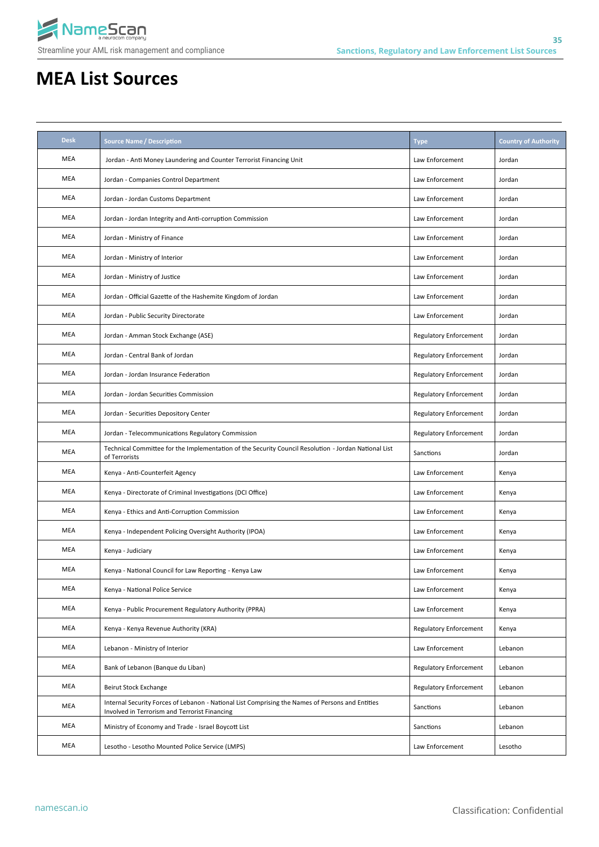

| <b>Desk</b> | <b>Source Name / Description</b>                                                                                                                  | <b>Type</b>                   | <b>Country of Authority</b> |
|-------------|---------------------------------------------------------------------------------------------------------------------------------------------------|-------------------------------|-----------------------------|
| MEA         | Jordan - Anti Money Laundering and Counter Terrorist Financing Unit                                                                               | Law Enforcement               | Jordan                      |
| MEA         | Jordan - Companies Control Department                                                                                                             | Law Enforcement               | Jordan                      |
| MEA         | Jordan - Jordan Customs Department                                                                                                                | Law Enforcement               | Jordan                      |
| MEA         | Jordan - Jordan Integrity and Anti-corruption Commission                                                                                          | Law Enforcement               | Jordan                      |
| MEA         | Jordan - Ministry of Finance                                                                                                                      | Law Enforcement               | Jordan                      |
| MEA         | Jordan - Ministry of Interior                                                                                                                     | Law Enforcement               | Jordan                      |
| MEA         | Jordan - Ministry of Justice                                                                                                                      | Law Enforcement               | Jordan                      |
| MEA         | Jordan - Official Gazette of the Hashemite Kingdom of Jordan                                                                                      | Law Enforcement               | Jordan                      |
| MEA         | Jordan - Public Security Directorate                                                                                                              | Law Enforcement               | Jordan                      |
| MEA         | Jordan - Amman Stock Exchange (ASE)                                                                                                               | <b>Regulatory Enforcement</b> | Jordan                      |
| MEA         | Jordan - Central Bank of Jordan                                                                                                                   | <b>Regulatory Enforcement</b> | Jordan                      |
| MEA         | Jordan - Jordan Insurance Federation                                                                                                              | <b>Regulatory Enforcement</b> | Jordan                      |
| MEA         | Jordan - Jordan Securities Commission                                                                                                             | <b>Regulatory Enforcement</b> | Jordan                      |
| MEA         | Jordan - Securities Depository Center                                                                                                             | <b>Regulatory Enforcement</b> | Jordan                      |
| MEA         | Jordan - Telecommunications Regulatory Commission                                                                                                 | <b>Regulatory Enforcement</b> | Jordan                      |
| MEA         | Technical Committee for the Implementation of the Security Council Resolution - Jordan National List<br>of Terrorists                             | Sanctions                     | Jordan                      |
| MEA         | Kenya - Anti-Counterfeit Agency                                                                                                                   | Law Enforcement               | Kenya                       |
| MEA         | Kenya - Directorate of Criminal Investigations (DCI Office)                                                                                       | Law Enforcement               | Kenya                       |
| MEA         | Kenya - Ethics and Anti-Corruption Commission                                                                                                     | Law Enforcement               | Kenya                       |
| <b>MEA</b>  | Kenya - Independent Policing Oversight Authority (IPOA)                                                                                           | Law Enforcement               | Kenya                       |
| MEA         | Kenya - Judiciary                                                                                                                                 | Law Enforcement               | Kenya                       |
| MEA         | Kenya - National Council for Law Reporting - Kenya Law                                                                                            | Law Enforcement               | Kenya                       |
| MEA         | Kenya - National Police Service                                                                                                                   | Law Enforcement               | Kenya                       |
| MEA         | Kenya - Public Procurement Regulatory Authority (PPRA)                                                                                            | Law Enforcement               | Kenya                       |
| MEA         | Kenya - Kenya Revenue Authority (KRA)                                                                                                             | <b>Regulatory Enforcement</b> | Kenya                       |
| MEA         | Lebanon - Ministry of Interior                                                                                                                    | Law Enforcement               | Lebanon                     |
| MEA         | Bank of Lebanon (Banque du Liban)                                                                                                                 | <b>Regulatory Enforcement</b> | Lebanon                     |
| MEA         | Beirut Stock Exchange                                                                                                                             | <b>Regulatory Enforcement</b> | Lebanon                     |
| MEA         | Internal Security Forces of Lebanon - National List Comprising the Names of Persons and Entities<br>Involved in Terrorism and Terrorist Financing | Sanctions                     | Lebanon                     |
| MEA         | Ministry of Economy and Trade - Israel Boycott List                                                                                               | Sanctions                     | Lebanon                     |
| MEA         | Lesotho - Lesotho Mounted Police Service (LMPS)                                                                                                   | Law Enforcement               | Lesotho                     |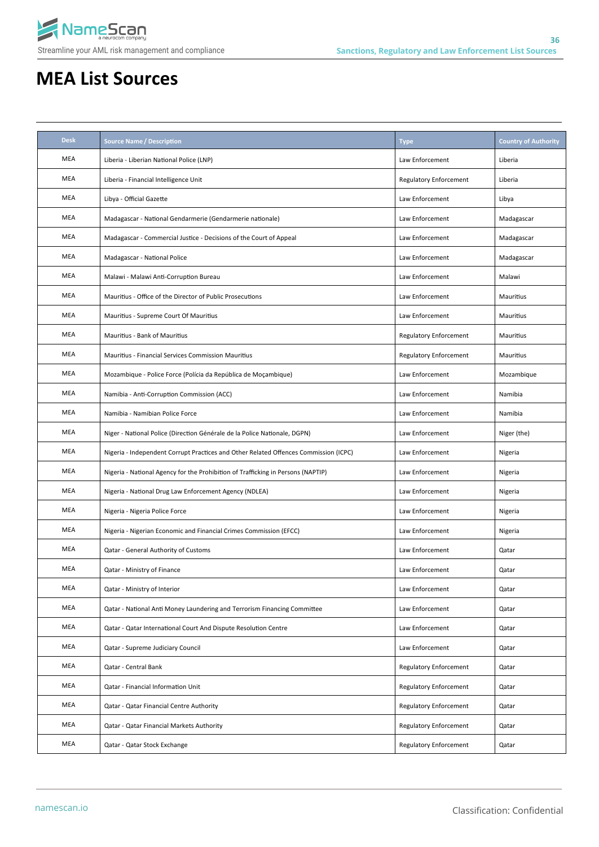

| <b>Desk</b> | <b>Source Name / Description</b>                                                     | <b>Type</b>            | <b>Country of Authority</b> |
|-------------|--------------------------------------------------------------------------------------|------------------------|-----------------------------|
| MEA         | Liberia - Liberian National Police (LNP)                                             | Law Enforcement        | Liberia                     |
| MEA         | Liberia - Financial Intelligence Unit                                                | Regulatory Enforcement | Liberia                     |
| MEA         | Libya - Official Gazette                                                             | Law Enforcement        | Libya                       |
| MEA         | Madagascar - National Gendarmerie (Gendarmerie nationale)                            | Law Enforcement        | Madagascar                  |
| MEA         | Madagascar - Commercial Justice - Decisions of the Court of Appeal                   | Law Enforcement        | Madagascar                  |
| MEA         | Madagascar - National Police                                                         | Law Enforcement        | Madagascar                  |
| MEA         | Malawi - Malawi Anti-Corruption Bureau                                               | Law Enforcement        | Malawi                      |
| <b>MEA</b>  | Mauritius - Office of the Director of Public Prosecutions                            | Law Enforcement        | Mauritius                   |
| <b>MEA</b>  | Mauritius - Supreme Court Of Mauritius                                               | Law Enforcement        | Mauritius                   |
| <b>MEA</b>  | Mauritius - Bank of Mauritius                                                        | Regulatory Enforcement | Mauritius                   |
| <b>MEA</b>  | Mauritius - Financial Services Commission Mauritius                                  | Regulatory Enforcement | Mauritius                   |
| MEA         | Mozambique - Police Force (Polícia da República de Moçambique)                       | Law Enforcement        | Mozambique                  |
| MEA         | Namibia - Anti-Corruption Commission (ACC)                                           | Law Enforcement        | Namibia                     |
| MEA         | Namibia - Namibian Police Force                                                      | Law Enforcement        | Namibia                     |
| MEA         | Niger - National Police (Direction Générale de la Police Nationale, DGPN)            | Law Enforcement        | Niger (the)                 |
| MEA         | Nigeria - Independent Corrupt Practices and Other Related Offences Commission (ICPC) | Law Enforcement        | Nigeria                     |
| MEA         | Nigeria - National Agency for the Prohibition of Trafficking in Persons (NAPTIP)     | Law Enforcement        | Nigeria                     |
| MEA         | Nigeria - National Drug Law Enforcement Agency (NDLEA)                               | Law Enforcement        | Nigeria                     |
| MEA         | Nigeria - Nigeria Police Force                                                       | Law Enforcement        | Nigeria                     |
| MEA         | Nigeria - Nigerian Economic and Financial Crimes Commission (EFCC)                   | Law Enforcement        | Nigeria                     |
| MEA         | Qatar - General Authority of Customs                                                 | Law Enforcement        | Qatar                       |
| MEA         | Qatar - Ministry of Finance                                                          | Law Enforcement        | Qatar                       |
| MEA         | Qatar - Ministry of Interior                                                         | Law Enforcement        | Qatar                       |
| MEA         | Qatar - National Anti Money Laundering and Terrorism Financing Committee             | Law Enforcement        | Qatar                       |
| MEA         | Qatar - Qatar International Court And Dispute Resolution Centre                      | Law Enforcement        | Qatar                       |
| MEA         | Qatar - Supreme Judiciary Council                                                    | Law Enforcement        | Qatar                       |
| MEA         | Qatar - Central Bank                                                                 | Regulatory Enforcement | Qatar                       |
| MEA         | Qatar - Financial Information Unit                                                   | Regulatory Enforcement | Qatar                       |
| MEA         | Qatar - Qatar Financial Centre Authority                                             | Regulatory Enforcement | Qatar                       |
| MEA         | Qatar - Qatar Financial Markets Authority                                            | Regulatory Enforcement | Qatar                       |
| MEA         | Qatar - Qatar Stock Exchange                                                         | Regulatory Enforcement | Qatar                       |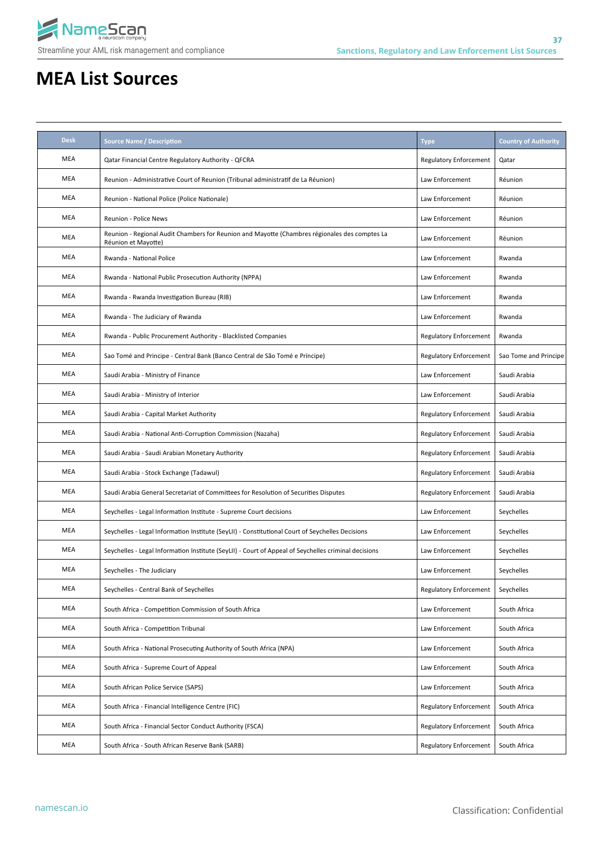

| <b>Desk</b> | <b>Source Name / Description</b>                                                                                     | <b>Type</b>                   | <b>Country of Authority</b> |
|-------------|----------------------------------------------------------------------------------------------------------------------|-------------------------------|-----------------------------|
| MEA         | Qatar Financial Centre Regulatory Authority - QFCRA                                                                  | <b>Regulatory Enforcement</b> | Qatar                       |
| MEA         | Reunion - Administrative Court of Reunion (Tribunal administratif de La Réunion)                                     | Law Enforcement               | Réunion                     |
| MEA         | Reunion - National Police (Police Nationale)                                                                         | Law Enforcement               | Réunion                     |
| MEA         | Reunion - Police News                                                                                                | Law Enforcement               | Réunion                     |
| MEA         | Reunion - Regional Audit Chambers for Reunion and Mayotte (Chambres régionales des comptes La<br>Réunion et Mayotte) | Law Enforcement               | Réunion                     |
| MEA         | Rwanda - National Police                                                                                             | Law Enforcement               | Rwanda                      |
| MEA         | Rwanda - National Public Prosecution Authority (NPPA)                                                                | Law Enforcement               | Rwanda                      |
| MEA         | Rwanda - Rwanda Investigation Bureau (RIB)                                                                           | Law Enforcement               | Rwanda                      |
| MEA         | Rwanda - The Judiciary of Rwanda                                                                                     | Law Enforcement               | Rwanda                      |
| MEA         | Rwanda - Public Procurement Authority - Blacklisted Companies                                                        | <b>Regulatory Enforcement</b> | Rwanda                      |
| MEA         | Sao Tomé and Principe - Central Bank (Banco Central de São Tomé e Príncipe)                                          | <b>Regulatory Enforcement</b> | Sao Tome and Principe       |
| MEA         | Saudi Arabia - Ministry of Finance                                                                                   | Law Enforcement               | Saudi Arabia                |
| MEA         | Saudi Arabia - Ministry of Interior                                                                                  | Law Enforcement               | Saudi Arabia                |
| MEA         | Saudi Arabia - Capital Market Authority                                                                              | <b>Regulatory Enforcement</b> | Saudi Arabia                |
| MEA         | Saudi Arabia - National Anti-Corruption Commission (Nazaha)                                                          | <b>Regulatory Enforcement</b> | Saudi Arabia                |
| MEA         | Saudi Arabia - Saudi Arabian Monetary Authority                                                                      | <b>Regulatory Enforcement</b> | Saudi Arabia                |
| MEA         | Saudi Arabia - Stock Exchange (Tadawul)                                                                              | <b>Regulatory Enforcement</b> | Saudi Arabia                |
| MEA         | Saudi Arabia General Secretariat of Committees for Resolution of Securities Disputes                                 | <b>Regulatory Enforcement</b> | Saudi Arabia                |
| MEA         | Seychelles - Legal Information Institute - Supreme Court decisions                                                   | Law Enforcement               | Seychelles                  |
| MEA         | Seychelles - Legal Information Institute (SeyLII) - Constitutional Court of Seychelles Decisions                     | Law Enforcement               | Seychelles                  |
| MEA         | Seychelles - Legal Information Institute (SeyLII) - Court of Appeal of Seychelles criminal decisions                 | Law Enforcement               | Seychelles                  |
| MEA         | Seychelles - The Judiciary                                                                                           | Law Enforcement               | Seychelles                  |
| MEA         | Seychelles - Central Bank of Seychelles                                                                              | <b>Regulatory Enforcement</b> | Seychelles                  |
| MEA         | South Africa - Competition Commission of South Africa                                                                | Law Enforcement               | South Africa                |
| MEA         | South Africa - Competition Tribunal                                                                                  | Law Enforcement               | South Africa                |
| MEA         | South Africa - National Prosecuting Authority of South Africa (NPA)                                                  | Law Enforcement               | South Africa                |
| MEA         | South Africa - Supreme Court of Appeal                                                                               | Law Enforcement               | South Africa                |
| MEA         | South African Police Service (SAPS)                                                                                  | Law Enforcement               | South Africa                |
| MEA         | South Africa - Financial Intelligence Centre (FIC)                                                                   | <b>Regulatory Enforcement</b> | South Africa                |
| MEA         | South Africa - Financial Sector Conduct Authority (FSCA)                                                             | <b>Regulatory Enforcement</b> | South Africa                |
| MEA         | South Africa - South African Reserve Bank (SARB)                                                                     | <b>Regulatory Enforcement</b> | South Africa                |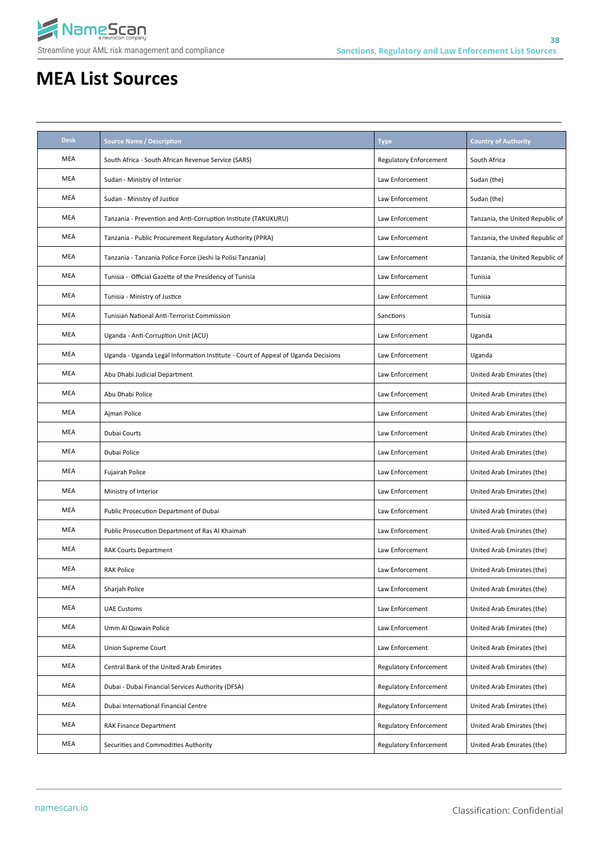

| <b>Desk</b> | <b>Source Name / Description</b>                                                  | <b>Type</b>                   | <b>Country of Authority</b>      |
|-------------|-----------------------------------------------------------------------------------|-------------------------------|----------------------------------|
| MEA         | South Africa - South African Revenue Service (SARS)                               | <b>Regulatory Enforcement</b> | South Africa                     |
| MEA         | Sudan - Ministry of Interior                                                      | Law Enforcement               | Sudan (the)                      |
| MEA         | Sudan - Ministry of Justice                                                       | Law Enforcement               | Sudan (the)                      |
| MEA         | Tanzania - Prevention and Anti-Corruption Institute (TAKUKURU)                    | Law Enforcement               | Tanzania, the United Republic of |
| MEA         | Tanzania - Public Procurement Regulatory Authority (PPRA)                         | Law Enforcement               | Tanzania, the United Republic of |
| MEA         | Tanzania - Tanzania Police Force (Jeshi la Polisi Tanzania)                       | Law Enforcement               | Tanzania, the United Republic of |
| MEA         | Tunisia - Official Gazette of the Presidency of Tunisia                           | Law Enforcement               | Tunisia                          |
| MEA         | Tunisia - Ministry of Justice                                                     | Law Enforcement               | Tunisia                          |
| MEA         | Tunisian National Anti-Terrorist Commission                                       | Sanctions                     | Tunisia                          |
| MEA         | Uganda - Anti-Corruption Unit (ACU)                                               | Law Enforcement               | Uganda                           |
| MEA         | Uganda - Uganda Legal Information Institute - Court of Appeal of Uganda Decisions | Law Enforcement               | Uganda                           |
| MEA         | Abu Dhabi Judicial Department                                                     | Law Enforcement               | United Arab Emirates (the)       |
| MEA         | Abu Dhabi Police                                                                  | Law Enforcement               | United Arab Emirates (the)       |
| MEA         | Ajman Police                                                                      | Law Enforcement               | United Arab Emirates (the)       |
| MEA         | Dubai Courts                                                                      | Law Enforcement               | United Arab Emirates (the)       |
| MEA         | Dubai Police                                                                      | Law Enforcement               | United Arab Emirates (the)       |
| MEA         | Fujairah Police                                                                   | Law Enforcement               | United Arab Emirates (the)       |
| MEA         | Ministry of Interior                                                              | Law Enforcement               | United Arab Emirates (the)       |
| MEA         | Public Prosecution Department of Dubai                                            | Law Enforcement               | United Arab Emirates (the)       |
| MEA         | Public Prosecution Department of Ras Al Khaimah                                   | Law Enforcement               | United Arab Emirates (the)       |
| MEA         | <b>RAK Courts Department</b>                                                      | Law Enforcement               | United Arab Emirates (the)       |
| MEA         | <b>RAK Police</b>                                                                 | Law Enforcement               | United Arab Emirates (the)       |
| MEA         | Sharjah Police                                                                    | Law Enforcement               | United Arab Emirates (the)       |
| MEA         | <b>UAE Customs</b>                                                                | Law Enforcement               | United Arab Emirates (the)       |
| MEA         | Umm Al Quwain Police                                                              | Law Enforcement               | United Arab Emirates (the)       |
| MEA         | Union Supreme Court                                                               | Law Enforcement               | United Arab Emirates (the)       |
| MEA         | Central Bank of the United Arab Emirates                                          | <b>Regulatory Enforcement</b> | United Arab Emirates (the)       |
| MEA         | Dubai - Dubai Financial Services Authority (DFSA)                                 | Regulatory Enforcement        | United Arab Emirates (the)       |
| MEA         | Dubai International Financial Centre                                              | Regulatory Enforcement        | United Arab Emirates (the)       |
| MEA         | <b>RAK Finance Department</b>                                                     | Regulatory Enforcement        | United Arab Emirates (the)       |
| MEA         | Securities and Commodities Authority                                              | Regulatory Enforcement        | United Arab Emirates (the)       |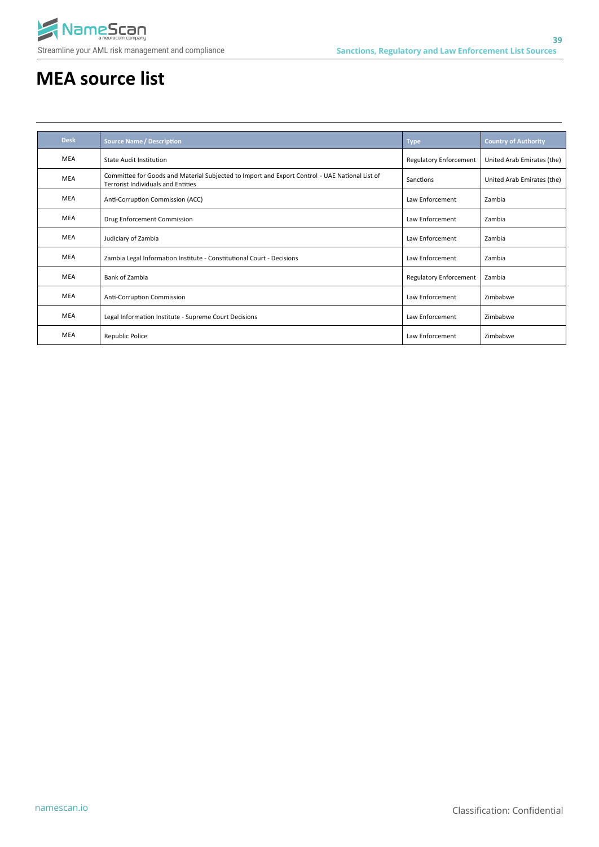

# **MEA source list**

| <b>Desk</b> | <b>Source Name / Description</b>                                                                                                            | <b>Type</b>                   | <b>Country of Authority</b> |
|-------------|---------------------------------------------------------------------------------------------------------------------------------------------|-------------------------------|-----------------------------|
| <b>MEA</b>  | State Audit Institution                                                                                                                     | <b>Regulatory Enforcement</b> | United Arab Emirates (the)  |
| <b>MEA</b>  | Committee for Goods and Material Subjected to Import and Export Control - UAE National List of<br><b>Terrorist Individuals and Entities</b> | Sanctions                     | United Arab Emirates (the)  |
| <b>MEA</b>  | Anti-Corruption Commission (ACC)                                                                                                            | Law Enforcement               | Zambia                      |
| <b>MEA</b>  | Drug Enforcement Commission                                                                                                                 | Law Enforcement               | Zambia                      |
| <b>MEA</b>  | Judiciary of Zambia                                                                                                                         | Law Enforcement               | Zambia                      |
| <b>MEA</b>  | Zambia Legal Information Institute - Constitutional Court - Decisions                                                                       | Law Enforcement               | Zambia                      |
| <b>MEA</b>  | Bank of Zambia                                                                                                                              | <b>Regulatory Enforcement</b> | Zambia                      |
| <b>MEA</b>  | Anti-Corruption Commission                                                                                                                  | Law Enforcement               | Zimbabwe                    |
| <b>MEA</b>  | Legal Information Institute - Supreme Court Decisions                                                                                       | Law Enforcement               | Zimbabwe                    |
| <b>MEA</b>  | <b>Republic Police</b>                                                                                                                      | Law Enforcement               | Zimbabwe                    |